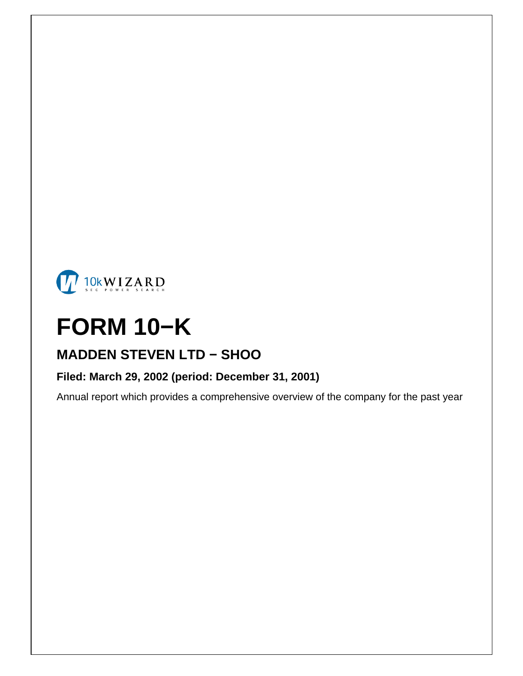

# **FORM 10−K**

# **MADDEN STEVEN LTD − SHOO**

# **Filed: March 29, 2002 (period: December 31, 2001)**

Annual report which provides a comprehensive overview of the company for the past year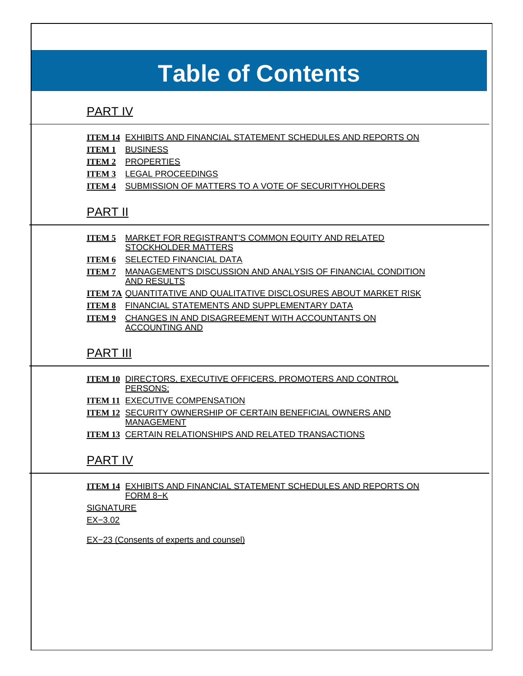# **Table of Contents**

# [PART IV](#page-3-0)

- **[ITEM 14](#page-3-1)** [EXHIBITS AND FINANCIAL STATEMENT SCHEDULES AND REPORTS ON](#page-3-1)
- **[ITEM 1](#page-4-0)** [BUSINESS](#page-4-0)
- **[ITEM 2](#page-10-0)** [PROPERTIES](#page-10-0)
- **[ITEM 3](#page-11-0)** [LEGAL PROCEEDINGS](#page-11-0)
- **[ITEM 4](#page-13-0)** [SUBMISSION OF MATTERS TO A VOTE OF SECURITYHOLDERS](#page-13-0)

# [PART II](#page-14-0)

- **[ITEM 5](#page-14-1)** [MARKET FOR REGISTRANT'S COMMON EQUITY AND RELATED](#page-14-1) [STOCKHOLDER MATTERS](#page-14-1)
- **[ITEM 6](#page-15-0)** [SELECTED FINANCIAL DATA](#page-15-0)
- **[ITEM 7](#page-17-0)** [MANAGEMENT'S DISCUSSION AND ANALYSIS OF FINANCIAL CONDITION](#page-17-0) [AND RESULTS](#page-17-0)
- **[ITEM 7A](#page-28-0)** [QUANTITATIVE AND QUALITATIVE DISCLOSURES ABOUT MARKET RISK](#page-28-0)
- **[ITEM 8](#page-28-1)** [FINANCIAL STATEMENTS AND SUPPLEMENTARY DATA](#page-28-1)
- **[ITEM 9](#page-28-2)** [CHANGES IN AND DISAGREEMENT WITH ACCOUNTANTS ON](#page-28-2) [ACCOUNTING AND](#page-28-2)

# [PART III](#page-28-3)

- **[ITEM 10](#page-28-4)** [DIRECTORS, EXECUTIVE OFFICERS, PROMOTERS AND CONTROL](#page-28-4) [PERSONS;](#page-28-4)
- **[ITEM 11](#page-28-5)** [EXECUTIVE COMPENSATION](#page-28-5)
- **[ITEM 12](#page-28-6)** [SECURITY OWNERSHIP OF CERTAIN BENEFICIAL OWNERS AND](#page-28-6) [MANAGEMENT](#page-28-6)
- **[ITEM 13](#page-29-0)** [CERTAIN RELATIONSHIPS AND RELATED TRANSACTIONS](#page-29-0)

# [PART IV](#page-29-1)

**[ITEM 14](#page-29-2)** [EXHIBITS AND FINANCIAL STATEMENT SCHEDULES AND REPORTS ON](#page-29-2) [FORM 8−K](#page-29-2)

**SIGNATURE** 

[EX−3.02](#page-54-0)

[EX−23 \(Consents of experts and counsel\)](#page-67-0)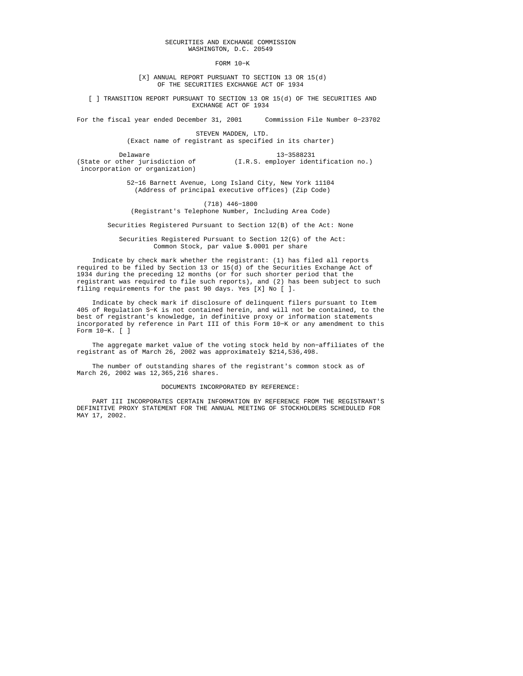#### SECURITIES AND EXCHANGE COMMISSION WASHINGTON, D.C. 20549

#### FORM 10−K

 [X] ANNUAL REPORT PURSUANT TO SECTION 13 OR 15(d) OF THE SECURITIES EXCHANGE ACT OF 1934

 [ ] TRANSITION REPORT PURSUANT TO SECTION 13 OR 15(d) OF THE SECURITIES AND EXCHANGE ACT OF 1934

For the fiscal year ended December 31, 2001 Commission File Number 0−23702

 STEVEN MADDEN, LTD. (Exact name of registrant as specified in its charter)

incorporation or organization)

Delaware 13−3588231<br>Chate or other jurisdiction of (I.R.S. employer iden) (I.R.S. employer identification no.)

> 52−16 Barnett Avenue, Long Island City, New York 11104 (Address of principal executive offices) (Zip Code)

 (718) 446−1800 (Registrant's Telephone Number, Including Area Code)

Securities Registered Pursuant to Section 12(B) of the Act: None

 Securities Registered Pursuant to Section 12(G) of the Act: Common Stock, par value \$.0001 per share

 Indicate by check mark whether the registrant: (1) has filed all reports required to be filed by Section 13 or 15(d) of the Securities Exchange Act of 1934 during the preceding 12 months (or for such shorter period that the registrant was required to file such reports), and (2) has been subject to such filing requirements for the past 90 days. Yes [X] No [ ].

 Indicate by check mark if disclosure of delinquent filers pursuant to Item 405 of Regulation S−K is not contained herein, and will not be contained, to the best of registrant's knowledge, in definitive proxy or information statements incorporated by reference in Part III of this Form 10−K or any amendment to this Form 10−K. [ ]

 The aggregate market value of the voting stock held by non−affiliates of the registrant as of March 26, 2002 was approximately \$214,536,498.

 The number of outstanding shares of the registrant's common stock as of March 26, 2002 was 12,365,216 shares.

#### DOCUMENTS INCORPORATED BY REFERENCE:

 PART III INCORPORATES CERTAIN INFORMATION BY REFERENCE FROM THE REGISTRANT'S DEFINITIVE PROXY STATEMENT FOR THE ANNUAL MEETING OF STOCKHOLDERS SCHEDULED FOR MAY 17, 2002.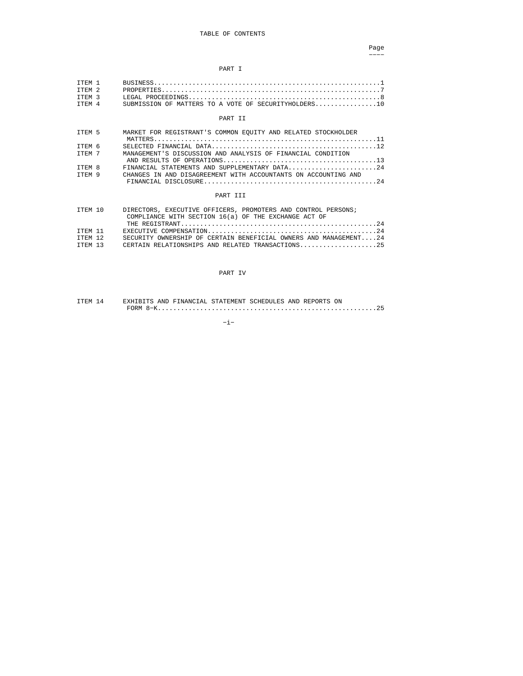Page −−−−

# PART I

| TTEM 4 | SUBMISSION OF MATTERS TO A VOTE OF SECURITYHOLDERS10 |  |
|--------|------------------------------------------------------|--|

# PART II

| ITEM 5 | MARKET FOR REGISTRANT'S COMMON EQUITY AND RELATED STOCKHOLDER  |
|--------|----------------------------------------------------------------|
|        |                                                                |
| TTEM 6 |                                                                |
| TTEM 7 | MANAGEMENT'S DISCUSSION AND ANALYSIS OF FINANCIAL CONDITION    |
|        |                                                                |
| TTEM 8 | FINANCIAL STATEMENTS AND SUPPLEMENTARY DATA24                  |
| TTEM 9 | CHANGES IN AND DISAGREEMENT WITH ACCOUNTANTS ON ACCOUNTING AND |
|        |                                                                |
|        |                                                                |

# PART III

| ITEM 10 | DIRECTORS, EXECUTIVE OFFICERS, PROMOTERS AND CONTROL PERSONS;    |
|---------|------------------------------------------------------------------|
|         | COMPLIANCE WITH SECTION 16(a) OF THE EXCHANGE ACT OF             |
|         |                                                                  |
| TTEM 11 |                                                                  |
| TTEM 12 | SECURITY OWNERSHIP OF CERTAIN BENEFICIAL OWNERS AND MANAGEMENT24 |
| TTEM 13 | CERTAIN RELATIONSHIPS AND RELATED TRANSACTIONS25                 |

# PART IV

<span id="page-3-1"></span><span id="page-3-0"></span>

| ITEM 14 |  | EXHIBITS AND FINANCIAL STATEMENT SCHEDULES AND REPORTS ON |  |  |  |
|---------|--|-----------------------------------------------------------|--|--|--|
|         |  |                                                           |  |  |  |

#### −i−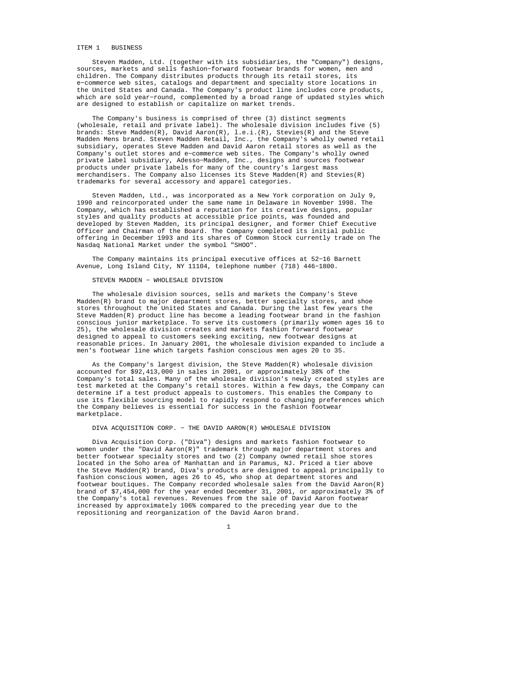# <span id="page-4-0"></span>ITEM 1 BUSINESS

 Steven Madden, Ltd. (together with its subsidiaries, the "Company") designs, sources, markets and sells fashion−forward footwear brands for women, men and children. The Company distributes products through its retail stores, its e−commerce web sites, catalogs and department and specialty store locations in the United States and Canada. The Company's product line includes core products, which are sold year−round, complemented by a broad range of updated styles which are designed to establish or capitalize on market trends.

 The Company's business is comprised of three (3) distinct segments (wholesale, retail and private label). The wholesale division includes five (5) brands: Steve Madden(R), David Aaron(R), l.e.i.(R), Stevies(R) and the Steve Madden Mens brand. Steven Madden Retail, Inc., the Company's wholly owned retail subsidiary, operates Steve Madden and David Aaron retail stores as well as the Company's outlet stores and e−commerce web sites. The Company's wholly owned private label subsidiary, Adesso−Madden, Inc., designs and sources footwear products under private labels for many of the country's largest mass merchandisers. The Company also licenses its Steve Madden(R) and Stevies(R) trademarks for several accessory and apparel categories.

 Steven Madden, Ltd., was incorporated as a New York corporation on July 9, 1990 and reincorporated under the same name in Delaware in November 1998. The Company, which has established a reputation for its creative designs, popular styles and quality products at accessible price points, was founded and developed by Steven Madden, its principal designer, and former Chief Executive Officer and Chairman of the Board. The Company completed its initial public offering in December 1993 and its shares of Common Stock currently trade on The Nasdaq National Market under the symbol "SHOO".

 The Company maintains its principal executive offices at 52−16 Barnett Avenue, Long Island City, NY 11104, telephone number (718) 446−1800.

# STEVEN MADDEN − WHOLESALE DIVISION

 The wholesale division sources, sells and markets the Company's Steve Madden(R) brand to major department stores, better specialty stores, and shoe stores throughout the United States and Canada. During the last few years the Steve Madden(R) product line has become a leading footwear brand in the fashion conscious junior marketplace. To serve its customers (primarily women ages 16 to 25), the wholesale division creates and markets fashion forward footwear designed to appeal to customers seeking exciting, new footwear designs at reasonable prices. In January 2001, the wholesale division expanded to include a men's footwear line which targets fashion conscious men ages 20 to 35.

 As the Company's largest division, the Steve Madden(R) wholesale division accounted for \$92,413,000 in sales in 2001, or approximately 38% of the Company's total sales. Many of the wholesale division's newly created styles are test marketed at the Company's retail stores. Within a few days, the Company can determine if a test product appeals to customers. This enables the Company to use its flexible sourcing model to rapidly respond to changing preferences which the Company believes is essential for success in the fashion footwear marketplace.

# DIVA ACQUISITION CORP. − THE DAVID AARON(R) WHOLESALE DIVISION

 Diva Acquisition Corp. ("Diva") designs and markets fashion footwear to women under the "David Aaron(R)" trademark through major department stores and better footwear specialty stores and two (2) Company owned retail shoe stores located in the Soho area of Manhattan and in Paramus, NJ. Priced a tier above the Steve Madden(R) brand, Diva's products are designed to appeal principally to fashion conscious women, ages 26 to 45, who shop at department stores and footwear boutiques. The Company recorded wholesale sales from the David Aaron(R) brand of \$7,454,000 for the year ended December 31, 2001, or approximately 3% of the Company's total revenues. Revenues from the sale of David Aaron footwear increased by approximately 106% compared to the preceding year due to the repositioning and reorganization of the David Aaron brand.

 $1$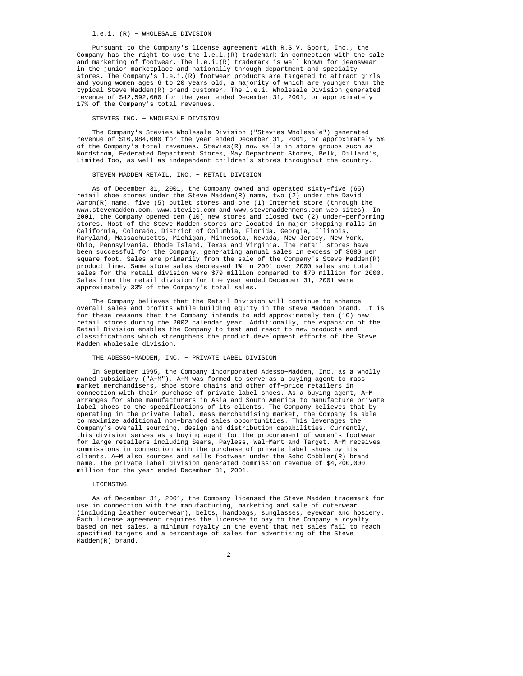#### l.e.i. (R) − WHOLESALE DIVISION

 Pursuant to the Company's license agreement with R.S.V. Sport, Inc., the Company has the right to use the l.e.i.(R) trademark in connection with the sale and marketing of footwear. The l.e.i.(R) trademark is well known for jeanswear in the junior marketplace and nationally through department and specialty stores. The Company's l.e.i.(R) footwear products are targeted to attract girls and young women ages 6 to 20 years old, a majority of which are younger than the typical Steve Madden(R) brand customer. The l.e.i. Wholesale Division generated revenue of \$42,592,000 for the year ended December 31, 2001, or approximately 17% of the Company's total revenues.

# STEVIES INC. − WHOLESALE DIVISION

 The Company's Stevies Wholesale Division ("Stevies Wholesale") generated revenue of \$10,984,000 for the year ended December 31, 2001, or approximately 5% of the Company's total revenues. Stevies(R) now sells in store groups such as Nordstrom, Federated Department Stores, May Department Stores, Belk, Dillard's, Limited Too, as well as independent children's stores throughout the country.

#### STEVEN MADDEN RETAIL, INC. − RETAIL DIVISION

 As of December 31, 2001, the Company owned and operated sixty−five (65) retail shoe stores under the Steve Madden(R) name, two (2) under the David Aaron(R) name, five (5) outlet stores and one (1) Internet store (through the www.stevemadden.com, www.stevies.com and www.stevemaddenmens.com web sites). In 2001, the Company opened ten (10) new stores and closed two (2) under−performing stores. Most of the Steve Madden stores are located in major shopping malls in California, Colorado, District of Columbia, Florida, Georgia, Illinois, Maryland, Massachusetts, Michigan, Minnesota, Nevada, New Jersey, New York, Ohio, Pennsylvania, Rhode Island, Texas and Virginia. The retail stores have been successful for the Company, generating annual sales in excess of \$680 per square foot. Sales are primarily from the sale of the Company's Steve Madden(R) product line. Same store sales decreased 1% in 2001 over 2000 sales and total sales for the retail division were \$79 million compared to \$70 million for 2000. Sales from the retail division for the year ended December 31, 2001 were approximately 33% of the Company's total sales.

 The Company believes that the Retail Division will continue to enhance overall sales and profits while building equity in the Steve Madden brand. It is for these reasons that the Company intends to add approximately ten (10) new retail stores during the 2002 calendar year. Additionally, the expansion of the Retail Division enables the Company to test and react to new products and classifications which strengthens the product development efforts of the Steve Madden wholesale division.

#### THE ADESSO−MADDEN, INC. − PRIVATE LABEL DIVISION

 In September 1995, the Company incorporated Adesso−Madden, Inc. as a wholly owned subsidiary ("A−M"). A−M was formed to serve as a buying agent to mass market merchandisers, shoe store chains and other off−price retailers in connection with their purchase of private label shoes. As a buying agent, A−M arranges for shoe manufacturers in Asia and South America to manufacture private label shoes to the specifications of its clients. The Company believes that by operating in the private label, mass merchandising market, the Company is able to maximize additional non−branded sales opportunities. This leverages the Company's overall sourcing, design and distribution capabilities. Currently, this division serves as a buying agent for the procurement of women's footwear for large retailers including Sears, Payless, Wal−Mart and Target. A−M receives commissions in connection with the purchase of private label shoes by its clients. A−M also sources and sells footwear under the Soho Cobbler(R) brand name. The private label division generated commission revenue of \$4,200,000 million for the year ended December 31, 2001.

#### LICENSING

 As of December 31, 2001, the Company licensed the Steve Madden trademark for use in connection with the manufacturing, marketing and sale of outerwear (including leather outerwear), belts, handbags, sunglasses, eyewear and hosiery. Each license agreement requires the licensee to pay to the Company a royalty based on net sales, a minimum royalty in the event that net sales fail to reach specified targets and a percentage of sales for advertising of the Steve Madden(R) brand.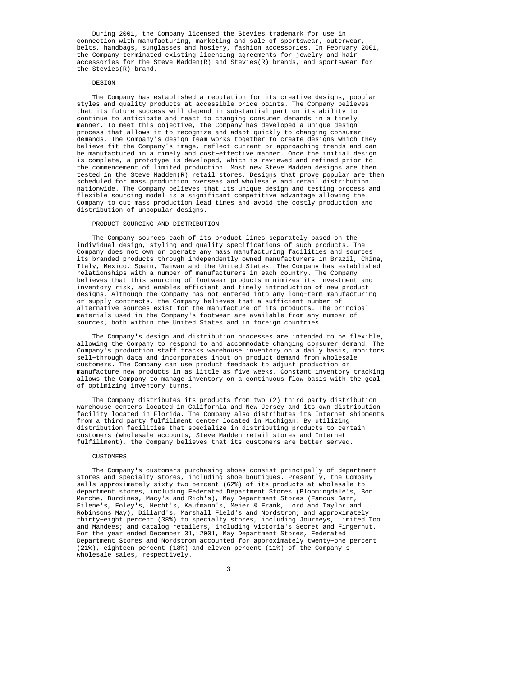During 2001, the Company licensed the Stevies trademark for use in connection with manufacturing, marketing and sale of sportswear, outerwear, belts, handbags, sunglasses and hosiery, fashion accessories. In February 2001, the Company terminated existing licensing agreements for jewelry and hair accessories for the Steve Madden(R) and Stevies(R) brands, and sportswear for the Stevies(R) brand.

# DESIGN

 The Company has established a reputation for its creative designs, popular styles and quality products at accessible price points. The Company believes that its future success will depend in substantial part on its ability to continue to anticipate and react to changing consumer demands in a timely manner. To meet this objective, the Company has developed a unique design process that allows it to recognize and adapt quickly to changing consumer demands. The Company's design team works together to create designs which they believe fit the Company's image, reflect current or approaching trends and can be manufactured in a timely and cost−effective manner. Once the initial design is complete, a prototype is developed, which is reviewed and refined prior to the commencement of limited production. Most new Steve Madden designs are then tested in the Steve Madden(R) retail stores. Designs that prove popular are then scheduled for mass production overseas and wholesale and retail distribution nationwide. The Company believes that its unique design and testing process and flexible sourcing model is a significant competitive advantage allowing the Company to cut mass production lead times and avoid the costly production and distribution of unpopular designs.

## PRODUCT SOURCING AND DISTRIBUTION

 The Company sources each of its product lines separately based on the individual design, styling and quality specifications of such products. The Company does not own or operate any mass manufacturing facilities and sources its branded products through independently owned manufacturers in Brazil, China, Italy, Mexico, Spain, Taiwan and the United States. The Company has established relationships with a number of manufacturers in each country. The Company believes that this sourcing of footwear products minimizes its investment and inventory risk, and enables efficient and timely introduction of new product designs. Although the Company has not entered into any long−term manufacturing or supply contracts, the Company believes that a sufficient number of alternative sources exist for the manufacture of its products. The principal materials used in the Company's footwear are available from any number of sources, both within the United States and in foreign countries.

 The Company's design and distribution processes are intended to be flexible, allowing the Company to respond to and accommodate changing consumer demand. The Company's production staff tracks warehouse inventory on a daily basis, monitors sell−through data and incorporates input on product demand from wholesale customers. The Company can use product feedback to adjust production or manufacture new products in as little as five weeks. Constant inventory tracking allows the Company to manage inventory on a continuous flow basis with the goal of optimizing inventory turns.

 The Company distributes its products from two (2) third party distribution warehouse centers located in California and New Jersey and its own distribution facility located in Florida. The Company also distributes its Internet shipments from a third party fulfillment center located in Michigan. By utilizing distribution facilities that specialize in distributing products to certain customers (wholesale accounts, Steve Madden retail stores and Internet fulfillment), the Company believes that its customers are better served.

# CUSTOMERS

 The Company's customers purchasing shoes consist principally of department stores and specialty stores, including shoe boutiques. Presently, the Company sells approximately sixty−two percent (62%) of its products at wholesale to department stores, including Federated Department Stores (Bloomingdale's, Bon Marche, Burdines, Macy's and Rich's), May Department Stores (Famous Barr, Filene's, Foley's, Hecht's, Kaufmann's, Meier & Frank, Lord and Taylor and Robinsons May), Dillard's, Marshall Field's and Nordstrom; and approximately thirty−eight percent (38%) to specialty stores, including Journeys, Limited Too and Mandees; and catalog retailers, including Victoria's Secret and Fingerhut. For the year ended December 31, 2001, May Department Stores, Federated Department Stores and Nordstrom accounted for approximately twenty−one percent (21%), eighteen percent (18%) and eleven percent (11%) of the Company's wholesale sales, respectively.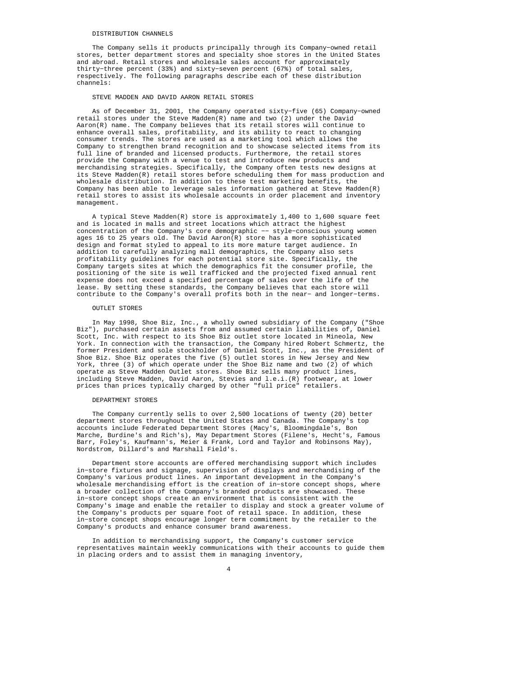The Company sells it products principally through its Company−owned retail stores, better department stores and specialty shoe stores in the United States and abroad. Retail stores and wholesale sales account for approximately thirty−three percent (33%) and sixty−seven percent (67%) of total sales, respectively. The following paragraphs describe each of these distribution channels:

## STEVE MADDEN AND DAVID AARON RETAIL STORES

 As of December 31, 2001, the Company operated sixty−five (65) Company−owned retail stores under the Steve Madden(R) name and two (2) under the David Aaron(R) name. The Company believes that its retail stores will continue to enhance overall sales, profitability, and its ability to react to changing consumer trends. The stores are used as a marketing tool which allows the Company to strengthen brand recognition and to showcase selected items from its full line of branded and licensed products. Furthermore, the retail stores provide the Company with a venue to test and introduce new products and merchandising strategies. Specifically, the Company often tests new designs at its Steve Madden(R) retail stores before scheduling them for mass production and wholesale distribution. In addition to these test marketing benefits, the Company has been able to leverage sales information gathered at Steve Madden(R) retail stores to assist its wholesale accounts in order placement and inventory management.

 A typical Steve Madden(R) store is approximately 1,400 to 1,600 square feet and is located in malls and street locations which attract the highest concentration of the Company's core demographic −− style−conscious young women ages 16 to 25 years old. The David Aaron(R) store has a more sophisticated design and format styled to appeal to its more mature target audience. In addition to carefully analyzing mall demographics, the Company also sets profitability guidelines for each potential store site. Specifically, the Company targets sites at which the demographics fit the consumer profile, the positioning of the site is well trafficked and the projected fixed annual rent expense does not exceed a specified percentage of sales over the life of the lease. By setting these standards, the Company believes that each store will contribute to the Company's overall profits both in the near− and longer−terms.

#### OUTLET STORES

 In May 1998, Shoe Biz, Inc., a wholly owned subsidiary of the Company ("Shoe Biz"), purchased certain assets from and assumed certain liabilities of, Daniel Scott, Inc. with respect to its Shoe Biz outlet store located in Mineola, New York. In connection with the transaction, the Company hired Robert Schmertz, the former President and sole stockholder of Daniel Scott, Inc., as the President of Shoe Biz. Shoe Biz operates the five (5) outlet stores in New Jersey and New York, three (3) of which operate under the Shoe Biz name and two (2) of which operate as Steve Madden Outlet stores. Shoe Biz sells many product lines, including Steve Madden, David Aaron, Stevies and l.e.i.(R) footwear, at lower prices than prices typically charged by other "full price" retailers.

#### DEPARTMENT STORES

 The Company currently sells to over 2,500 locations of twenty (20) better department stores throughout the United States and Canada. The Company's top accounts include Federated Department Stores (Macy's, Bloomingdale's, Bon Marche, Burdine's and Rich's), May Department Stores (Filene's, Hecht's, Famous Barr, Foley's, Kaufmann's, Meier & Frank, Lord and Taylor and Robinsons May), Nordstrom, Dillard's and Marshall Field's.

 Department store accounts are offered merchandising support which includes in−store fixtures and signage, supervision of displays and merchandising of the Company's various product lines. An important development in the Company's wholesale merchandising effort is the creation of in−store concept shops, where a broader collection of the Company's branded products are showcased. These in−store concept shops create an environment that is consistent with the Company's image and enable the retailer to display and stock a greater volume of the Company's products per square foot of retail space. In addition, these in−store concept shops encourage longer term commitment by the retailer to the Company's products and enhance consumer brand awareness.

 In addition to merchandising support, the Company's customer service representatives maintain weekly communications with their accounts to guide them in placing orders and to assist them in managing inventory,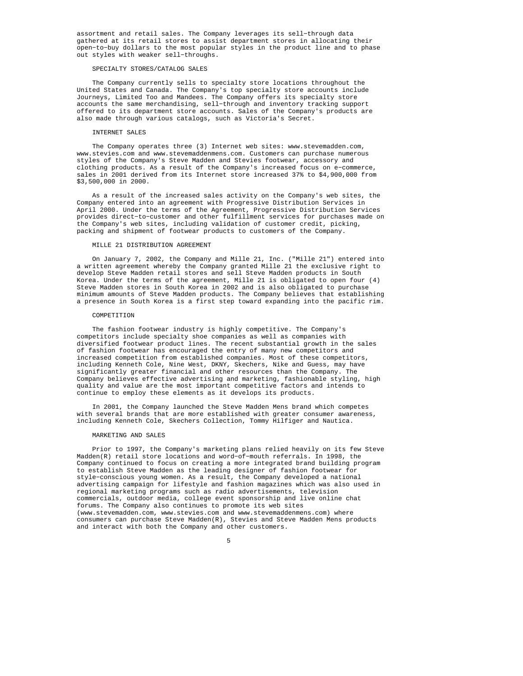assortment and retail sales. The Company leverages its sell−through data gathered at its retail stores to assist department stores in allocating their open−to−buy dollars to the most popular styles in the product line and to phase out styles with weaker sell−throughs.

#### SPECIALTY STORES/CATALOG SALES

 The Company currently sells to specialty store locations throughout the United States and Canada. The Company's top specialty store accounts include Journeys, Limited Too and Mandees. The Company offers its specialty store accounts the same merchandising, sell−through and inventory tracking support offered to its department store accounts. Sales of the Company's products are also made through various catalogs, such as Victoria's Secret.

#### INTERNET SALES

 The Company operates three (3) Internet web sites: www.stevemadden.com, www.stevies.com and www.stevemaddenmens.com. Customers can purchase numerous styles of the Company's Steve Madden and Stevies footwear, accessory and clothing products. As a result of the Company's increased focus on e−commerce, sales in 2001 derived from its Internet store increased 37% to \$4,900,000 from \$3,500,000 in 2000.

 As a result of the increased sales activity on the Company's web sites, the Company entered into an agreement with Progressive Distribution Services in April 2000. Under the terms of the Agreement, Progressive Distribution Services provides direct−to−customer and other fulfillment services for purchases made on the Company's web sites, including validation of customer credit, picking, packing and shipment of footwear products to customers of the Company.

#### MILLE 21 DISTRIBUTION AGREEMENT

 On January 7, 2002, the Company and Mille 21, Inc. ("Mille 21") entered into a written agreement whereby the Company granted Mille 21 the exclusive right to develop Steve Madden retail stores and sell Steve Madden products in South Korea. Under the terms of the agreement, Mille 21 is obligated to open four (4) Steve Madden stores in South Korea in 2002 and is also obligated to purchase minimum amounts of Steve Madden products. The Company believes that establishing a presence in South Korea is a first step toward expanding into the pacific rim.

#### COMPETITION

 The fashion footwear industry is highly competitive. The Company's competitors include specialty shoe companies as well as companies with diversified footwear product lines. The recent substantial growth in the sales of fashion footwear has encouraged the entry of many new competitors and increased competition from established companies. Most of these competitors, including Kenneth Cole, Nine West, DKNY, Skechers, Nike and Guess, may have significantly greater financial and other resources than the Company. The Company believes effective advertising and marketing, fashionable styling, high quality and value are the most important competitive factors and intends to continue to employ these elements as it develops its products.

 In 2001, the Company launched the Steve Madden Mens brand which competes with several brands that are more established with greater consumer awareness, including Kenneth Cole, Skechers Collection, Tommy Hilfiger and Nautica.

#### MARKETING AND SALES

 Prior to 1997, the Company's marketing plans relied heavily on its few Steve Madden(R) retail store locations and word−of−mouth referrals. In 1998, the Company continued to focus on creating a more integrated brand building program to establish Steve Madden as the leading designer of fashion footwear for style−conscious young women. As a result, the Company developed a national advertising campaign for lifestyle and fashion magazines which was also used in regional marketing programs such as radio advertisements, television commercials, outdoor media, college event sponsorship and live online chat forums. The Company also continues to promote its web sites (www.stevemadden.com, www.stevies.com and www.stevemaddenmens.com) where consumers can purchase Steve Madden(R), Stevies and Steve Madden Mens products and interact with both the Company and other customers.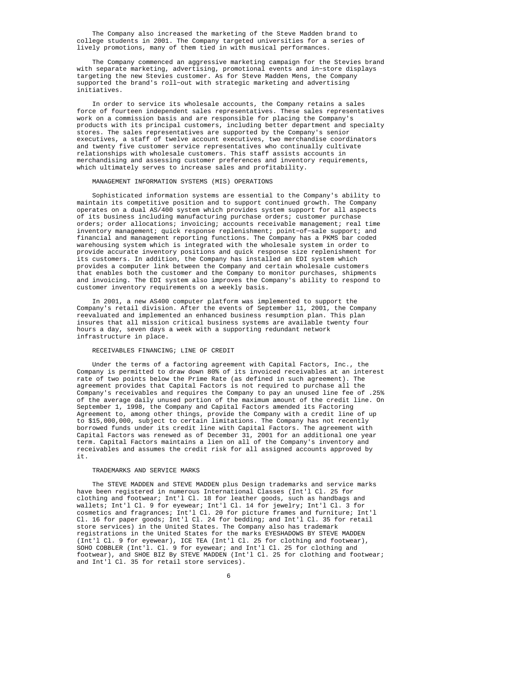The Company also increased the marketing of the Steve Madden brand to college students in 2001. The Company targeted universities for a series of lively promotions, many of them tied in with musical performances.

 The Company commenced an aggressive marketing campaign for the Stevies brand with separate marketing, advertising, promotional events and in−store displays targeting the new Stevies customer. As for Steve Madden Mens, the Company supported the brand's roll−out with strategic marketing and advertising initiatives.

 In order to service its wholesale accounts, the Company retains a sales force of fourteen independent sales representatives. These sales representatives work on a commission basis and are responsible for placing the Company's products with its principal customers, including better department and specialty stores. The sales representatives are supported by the Company's senior executives, a staff of twelve account executives, two merchandise coordinators and twenty five customer service representatives who continually cultivate relationships with wholesale customers. This staff assists accounts in merchandising and assessing customer preferences and inventory requirements, which ultimately serves to increase sales and profitability.

#### MANAGEMENT INFORMATION SYSTEMS (MIS) OPERATIONS

 Sophisticated information systems are essential to the Company's ability to maintain its competitive position and to support continued growth. The Company operates on a dual AS/400 system which provides system support for all aspects of its business including manufacturing purchase orders; customer purchase orders; order allocations; invoicing; accounts receivable management; real time inventory management; quick response replenishment; point−of−sale support; and financial and management reporting functions. The Company has a PKMS bar coded warehousing system which is integrated with the wholesale system in order to provide accurate inventory positions and quick response size replenishment for its customers. In addition, the Company has installed an EDI system which provides a computer link between the Company and certain wholesale customers that enables both the customer and the Company to monitor purchases, shipments and invoicing. The EDI system also improves the Company's ability to respond to customer inventory requirements on a weekly basis.

 In 2001, a new AS400 computer platform was implemented to support the Company's retail division. After the events of September 11, 2001, the Company reevaluated and implemented an enhanced business resumption plan. This plan insures that all mission critical business systems are available twenty four hours a day, seven days a week with a supporting redundant network infrastructure in place.

# RECEIVABLES FINANCING; LINE OF CREDIT

 Under the terms of a factoring agreement with Capital Factors, Inc., the Company is permitted to draw down 80% of its invoiced receivables at an interest rate of two points below the Prime Rate (as defined in such agreement). The agreement provides that Capital Factors is not required to purchase all the Company's receivables and requires the Company to pay an unused line fee of .25% of the average daily unused portion of the maximum amount of the credit line. On September 1, 1998, the Company and Capital Factors amended its Factoring Agreement to, among other things, provide the Company with a credit line of up to \$15,000,000, subject to certain limitations. The Company has not recently borrowed funds under its credit line with Capital Factors. The agreement with Capital Factors was renewed as of December 31, 2001 for an additional one year term. Capital Factors maintains a lien on all of the Company's inventory and receivables and assumes the credit risk for all assigned accounts approved by it.

#### TRADEMARKS AND SERVICE MARKS

 The STEVE MADDEN and STEVE MADDEN plus Design trademarks and service marks have been registered in numerous International Classes (Int'l Cl. 25 for clothing and footwear; Int'l Cl. 18 for leather goods, such as handbags and wallets; Int'l Cl. 9 for eyewear; Int'l Cl. 14 for jewelry; Int'l Cl. 3 for cosmetics and fragrances; Int'l Cl. 20 for picture frames and furniture; Int'l Cl. 16 for paper goods; Int'l Cl. 24 for bedding; and Int'l Cl. 35 for retail store services) in the United States. The Company also has trademark registrations in the United States for the marks EYESHADOWS BY STEVE MADDEN (Int'l Cl. 9 for eyewear), ICE TEA (Int'l Cl. 25 for clothing and footwear), SOHO COBBLER (Int'l. Cl. 9 for eyewear; and Int'l Cl. 25 for clothing and footwear), and SHOE BIZ By STEVE MADDEN (Int'l Cl. 25 for clothing and footwear; and Int'l Cl. 35 for retail store services).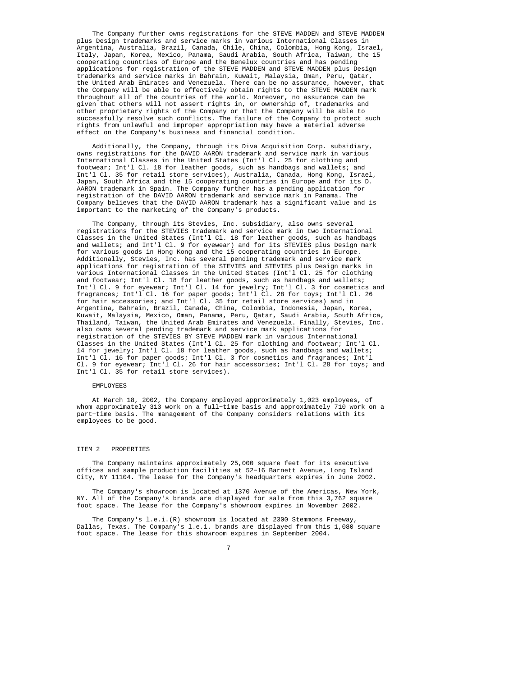The Company further owns registrations for the STEVE MADDEN and STEVE MADDEN plus Design trademarks and service marks in various International Classes in Argentina, Australia, Brazil, Canada, Chile, China, Colombia, Hong Kong, Israel, Italy, Japan, Korea, Mexico, Panama, Saudi Arabia, South Africa, Taiwan, the 15 cooperating countries of Europe and the Benelux countries and has pending applications for registration of the STEVE MADDEN and STEVE MADDEN plus Design trademarks and service marks in Bahrain, Kuwait, Malaysia, Oman, Peru, Qatar, the United Arab Emirates and Venezuela. There can be no assurance, however, that the Company will be able to effectively obtain rights to the STEVE MADDEN mark throughout all of the countries of the world. Moreover, no assurance can be given that others will not assert rights in, or ownership of, trademarks and other proprietary rights of the Company or that the Company will be able to successfully resolve such conflicts. The failure of the Company to protect such rights from unlawful and improper appropriation may have a material adverse effect on the Company's business and financial condition.

 Additionally, the Company, through its Diva Acquisition Corp. subsidiary, owns registrations for the DAVID AARON trademark and service mark in various International Classes in the United States (Int'l Cl. 25 for clothing and footwear; Int'l Cl. 18 for leather goods, such as handbags and wallets; and Int'l Cl. 35 for retail store services), Australia, Canada, Hong Kong, Israel, Japan, South Africa and the 15 cooperating countries in Europe and for its D. AARON trademark in Spain. The Company further has a pending application for registration of the DAVID AARON trademark and service mark in Panama. The Company believes that the DAVID AARON trademark has a significant value and is important to the marketing of the Company's products.

 The Company, through its Stevies, Inc. subsidiary, also owns several registrations for the STEVIES trademark and service mark in two International Classes in the United States (Int'l Cl. 18 for leather goods, such as handbags and wallets; and Int'l Cl. 9 for eyewear) and for its STEVIES plus Design mark for various goods in Hong Kong and the 15 cooperating countries in Europe. Additionally, Stevies, Inc. has several pending trademark and service mark applications for registration of the STEVIES and STEVIES plus Design marks in various International Classes in the United States (Int'l Cl. 25 for clothing and footwear; Int'l Cl. 18 for leather goods, such as handbags and wallets; Int'l Cl. 9 for eyewear; Int'l Cl. 14 for jewelry; Int'l Cl. 3 for cosmetics and fragrances; Int'l Cl. 16 for paper goods; Int'l Cl. 28 for toys; Int'l Cl. 26 for hair accessories; and Int'l Cl. 35 for retail store services) and in Argentina, Bahrain, Brazil, Canada, China, Colombia, Indonesia, Japan, Korea, Kuwait, Malaysia, Mexico, Oman, Panama, Peru, Qatar, Saudi Arabia, South Africa, Thailand, Taiwan, the United Arab Emirates and Venezuela. Finally, Stevies, Inc. also owns several pending trademark and service mark applications for registration of the STEVIES BY STEVE MADDEN mark in various International Classes in the United States (Int'l Cl. 25 for clothing and footwear; Int'l Cl. 14 for jewelry; Int'l Cl. 18 for leather goods, such as handbags and wallets; Int'l Cl. 16 for paper goods; Int'l Cl. 3 for cosmetics and fragrances; Int'l Cl. 9 for eyewear; Int'l Cl. 26 for hair accessories; Int'l Cl. 28 for toys; and Int'l Cl. 35 for retail store services).

#### EMPLOYEES

 At March 18, 2002, the Company employed approximately 1,023 employees, of whom approximately 313 work on a full−time basis and approximately 710 work on a part−time basis. The management of the Company considers relations with its employees to be good.

# <span id="page-10-0"></span>ITEM 2 PROPERTIES

 The Company maintains approximately 25,000 square feet for its executive offices and sample production facilities at 52−16 Barnett Avenue, Long Island City, NY 11104. The lease for the Company's headquarters expires in June 2002.

 The Company's showroom is located at 1370 Avenue of the Americas, New York, NY. All of the Company's brands are displayed for sale from this 3,762 square foot space. The lease for the Company's showroom expires in November 2002.

 The Company's l.e.i.(R) showroom is located at 2300 Stemmons Freeway, Dallas, Texas. The Company's l.e.i. brands are displayed from this 1,080 square foot space. The lease for this showroom expires in September 2004.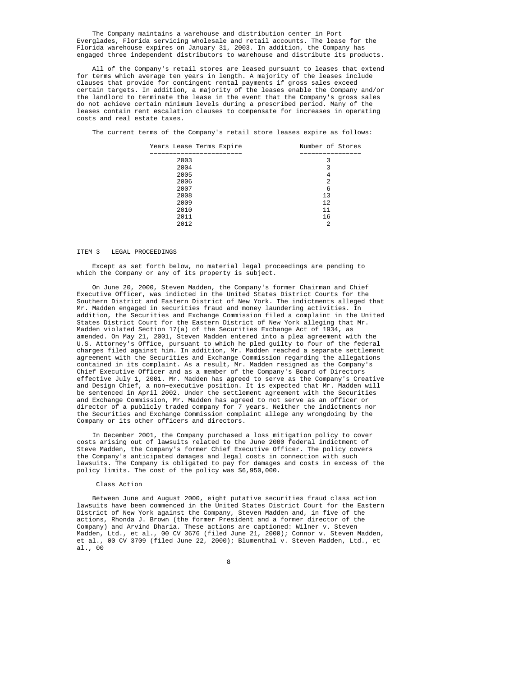The Company maintains a warehouse and distribution center in Port Everglades, Florida servicing wholesale and retail accounts. The lease for the Florida warehouse expires on January 31, 2003. In addition, the Company has engaged three independent distributors to warehouse and distribute its products.

 All of the Company's retail stores are leased pursuant to leases that extend for terms which average ten years in length. A majority of the leases include clauses that provide for contingent rental payments if gross sales exceed certain targets. In addition, a majority of the leases enable the Company and/or the landlord to terminate the lease in the event that the Company's gross sales do not achieve certain minimum levels during a prescribed period. Many of the leases contain rent escalation clauses to compensate for increases in operating costs and real estate taxes.

The current terms of the Company's retail store leases expire as follows:

| Years Lease Terms Expire | Number of Stores |
|--------------------------|------------------|
|                          |                  |
| 2003                     | 3                |
| 2004                     | 3                |
| 2005                     | 4                |
| 2006                     | 2                |
| 2007                     | 6                |
| 2008                     | 13               |
| 2009                     | 12               |
| 2010                     | 11               |
| 2011                     | 16               |
| 2012                     | 2                |

## <span id="page-11-0"></span>ITEM 3 LEGAL PROCEEDINGS

 Except as set forth below, no material legal proceedings are pending to which the Company or any of its property is subject.

 On June 20, 2000, Steven Madden, the Company's former Chairman and Chief Executive Officer, was indicted in the United States District Courts for the Southern District and Eastern District of New York. The indictments alleged that Mr. Madden engaged in securities fraud and money laundering activities. In addition, the Securities and Exchange Commission filed a complaint in the United States District Court for the Eastern District of New York alleging that Mr. Madden violated Section 17(a) of the Securities Exchange Act of 1934, as amended. On May 21, 2001, Steven Madden entered into a plea agreement with the U.S. Attorney's Office, pursuant to which he pled guilty to four of the federal charges filed against him. In addition, Mr. Madden reached a separate settlement agreement with the Securities and Exchange Commission regarding the allegations contained in its complaint. As a result, Mr. Madden resigned as the Company's Chief Executive Officer and as a member of the Company's Board of Directors effective July 1, 2001. Mr. Madden has agreed to serve as the Company's Creative and Design Chief, a non−executive position. It is expected that Mr. Madden will be sentenced in April 2002. Under the settlement agreement with the Securities and Exchange Commission, Mr. Madden has agreed to not serve as an officer or director of a publicly traded company for 7 years. Neither the indictments nor the Securities and Exchange Commission complaint allege any wrongdoing by the Company or its other officers and directors.

 In December 2001, the Company purchased a loss mitigation policy to cover costs arising out of lawsuits related to the June 2000 federal indictment of Steve Madden, the Company's former Chief Executive Officer. The policy covers the Company's anticipated damages and legal costs in connection with such lawsuits. The Company is obligated to pay for damages and costs in excess of the policy limits. The cost of the policy was \$6,950,000.

#### Class Action

 Between June and August 2000, eight putative securities fraud class action lawsuits have been commenced in the United States District Court for the Eastern District of New York against the Company, Steven Madden and, in five of the actions, Rhonda J. Brown (the former President and a former director of the Company) and Arvind Dharia. These actions are captioned: Wilner v. Steven Madden, Ltd., et al., 00 CV 3676 (filed June 21, 2000); Connor v. Steven Madden, et al., 00 CV 3709 (filed June 22, 2000); Blumenthal v. Steven Madden, Ltd., et al., 00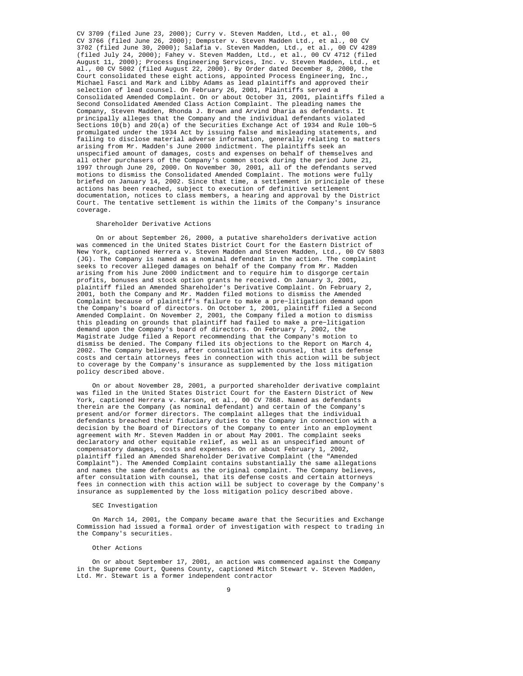CV 3709 (filed June 23, 2000); Curry v. Steven Madden, Ltd., et al., 00 CV 3766 (filed June 26, 2000); Dempster v. Steven Madden Ltd., et al., 00 CV 3702 (filed June 30, 2000); Salafia v. Steven Madden, Ltd., et al., 00 CV 4289 (filed July 24, 2000); Fahey v. Steven Madden, Ltd., et al., 00 CV 4712 (filed August 11, 2000); Process Engineering Services, Inc. v. Steven Madden, Ltd., et al., 00 CV 5002 (filed August 22, 2000). By Order dated December 8, 2000, the Court consolidated these eight actions, appointed Process Engineering, Inc., Michael Fasci and Mark and Libby Adams as lead plaintiffs and approved their selection of lead counsel. On February 26, 2001, Plaintiffs served a Consolidated Amended Complaint. On or about October 31, 2001, plaintiffs filed a Second Consolidated Amended Class Action Complaint. The pleading names the Company, Steven Madden, Rhonda J. Brown and Arvind Dharia as defendants. It principally alleges that the Company and the individual defendants violated Sections 10(b) and 20(a) of the Securities Exchange Act of 1934 and Rule 10b−5 promulgated under the 1934 Act by issuing false and misleading statements, and failing to disclose material adverse information, generally relating to matters arising from Mr. Madden's June 2000 indictment. The plaintiffs seek an unspecified amount of damages, costs and expenses on behalf of themselves and all other purchasers of the Company's common stock during the period June 21, 1997 through June 20, 2000. On November 30, 2001, all of the defendants served motions to dismiss the Consolidated Amended Complaint. The motions were fully briefed on January 14, 2002. Since that time, a settlement in principle of these actions has been reached, subject to execution of definitive settlement documentation, notices to class members, a hearing and approval by the District Court. The tentative settlement is within the limits of the Company's insurance coverage.

# Shareholder Derivative Actions

 On or about September 26, 2000, a putative shareholders derivative action was commenced in the United States District Court for the Eastern District of New York, captioned Herrera v. Steven Madden and Steven Madden, Ltd., 00 CV 5803 (JG). The Company is named as a nominal defendant in the action. The complaint seeks to recover alleged damages on behalf of the Company from Mr. Madden arising from his June 2000 indictment and to require him to disgorge certain profits, bonuses and stock option grants he received. On January 3, 2001, plaintiff filed an Amended Shareholder's Derivative Complaint. On February 2, 2001, both the Company and Mr. Madden filed motions to dismiss the Amended Complaint because of plaintiff's failure to make a pre−litigation demand upon the Company's board of directors. On October 1, 2001, plaintiff filed a Second Amended Complaint. On November 2, 2001, the Company filed a motion to dismiss this pleading on grounds that plaintiff had failed to make a pre−litigation demand upon the Company's board of directors. On February 7, 2002, the Magistrate Judge filed a Report recommending that the Company's motion to dismiss be denied. The Company filed its objections to the Report on March 4, 2002. The Company believes, after consultation with counsel, that its defense costs and certain attorneys fees in connection with this action will be subject to coverage by the Company's insurance as supplemented by the loss mitigation policy described above.

 On or about November 28, 2001, a purported shareholder derivative complaint was filed in the United States District Court for the Eastern District of New York, captioned Herrera v. Karson, et al., 00 CV 7868. Named as defendants therein are the Company (as nominal defendant) and certain of the Company's present and/or former directors. The complaint alleges that the individual defendants breached their fiduciary duties to the Company in connection with a decision by the Board of Directors of the Company to enter into an employment agreement with Mr. Steven Madden in or about May 2001. The complaint seeks declaratory and other equitable relief, as well as an unspecified amount of compensatory damages, costs and expenses. On or about February 1, 2002, plaintiff filed an Amended Shareholder Derivative Complaint (the "Amended Complaint"). The Amended Complaint contains substantially the same allegations and names the same defendants as the original complaint. The Company believes, after consultation with counsel, that its defense costs and certain attorneys fees in connection with this action will be subject to coverage by the Company's insurance as supplemented by the loss mitigation policy described above.

#### SEC Investigation

 On March 14, 2001, the Company became aware that the Securities and Exchange Commission had issued a formal order of investigation with respect to trading in the Company's securities.

# Other Actions

 On or about September 17, 2001, an action was commenced against the Company in the Supreme Court, Queens County, captioned Mitch Stewart v. Steven Madden, Ltd. Mr. Stewart is a former independent contractor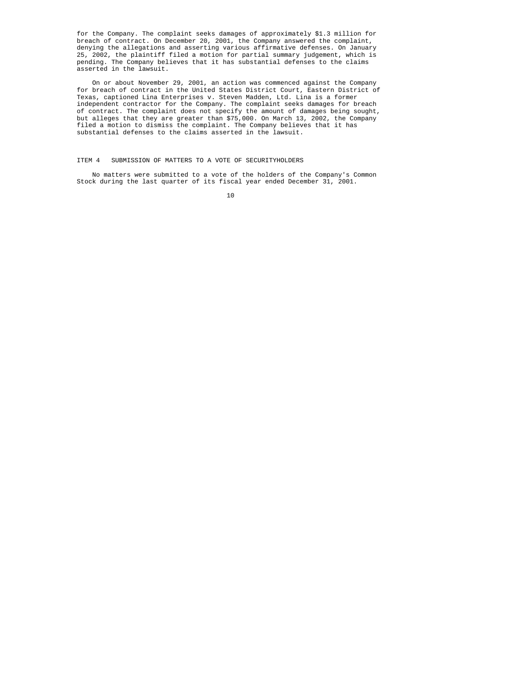for the Company. The complaint seeks damages of approximately \$1.3 million for breach of contract. On December 20, 2001, the Company answered the complaint, denying the allegations and asserting various affirmative defenses. On January 25, 2002, the plaintiff filed a motion for partial summary judgement, which is pending. The Company believes that it has substantial defenses to the claims asserted in the lawsuit.

 On or about November 29, 2001, an action was commenced against the Company for breach of contract in the United States District Court, Eastern District of Texas, captioned Lina Enterprises v. Steven Madden, Ltd. Lina is a former independent contractor for the Company. The complaint seeks damages for breach of contract. The complaint does not specify the amount of damages being sought, but alleges that they are greater than \$75,000. On March 13, 2002, the Company filed a motion to dismiss the complaint. The Company believes that it has substantial defenses to the claims asserted in the lawsuit.

<span id="page-13-0"></span>ITEM 4 SUBMISSION OF MATTERS TO A VOTE OF SECURITYHOLDERS

 No matters were submitted to a vote of the holders of the Company's Common Stock during the last quarter of its fiscal year ended December 31, 2001.

10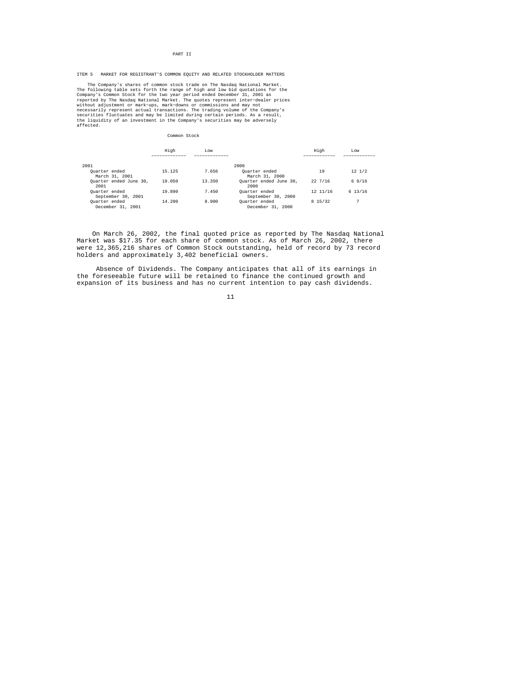#### PART II

# <span id="page-14-1"></span><span id="page-14-0"></span>ITEM 5 MARKET FOR REGISTRANT'S COMMON EQUITY AND RELATED STOCKHOLDER MATTERS

The Company's shares of common stock trade on The Nasdaq National Market.<br>The following table sets forth the range of high and low bid quotations for the<br>Company's Common Stock for the two year period ended December 31, 20 affected.

Common Stock

|                                     | High   | T.OW   |                                     | High     | Low              |
|-------------------------------------|--------|--------|-------------------------------------|----------|------------------|
| 2001                                |        |        | 2000                                |          |                  |
| Ouarter ended<br>March 31, 2001     | 15.125 | 7.656  | Ouarter ended<br>March 31, 2000     | 19       | $12 \frac{1}{2}$ |
| Quarter ended June 30,<br>2001      | 19.050 | 13.350 | Quarter ended June 30,<br>2000      | 22.7/16  | 69/16            |
| Ouarter ended<br>September 30, 2001 | 19.890 | 7.450  | Ouarter ended<br>September 30, 2000 | 12 11/16 | 6 13/16          |
| Ouarter ended<br>December 31, 2001  | 14,200 | 8,900  | Ouarter ended<br>December 31, 2000  | 8 15/32  | n                |

 On March 26, 2002, the final quoted price as reported by The Nasdaq National Market was \$17.35 for each share of common stock. As of March 26, 2002, there were 12,365,216 shares of Common Stock outstanding, held of record by 73 record holders and approximately 3,402 beneficial owners.

 Absence of Dividends. The Company anticipates that all of its earnings in the foreseeable future will be retained to finance the continued growth and expansion of its business and has no current intention to pay cash dividends.

#### $11$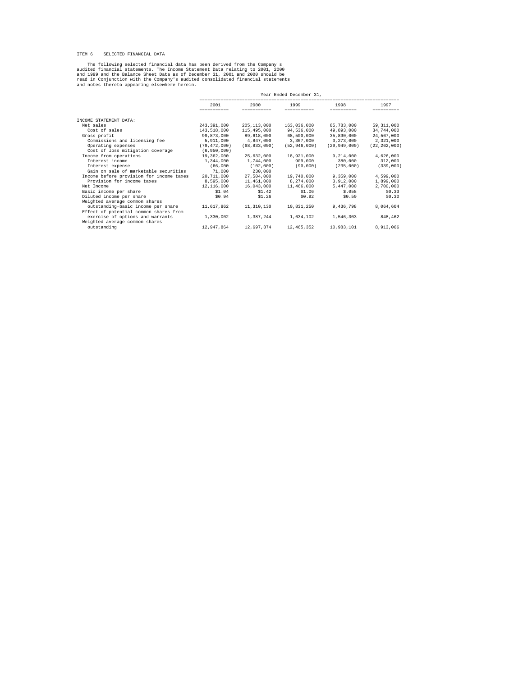#### <span id="page-15-0"></span>ITEM 6 SELECTED FINANCIAL DATA

The following selected financial data has been derived from the Company's<br>audited financial statements. The Income Statement Data relating to 2001, 2000<br>and 1999 and the Balance Sheet Data as of December 31, 2001 and 2000

|                                                      | Year Ended December 31, |                                    |                                                       |                                    |               |  |  |  |
|------------------------------------------------------|-------------------------|------------------------------------|-------------------------------------------------------|------------------------------------|---------------|--|--|--|
|                                                      | 2001                    | 2000                               | 1999                                                  | 1998                               | 1997          |  |  |  |
| INCOME STATEMENT DATA:                               |                         |                                    |                                                       |                                    |               |  |  |  |
| Net sales                                            | 243.391.000             |                                    | 205.113.000 163.036.000                               | 85,783,000                         | 59, 311, 000  |  |  |  |
| Cost of sales                                        | 143,518,000             | 115,495,000                        | 94.536.000                                            | 49,893,000                         | 34,744,000    |  |  |  |
| Gross profit                                         |                         |                                    | 99.873.000 89.618.000 68.500.000                      | 35,890,000                         | 24,567,000    |  |  |  |
|                                                      |                         |                                    |                                                       |                                    |               |  |  |  |
| Commissions and licensing fee                        |                         |                                    | 5,911,000  4,847,000  3,367,000  3,273,000  2,321,000 |                                    |               |  |  |  |
| Operating expenses                                   | (79.472.000)            |                                    | $(68.833.000)$ $(52.946.000)$                         | $(29.949.000)$ $(22.262.000)$      |               |  |  |  |
| Cost of loss mitigation coverage                     | (6, 950, 000)           |                                    |                                                       |                                    |               |  |  |  |
| Income from operations                               | 19,362,000              |                                    | 25,632,000 18,921,000 9,214,000 4,626,000             |                                    |               |  |  |  |
| Interest income                                      | 1,344,000               | 1,744,000                          |                                                       | 909.000 380.000 312.000            |               |  |  |  |
| Interest expense                                     | (66,000)                | (102, 000)                         |                                                       | $(90,000)$ $(235,000)$ $(339,000)$ |               |  |  |  |
| Gain on sale of marketable securities 71,000 230,000 |                         |                                    |                                                       |                                    |               |  |  |  |
| Income before provision for income taxes             |                         | 20.711.000 27.504.000              |                                                       | 19,740,000 9,359,000               | 4,599,000     |  |  |  |
| Provision for income taxes                           |                         |                                    | 8,595,000 11,461,000 8,274,000 3,912,000              |                                    | 1,899,000     |  |  |  |
| Net Income                                           |                         | 12.116.000  16.043.000  11.466.000 |                                                       | 5,447,000 2,700,000                |               |  |  |  |
| Basic income per share                               | \$1.04                  | \$1.42                             | \$1.06                                                | \$.058                             | \$0.33        |  |  |  |
| Diluted income per share                             | \$0.94                  | $$1.26$ $$0.92$                    |                                                       |                                    | \$0.50 \$0.30 |  |  |  |
| Weighted average common shares                       |                         |                                    |                                                       |                                    |               |  |  |  |
| outstanding-basic income per share 11,617,862        |                         | 11,310,130                         | 10,831,250                                            | 9,436,798                          | 8.064.604     |  |  |  |
| Effect of potential common shares from               |                         |                                    |                                                       |                                    |               |  |  |  |
| exercise of options and warrants                     |                         |                                    | 1.330.002 1.387.244 1.634.102                         | 1,546,303                          | 848,462       |  |  |  |
| Weighted average common shares                       |                         |                                    |                                                       |                                    |               |  |  |  |
| outstanding                                          |                         |                                    | 12.947.864    12.697.374    12.465.352                | 10.983.101 8.913.066               |               |  |  |  |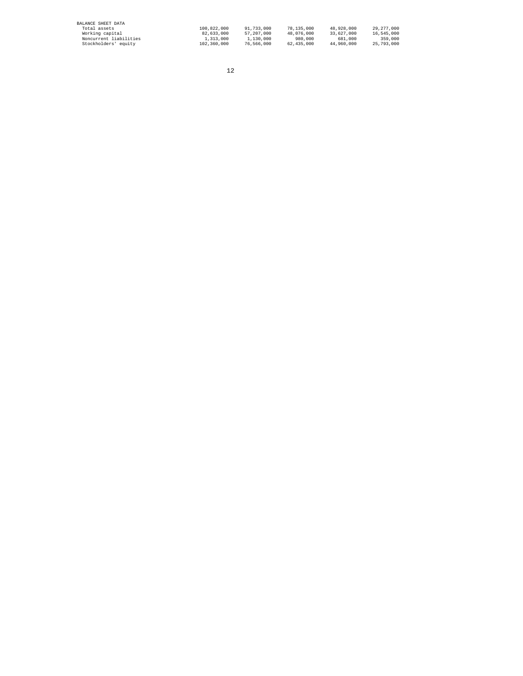| BALANCE SHEET DATA     |             |            |            |            |              |
|------------------------|-------------|------------|------------|------------|--------------|
| Total assets           | 100.822.000 | 91,733,000 | 78,135,000 | 48,928,000 | 29, 277, 000 |
| Working capital        | 82.633.000  | 57.207.000 | 48,076,000 | 33,627,000 | 16,545,000   |
| Noncurrent liabilities | 1,313,000   | 1,130,000  | 980,000    | 681,000    | 359,000      |
| Stockholders' equity   | 102,360,000 | 76,566,000 | 62.435.000 | 44,960,000 | 25,793,000   |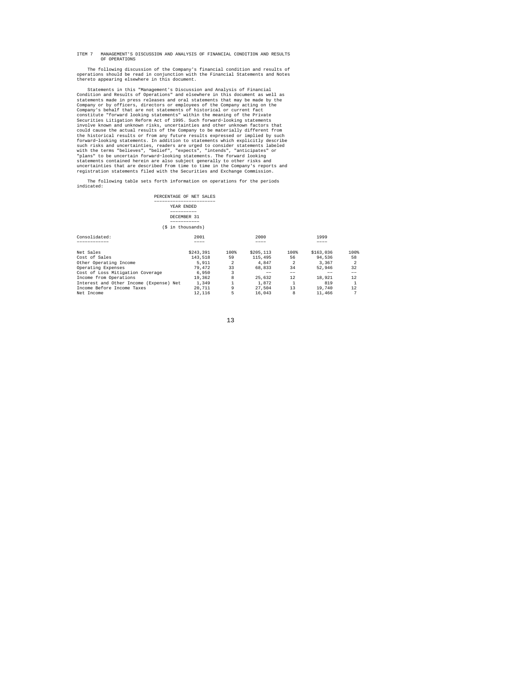#### <span id="page-17-0"></span>ITEM 7 MANAGEMENT'S DISCUSSION AND ANALYSIS OF FINANCIAL CONDITION AND RESULTS OF OPERATIONS

The following discussion of the Company's financial condition and results of operations should be read in conjunction with the Financial Statements and Notes thereto appearing elsewhere in this document.

Statements in this "Management's Discussion and Analysis of Prinancial<br>Condition and Results of Operations" and elsewhere in this document as well as<br>statements made in press releases and oral statements that may be made b

The following table sets forth information on operations for the periods indicated:

#### PERCENTAGE OF NET SALES −−−−−−−−−−−−−−−−−−−−−−− YEAR ENDED −−−−−−−−−− DECEMBER 31 −−−−−−−−−−− (\$ in thousands)

| Consolidated:                           | 2001      |                | 2000      |      | 1999      |                |
|-----------------------------------------|-----------|----------------|-----------|------|-----------|----------------|
|                                         |           |                |           |      |           |                |
| Net Sales                               | \$243,391 | 100%           | \$205,113 | 100% | \$163,036 | 100%           |
| Cost of Sales                           | 143.518   | 59             | 115,495   | 56   | 94,536    | 58             |
| Other Operating Income                  | 5.911     | $\mathfrak{D}$ | 4.847     |      | 3.367     | $\mathfrak{D}$ |
| Operating Expenses                      | 79.472    | 33             | 68,833    | 34   | 52.946    | 32             |
| Cost of Loss Mitigation Coverage        | 6.950     |                |           | --   |           | --             |
| Income from Operations                  | 19,362    | 8              | 25,632    | 12   | 18,921    | 12.            |
| Interest and Other Income (Expense) Net | 1.349     |                | 1,872     |      | 819       |                |
| Income Before Income Taxes              | 20.711    | 9              | 27.504    | 13   | 19,740    | 12.            |
| Net Income                              | 12,116    | 5              | 16,043    | 8    | 11,466    |                |

13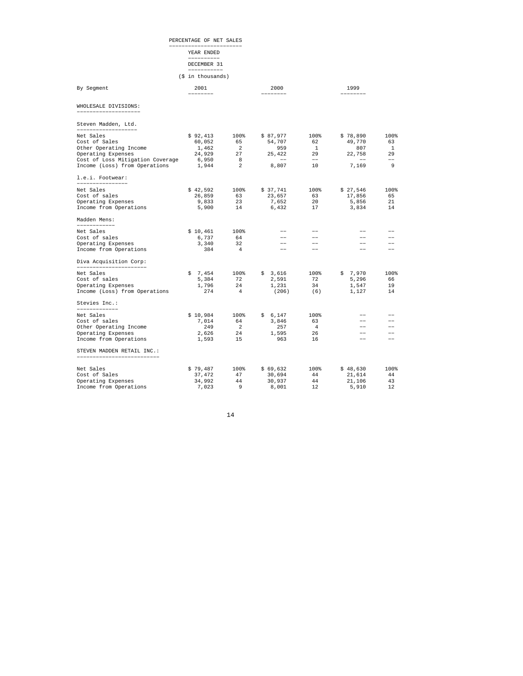|                                                                          | ________________________<br>YEAR ENDED |                            |                                               |                   |                   |                   |
|--------------------------------------------------------------------------|----------------------------------------|----------------------------|-----------------------------------------------|-------------------|-------------------|-------------------|
|                                                                          | ----------<br>DECEMBER 31              |                            |                                               |                   |                   |                   |
|                                                                          | -----------                            |                            |                                               |                   |                   |                   |
|                                                                          | (\$ in thousands)                      |                            |                                               |                   |                   |                   |
| By Segment                                                               | 2001<br>---------                      |                            | 2000<br>--------                              |                   | 1999<br>--------  |                   |
| WHOLESALE DIVISIONS:<br>--------------------                             |                                        |                            |                                               |                   |                   |                   |
| Steven Madden, Ltd.                                                      |                                        |                            |                                               |                   |                   |                   |
| -------------------<br>Net Sales                                         | \$92,413                               | $100\%$                    | \$ 87,977                                     | 100%              | \$78,890          | 100%              |
| Cost of Sales                                                            | 60,052                                 | 65                         | 54,707                                        | 62                | 49,770            | 63                |
| Other Operating Income                                                   | 1,462                                  | $\overline{\phantom{0}}$   | 959                                           | $\overline{1}$    | 807               | $\mathbf{1}$      |
| Operating Expenses                                                       | 24,929                                 | 27                         | 25,422                                        | 29                | 22,758            | 29                |
| Operating Daysman<br>Cost of Loss Mitigation Coverage 6,950 o<br>1,944 2 |                                        |                            | 8,807                                         | $\sim$ $-$<br>10  | 7,169             | $\sim$ $-$<br>- 9 |
| l.e.i. Footwear:                                                         |                                        |                            |                                               |                   |                   |                   |
| ----------------<br>Net Sales                                            |                                        |                            | $$42,592$ $100\%$ $$37,741$ $100\%$ $$27,546$ |                   |                   | 100%              |
| Cost of sales                                                            | 26,859                                 | 63                         | 23,657                                        | 63                | 17,856            | 65                |
| Operating Expenses                                                       | 9,833                                  | 23                         | 7,652                                         | 20                | 5,856             | 21                |
| Income from Operations                                                   |                                        | 5,900 14                   | $6,432$ 17                                    |                   | 3,834             | 14                |
| Madden Mens:<br>------------                                             |                                        |                            |                                               |                   |                   |                   |
| Net Sales                                                                | $$10,461$ $100\%$                      |                            | $\qquad \qquad - \qquad -$                    | $--$              | $-  \,$           | $- -$             |
| Cost of sales                                                            | 6,737                                  | 64                         | $  \,$                                        | $\qquad \qquad -$ | $- -$             | $\qquad \qquad -$ |
| Operating Expenses                                                       | 3,340                                  | 32                         | $- -$                                         | $- -$             | $- -$             | $ -$              |
| Income from Operations                                                   | 384                                    | $\overline{4}$             | $- -$                                         | $\qquad \qquad -$ | $- -$             | $-$               |
| Diva Acquisition Corp:<br>----------------------                         |                                        |                            |                                               |                   |                   |                   |
| Net Sales                                                                | \$7,454                                | $100\%$                    | $$3,616$ 100%                                 |                   | \$7,970           | 100%              |
| Cost of sales                                                            | 5,384                                  | 72                         | 2,591                                         | 72                | 5,296             | 66                |
| Operating Expenses<br>Income (Loss) from Operations                      | 1,796<br>274                           | 24<br>4 <sup>1</sup>       | 1,231<br>(206)                                | 34<br>(6)         | 1,547<br>1,127    | 19<br>14          |
| Stevies Inc.:                                                            |                                        |                            |                                               |                   |                   |                   |
| ____________<br>Net Sales                                                | \$10,984 100%                          |                            | \$6,147                                       | 100%              | $\qquad \qquad -$ | $\sim$ $-$        |
| Cost of sales                                                            | 7,014                                  | 64                         | 3,846                                         | 63                | $ -$              | $- -$             |
| Other Operating Income                                                   | 249                                    | $\overline{\phantom{a}}$ 2 | 257                                           | 4                 | $- -$             | $-$               |
| Operating Expenses                                                       | 2,626                                  | $2\overline{4}$            | 1,595                                         | 26                | $-$               | $\sim$ $-$        |
| Income from Operations                                                   | 1,593                                  | 15                         | 963                                           | 16                | $--$              | $ -$              |
| STEVEN MADDEN RETAIL INC.:<br>---------------------------                |                                        |                            |                                               |                   |                   |                   |
| Net Sales                                                                | \$79,487                               | $100\%$                    | \$69,632                                      | 100%              | \$48,630          | 100%              |
| Cost of Sales                                                            | 37,472                                 | 47                         | 30,694                                        | 44                | 21,614            | 44                |
| Operating Expenses                                                       | 34,992                                 | 44                         | 30,937                                        | 44                | 21,106            | 43                |
| Income from Operations                                                   | 7,023                                  | 9                          | 8,001                                         | 12                | 5,910             | 12                |

PERCENTAGE OF NET SALES

14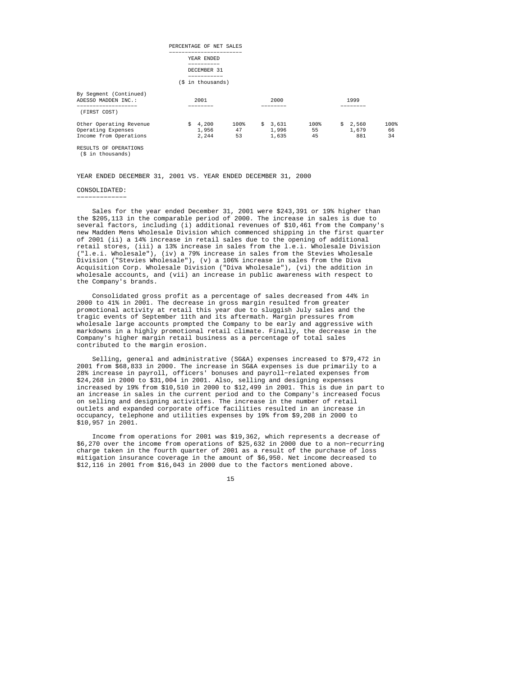|                                                                                    | PERCENTAGE OF NET SALES                |                  |                           |                  |                         |                  |  |  |
|------------------------------------------------------------------------------------|----------------------------------------|------------------|---------------------------|------------------|-------------------------|------------------|--|--|
|                                                                                    | ------------------------<br>YEAR ENDED |                  |                           |                  |                         |                  |  |  |
|                                                                                    | ---------<br>DECEMBER 31               |                  |                           |                  |                         |                  |  |  |
|                                                                                    | -----------<br>(\$ in thousands)       |                  |                           |                  |                         |                  |  |  |
| By Segment (Continued)<br>ADESSO MADDEN INC.:<br>-----------------<br>(FIRST COST) | 2001                                   |                  | 2000                      |                  | 1999                    |                  |  |  |
| Other Operating Revenue<br>Operating Expenses<br>Income from Operations            | \$4.200<br>1,956<br>2,244              | 100%<br>47<br>53 | \$3,631<br>1,996<br>1.635 | 100%<br>55<br>45 | \$2,560<br>1,679<br>881 | 100%<br>66<br>34 |  |  |
| RESULTS OF OPERATIONS                                                              |                                        |                  |                           |                  |                         |                  |  |  |

RESULTS OF OPERATIONS (\$ in thousands)

YEAR ENDED DECEMBER 31, 2001 VS. YEAR ENDED DECEMBER 31, 2000

#### CONSOLIDATED:

−−−−−−−−−−−−−

 Sales for the year ended December 31, 2001 were \$243,391 or 19% higher than the \$205,113 in the comparable period of 2000. The increase in sales is due to several factors, including (i) additional revenues of \$10,461 from the Company's new Madden Mens Wholesale Division which commenced shipping in the first quarter of 2001 (ii) a 14% increase in retail sales due to the opening of additional retail stores, (iii) a 13% increase in sales from the l.e.i. Wholesale Division ("l.e.i. Wholesale"), (iv) a 79% increase in sales from the Stevies Wholesale Division ("Stevies Wholesale"), (v) a 106% increase in sales from the Diva Acquisition Corp. Wholesale Division ("Diva Wholesale"), (vi) the addition in wholesale accounts, and (vii) an increase in public awareness with respect to the Company's brands.

 Consolidated gross profit as a percentage of sales decreased from 44% in 2000 to 41% in 2001. The decrease in gross margin resulted from greater promotional activity at retail this year due to sluggish July sales and the tragic events of September 11th and its aftermath. Margin pressures from wholesale large accounts prompted the Company to be early and aggressive with markdowns in a highly promotional retail climate. Finally, the decrease in the Company's higher margin retail business as a percentage of total sales contributed to the margin erosion.

 Selling, general and administrative (SG&A) expenses increased to \$79,472 in 2001 from \$68,833 in 2000. The increase in SG&A expenses is due primarily to a 28% increase in payroll, officers' bonuses and payroll−related expenses from \$24,268 in 2000 to \$31,004 in 2001. Also, selling and designing expenses increased by 19% from \$10,510 in 2000 to \$12,499 in 2001. This is due in part to an increase in sales in the current period and to the Company's increased focus on selling and designing activities. The increase in the number of retail outlets and expanded corporate office facilities resulted in an increase in occupancy, telephone and utilities expenses by 19% from \$9,208 in 2000 to \$10,957 in 2001.

 Income from operations for 2001 was \$19,362, which represents a decrease of \$6,270 over the income from operations of \$25,632 in 2000 due to a non−recurring charge taken in the fourth quarter of 2001 as a result of the purchase of loss mitigation insurance coverage in the amount of \$6,950. Net income decreased to \$12,116 in 2001 from \$16,043 in 2000 due to the factors mentioned above.

#### <u>15</u>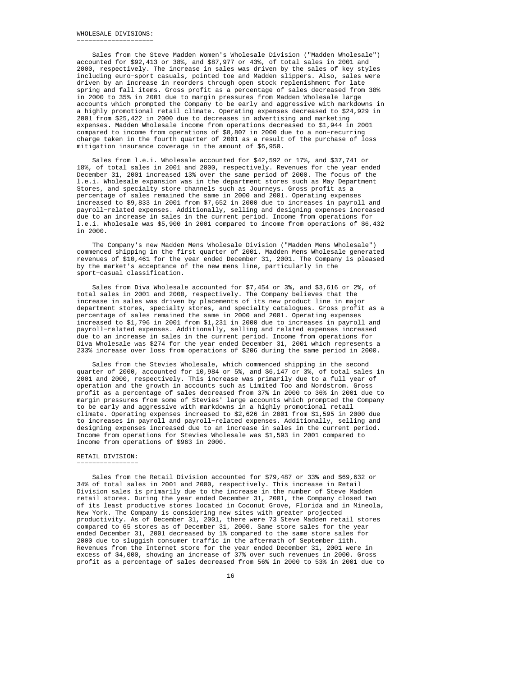Sales from the Steve Madden Women's Wholesale Division ("Madden Wholesale") accounted for \$92,413 or 38%, and \$87,977 or 43%, of total sales in 2001 and 2000, respectively. The increase in sales was driven by the sales of key styles including euro−sport casuals, pointed toe and Madden slippers. Also, sales were driven by an increase in reorders through open stock replenishment for late spring and fall items. Gross profit as a percentage of sales decreased from 38% in 2000 to 35% in 2001 due to margin pressures from Madden Wholesale large accounts which prompted the Company to be early and aggressive with markdowns in a highly promotional retail climate. Operating expenses decreased to \$24,929 in 2001 from \$25,422 in 2000 due to decreases in advertising and marketing expenses. Madden Wholesale income from operations decreased to \$1,944 in 2001 compared to income from operations of \$8,807 in 2000 due to a non−recurring charge taken in the fourth quarter of 2001 as a result of the purchase of loss mitigation insurance coverage in the amount of \$6,950.

 Sales from l.e.i. Wholesale accounted for \$42,592 or 17%, and \$37,741 or 18%, of total sales in 2001 and 2000, respectively. Revenues for the year ended December 31, 2001 increased 13% over the same period of 2000. The focus of the l.e.i. Wholesale expansion was in the department stores such as May Department Stores, and specialty store channels such as Journeys. Gross profit as a percentage of sales remained the same in 2000 and 2001. Operating expenses increased to \$9,833 in 2001 from \$7,652 in 2000 due to increases in payroll and payroll−related expenses. Additionally, selling and designing expenses increased due to an increase in sales in the current period. Income from operations for l.e.i. Wholesale was \$5,900 in 2001 compared to income from operations of \$6,432 in 2000.

 The Company's new Madden Mens Wholesale Division ("Madden Mens Wholesale") commenced shipping in the first quarter of 2001. Madden Mens Wholesale generated revenues of \$10,461 for the year ended December 31, 2001. The Company is pleased by the market's acceptance of the new mens line, particularly in the sport−casual classification.

 Sales from Diva Wholesale accounted for \$7,454 or 3%, and \$3,616 or 2%, of total sales in 2001 and 2000, respectively. The Company believes that the increase in sales was driven by placements of its new product line in major department stores, specialty stores, and specialty catalogues. Gross profit as a percentage of sales remained the same in 2000 and 2001. Operating expenses increased to \$1,796 in 2001 from \$1,231 in 2000 due to increases in payroll and payroll−related expenses. Additionally, selling and related expenses increased due to an increase in sales in the current period. Income from operations for Diva Wholesale was \$274 for the year ended December 31, 2001 which represents a 233% increase over loss from operations of \$206 during the same period in 2000.

 Sales from the Stevies Wholesale, which commenced shipping in the second quarter of 2000, accounted for 10,984 or 5%, and \$6,147 or 3%, of total sales in 2001 and 2000, respectively. This increase was primarily due to a full year of operation and the growth in accounts such as Limited Too and Nordstrom. Gross profit as a percentage of sales decreased from 37% in 2000 to 36% in 2001 due to margin pressures from some of Stevies' large accounts which prompted the Company to be early and aggressive with markdowns in a highly promotional retail climate. Operating expenses increased to \$2,626 in 2001 from \$1,595 in 2000 due to increases in payroll and payroll−related expenses. Additionally, selling and designing expenses increased due to an increase in sales in the current period. Income from operations for Stevies Wholesale was \$1,593 in 2001 compared to income from operations of \$963 in 2000.

#### RETAIL DIVISION: −−−−−−−−−−−−−−−−

 Sales from the Retail Division accounted for \$79,487 or 33% and \$69,632 or 34% of total sales in 2001 and 2000, respectively. This increase in Retail Division sales is primarily due to the increase in the number of Steve Madden retail stores. During the year ended December 31, 2001, the Company closed two of its least productive stores located in Coconut Grove, Florida and in Mineola, New York. The Company is considering new sites with greater projected productivity. As of December 31, 2001, there were 73 Steve Madden retail stores compared to 65 stores as of December 31, 2000. Same store sales for the year ended December 31, 2001 decreased by 1% compared to the same store sales for 2000 due to sluggish consumer traffic in the aftermath of September 11th. Revenues from the Internet store for the year ended December 31, 2001 were in excess of \$4,000, showing an increase of 37% over such revenues in 2000. Gross profit as a percentage of sales decreased from 56% in 2000 to 53% in 2001 due to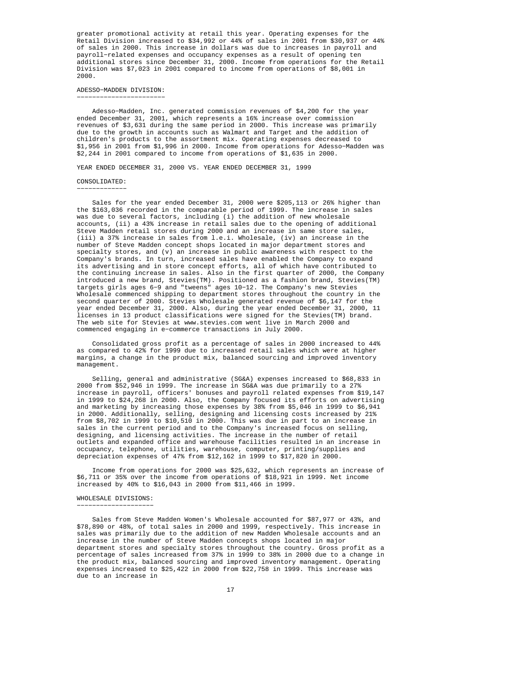greater promotional activity at retail this year. Operating expenses for the Retail Division increased to \$34,992 or 44% of sales in 2001 from \$30,937 or 44% of sales in 2000. This increase in dollars was due to increases in payroll and payroll−related expenses and occupancy expenses as a result of opening ten additional stores since December 31, 2000. Income from operations for the Retail Division was \$7,023 in 2001 compared to income from operations of \$8,001 in 2000.

#### ADESSO−MADDEN DIVISION: −−−−−−−−−−−−−−−−−−−−−−−

 Adesso−Madden, Inc. generated commission revenues of \$4,200 for the year ended December 31, 2001, which represents a 16% increase over commission revenues of \$3,631 during the same period in 2000. This increase was primarily due to the growth in accounts such as Walmart and Target and the addition of children's products to the assortment mix. Operating expenses decreased to \$1,956 in 2001 from \$1,996 in 2000. Income from operations for Adesso−Madden was \$2,244 in 2001 compared to income from operations of \$1,635 in 2000.

YEAR ENDED DECEMBER 31, 2000 VS. YEAR ENDED DECEMBER 31, 1999

CONSOLIDATED: −−−−−−−−−−−−−

 Sales for the year ended December 31, 2000 were \$205,113 or 26% higher than the \$163,036 recorded in the comparable period of 1999. The increase in sales was due to several factors, including (i) the addition of new wholesale accounts, (ii) a 43% increase in retail sales due to the opening of additional Steve Madden retail stores during 2000 and an increase in same store sales, (iii) a 37% increase in sales from l.e.i. Wholesale, (iv) an increase in the number of Steve Madden concept shops located in major department stores and specialty stores, and (v) an increase in public awareness with respect to the Company's brands. In turn, increased sales have enabled the Company to expand its advertising and in store concept efforts, all of which have contributed to the continuing increase in sales. Also in the first quarter of 2000, the Company introduced a new brand, Stevies(TM). Positioned as a fashion brand, Stevies(TM) targets girls ages 6−9 and "tweens" ages 10−12. The Company's new Stevies Wholesale commenced shipping to department stores throughout the country in the second quarter of 2000. Stevies Wholesale generated revenue of \$6,147 for the year ended December 31, 2000. Also, during the year ended December 31, 2000, 11 licenses in 13 product classifications were signed for the Stevies(TM) brand. The web site for Stevies at www.stevies.com went live in March 2000 and commenced engaging in e−commerce transactions in July 2000.

 Consolidated gross profit as a percentage of sales in 2000 increased to 44% as compared to 42% for 1999 due to increased retail sales which were at higher margins, a change in the product mix, balanced sourcing and improved inventory management.

 Selling, general and administrative (SG&A) expenses increased to \$68,833 in 2000 from \$52,946 in 1999. The increase in SG&A was due primarily to a 27% increase in payroll, officers' bonuses and payroll related expenses from \$19,147 in 1999 to \$24,268 in 2000. Also, the Company focused its efforts on advertising and marketing by increasing those expenses by 38% from \$5,046 in 1999 to \$6,941 in 2000. Additionally, selling, designing and licensing costs increased by 21% from \$8,702 in 1999 to \$10,510 in 2000. This was due in part to an increase in sales in the current period and to the Company's increased focus on selling, designing, and licensing activities. The increase in the number of retail outlets and expanded office and warehouse facilities resulted in an increase in occupancy, telephone, utilities, warehouse, computer, printing/supplies and depreciation expenses of 47% from \$12,162 in 1999 to \$17,820 in 2000.

 Income from operations for 2000 was \$25,632, which represents an increase of \$6,711 or 35% over the income from operations of \$18,921 in 1999. Net income increased by 40% to \$16,043 in 2000 from \$11,466 in 1999.

#### WHOLESALE DIVISIONS: −−−−−−−−−−−−−−−−−−−−

 Sales from Steve Madden Women's Wholesale accounted for \$87,977 or 43%, and \$78,890 or 48%, of total sales in 2000 and 1999, respectively. This increase in sales was primarily due to the addition of new Madden Wholesale accounts and an increase in the number of Steve Madden concepts shops located in major department stores and specialty stores throughout the country. Gross profit as a percentage of sales increased from 37% in 1999 to 38% in 2000 due to a change in the product mix, balanced sourcing and improved inventory management. Operating expenses increased to \$25,422 in 2000 from \$22,758 in 1999. This increase was due to an increase in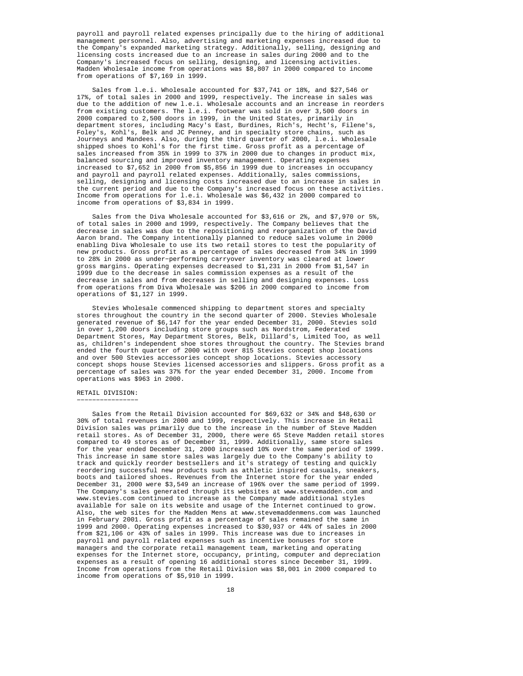payroll and payroll related expenses principally due to the hiring of additional management personnel. Also, advertising and marketing expenses increased due to the Company's expanded marketing strategy. Additionally, selling, designing and licensing costs increased due to an increase in sales during 2000 and to the Company's increased focus on selling, designing, and licensing activities. Madden Wholesale income from operations was \$8,807 in 2000 compared to income from operations of \$7,169 in 1999.

 Sales from l.e.i. Wholesale accounted for \$37,741 or 18%, and \$27,546 or 17%, of total sales in 2000 and 1999, respectively. The increase in sales was due to the addition of new l.e.i. Wholesale accounts and an increase in reorders from existing customers. The l.e.i. footwear was sold in over 3,500 doors in 2000 compared to 2,500 doors in 1999, in the United States, primarily in department stores, including Macy's East, Burdines, Rich's, Hecht's, Filene's, Foley's, Kohl's, Belk and JC Penney, and in specialty store chains, such as Journeys and Mandees. Also, during the third quarter of 2000, l.e.i. Wholesale shipped shoes to Kohl's for the first time. Gross profit as a percentage of sales increased from 35% in 1999 to 37% in 2000 due to changes in product mix, balanced sourcing and improved inventory management. Operating expenses increased to \$7,652 in 2000 from \$5,856 in 1999 due to increases in occupancy and payroll and payroll related expenses. Additionally, sales commissions, selling, designing and licensing costs increased due to an increase in sales in the current period and due to the Company's increased focus on these activities. Income from operations for l.e.i. Wholesale was \$6,432 in 2000 compared to income from operations of \$3,834 in 1999.

 Sales from the Diva Wholesale accounted for \$3,616 or 2%, and \$7,970 or 5%, of total sales in 2000 and 1999, respectively. The Company believes that the decrease in sales was due to the repositioning and reorganization of the David Aaron brand. The Company intentionally planned to reduce sales volume in 2000 enabling Diva Wholesale to use its two retail stores to test the popularity of new products. Gross profit as a percentage of sales decreased from 34% in 1999 to 28% in 2000 as under−performing carryover inventory was cleared at lower gross margins. Operating expenses decreased to \$1,231 in 2000 from \$1,547 in 1999 due to the decrease in sales commission expenses as a result of the decrease in sales and from decreases in selling and designing expenses. Loss from operations from Diva Wholesale was \$206 in 2000 compared to income from operations of \$1,127 in 1999.

 Stevies Wholesale commenced shipping to department stores and specialty stores throughout the country in the second quarter of 2000. Stevies Wholesale generated revenue of \$6,147 for the year ended December 31, 2000. Stevies sold in over 1,200 doors including store groups such as Nordstrom, Federated Department Stores, May Department Stores, Belk, Dillard's, Limited Too, as well as, children's independent shoe stores throughout the country. The Stevies brand ended the fourth quarter of 2000 with over 815 Stevies concept shop locations and over 500 Stevies accessories concept shop locations. Stevies accessory concept shops house Stevies licensed accessories and slippers. Gross profit as a percentage of sales was 37% for the year ended December 31, 2000. Income from operations was \$963 in 2000.

# RETAIL DIVISION:

−−−−−−−−−−−−−−−−

 Sales from the Retail Division accounted for \$69,632 or 34% and \$48,630 or 30% of total revenues in 2000 and 1999, respectively. This increase in Retail Division sales was primarily due to the increase in the number of Steve Madden retail stores. As of December 31, 2000, there were 65 Steve Madden retail stores compared to 49 stores as of December 31, 1999. Additionally, same store sales for the year ended December 31, 2000 increased 10% over the same period of 1999. This increase in same store sales was largely due to the Company's ability to track and quickly reorder bestsellers and it's strategy of testing and quickly reordering successful new products such as athletic inspired casuals, sneakers, boots and tailored shoes. Revenues from the Internet store for the year ended December 31, 2000 were \$3,549 an increase of 196% over the same period of 1999. The Company's sales generated through its websites at www.stevemadden.com and www.stevies.com continued to increase as the Company made additional styles available for sale on its website and usage of the Internet continued to grow. Also, the web sites for the Madden Mens at www.stevemaddenmens.com was launched in February 2001. Gross profit as a percentage of sales remained the same in 1999 and 2000. Operating expenses increased to \$30,937 or 44% of sales in 2000 from \$21,106 or 43% of sales in 1999. This increase was due to increases in payroll and payroll related expenses such as incentive bonuses for store managers and the corporate retail management team, marketing and operating expenses for the Internet store, occupancy, printing, computer and depreciation expenses as a result of opening 16 additional stores since December 31, 1999. Income from operations from the Retail Division was \$8,001 in 2000 compared to income from operations of \$5,910 in 1999.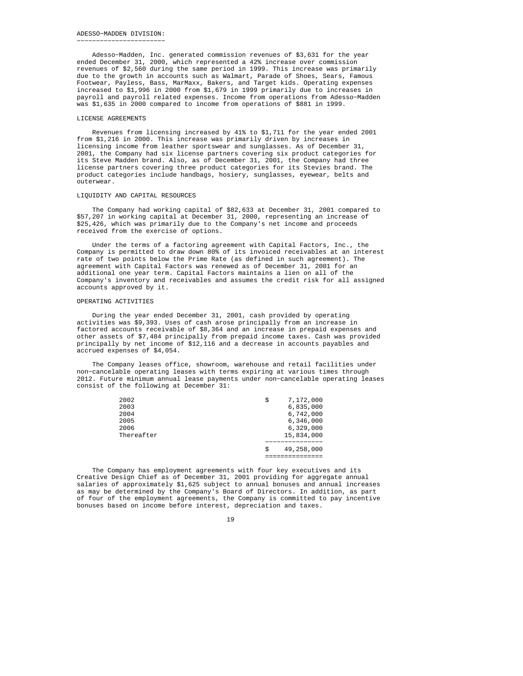Adesso−Madden, Inc. generated commission revenues of \$3,631 for the year ended December 31, 2000, which represented a 42% increase over commission revenues of \$2,560 during the same period in 1999. This increase was primarily due to the growth in accounts such as Walmart, Parade of Shoes, Sears, Famous Footwear, Payless, Bass, MarMaxx, Bakers, and Target kids. Operating expenses increased to \$1,996 in 2000 from \$1,679 in 1999 primarily due to increases in payroll and payroll related expenses. Income from operations from Adesso−Madden was \$1,635 in 2000 compared to income from operations of \$881 in 1999.

#### LICENSE AGREEMENTS

 Revenues from licensing increased by 41% to \$1,711 for the year ended 2001 from \$1,216 in 2000. This increase was primarily driven by increases in licensing income from leather sportswear and sunglasses. As of December 31, 2001, the Company had six license partners covering six product categories for its Steve Madden brand. Also, as of December 31, 2001, the Company had three license partners covering three product categories for its Stevies brand. The product categories include handbags, hosiery, sunglasses, eyewear, belts and outerwear.

# LIQUIDITY AND CAPITAL RESOURCES

 The Company had working capital of \$82,633 at December 31, 2001 compared to \$57,207 in working capital at December 31, 2000, representing an increase of \$25,426, which was primarily due to the Company's net income and proceeds received from the exercise of options.

 Under the terms of a factoring agreement with Capital Factors, Inc., the Company is permitted to draw down 80% of its invoiced receivables at an interest rate of two points below the Prime Rate (as defined in such agreement). The agreement with Capital Factors was renewed as of December 31, 2001 for an additional one year term. Capital Factors maintains a lien on all of the Company's inventory and receivables and assumes the credit risk for all assigned accounts approved by it.

#### OPERATING ACTIVITIES

 During the year ended December 31, 2001, cash provided by operating activities was \$9,393. Uses of cash arose principally from an increase in factored accounts receivable of \$8,364 and an increase in prepaid expenses and other assets of \$7,484 principally from prepaid income taxes. Cash was provided principally by net income of \$12,116 and a decrease in accounts payables and accrued expenses of \$4,054.

 The Company leases office, showroom, warehouse and retail facilities under non−cancelable operating leases with terms expiring at various times through 2012. Future minimum annual lease payments under non−cancelable operating leases consist of the following at December 31:

| 2002       | 7,172,000<br>\$ |  |
|------------|-----------------|--|
| 2003       | 6,835,000       |  |
| 2004       | 6,742,000       |  |
| 2005       | 6,346,000       |  |
| 2006       | 6,329,000       |  |
| Thereafter | 15,834,000      |  |
|            |                 |  |
|            | 49,258,000<br>Ś |  |
|            |                 |  |

 The Company has employment agreements with four key executives and its Creative Design Chief as of December 31, 2001 providing for aggregate annual salaries of approximately \$1,625 subject to annual bonuses and annual increases as may be determined by the Company's Board of Directors. In addition, as part of four of the employment agreements, the Company is committed to pay incentive bonuses based on income before interest, depreciation and taxes.

19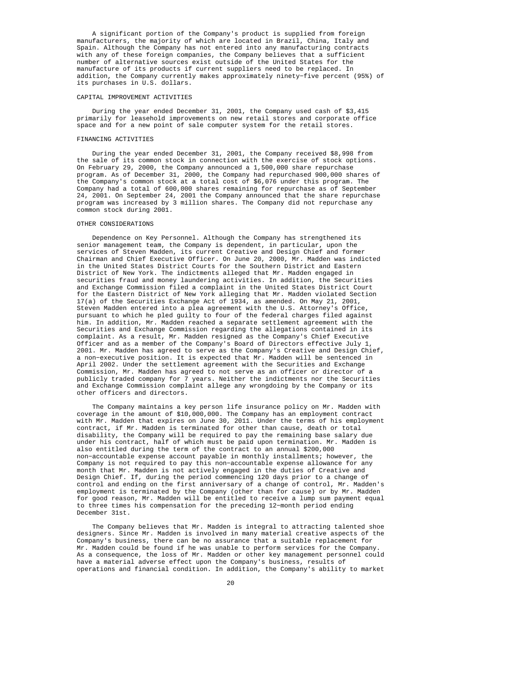A significant portion of the Company's product is supplied from foreign manufacturers, the majority of which are located in Brazil, China, Italy and Spain. Although the Company has not entered into any manufacturing contracts with any of these foreign companies, the Company believes that a sufficient number of alternative sources exist outside of the United States for the manufacture of its products if current suppliers need to be replaced. In addition, the Company currently makes approximately ninety−five percent (95%) of its purchases in U.S. dollars.

#### CAPITAL IMPROVEMENT ACTIVITIES

 During the year ended December 31, 2001, the Company used cash of \$3,415 primarily for leasehold improvements on new retail stores and corporate office space and for a new point of sale computer system for the retail stores.

# FINANCING ACTIVITIES

 During the year ended December 31, 2001, the Company received \$8,998 from the sale of its common stock in connection with the exercise of stock options. On February 29, 2000, the Company announced a 1,500,000 share repurchase program. As of December 31, 2000, the Company had repurchased 900,000 shares of the Company's common stock at a total cost of \$6,076 under this program. The Company had a total of 600,000 shares remaining for repurchase as of September 24, 2001. On September 24, 2001 the Company announced that the share repurchase program was increased by 3 million shares. The Company did not repurchase any common stock during 2001.

# OTHER CONSIDERATIONS

 Dependence on Key Personnel. Although the Company has strengthened its senior management team, the Company is dependent, in particular, upon the services of Steven Madden, its current Creative and Design Chief and former Chairman and Chief Executive Officer. On June 20, 2000, Mr. Madden was indicted in the United States District Courts for the Southern District and Eastern District of New York. The indictments alleged that Mr. Madden engaged in securities fraud and money laundering activities. In addition, the Securities and Exchange Commission filed a complaint in the United States District Court for the Eastern District of New York alleging that Mr. Madden violated Section 17(a) of the Securities Exchange Act of 1934, as amended. On May 21, 2001, Steven Madden entered into a plea agreement with the U.S. Attorney's Office, pursuant to which he pled guilty to four of the federal charges filed against him. In addition, Mr. Madden reached a separate settlement agreement with the Securities and Exchange Commission regarding the allegations contained in its complaint. As a result, Mr. Madden resigned as the Company's Chief Executive Officer and as a member of the Company's Board of Directors effective July 1, 2001. Mr. Madden has agreed to serve as the Company's Creative and Design Chief, a non−executive position. It is expected that Mr. Madden will be sentenced in April 2002. Under the settlement agreement with the Securities and Exchange Commission, Mr. Madden has agreed to not serve as an officer or director of a publicly traded company for 7 years. Neither the indictments nor the Securities and Exchange Commission complaint allege any wrongdoing by the Company or its other officers and directors.

 The Company maintains a key person life insurance policy on Mr. Madden with coverage in the amount of \$10,000,000. The Company has an employment contract with Mr. Madden that expires on June 30, 2011. Under the terms of his employment contract, if Mr. Madden is terminated for other than cause, death or total disability, the Company will be required to pay the remaining base salary due under his contract, half of which must be paid upon termination. Mr. Madden is also entitled during the term of the contract to an annual \$200,000 non−accountable expense account payable in monthly installments; however, the Company is not required to pay this non−accountable expense allowance for any month that Mr. Madden is not actively engaged in the duties of Creative and Design Chief. If, during the period commencing 120 days prior to a change of control and ending on the first anniversary of a change of control, Mr. Madden's employment is terminated by the Company (other than for cause) or by Mr. Madden for good reason, Mr. Madden will be entitled to receive a lump sum payment equal to three times his compensation for the preceding 12−month period ending December 31st.

 The Company believes that Mr. Madden is integral to attracting talented shoe designers. Since Mr. Madden is involved in many material creative aspects of the Company's business, there can be no assurance that a suitable replacement for Mr. Madden could be found if he was unable to perform services for the Company. As a consequence, the loss of Mr. Madden or other key management personnel could have a material adverse effect upon the Company's business, results of operations and financial condition. In addition, the Company's ability to market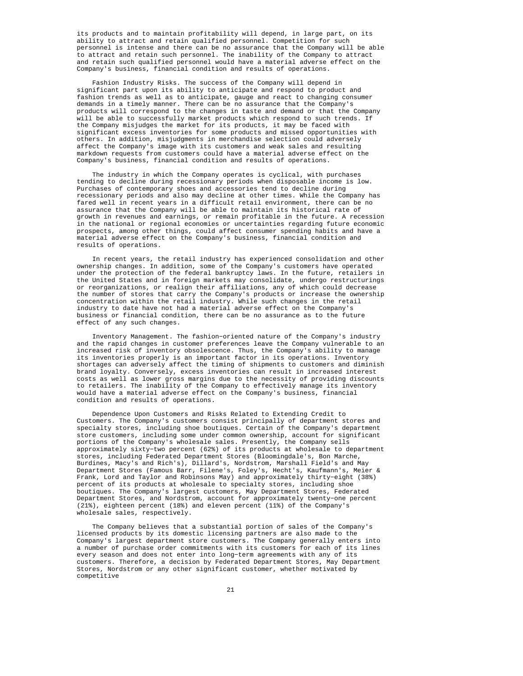its products and to maintain profitability will depend, in large part, on its ability to attract and retain qualified personnel. Competition for such personnel is intense and there can be no assurance that the Company will be able to attract and retain such personnel. The inability of the Company to attract and retain such qualified personnel would have a material adverse effect on the Company's business, financial condition and results of operations.

 Fashion Industry Risks. The success of the Company will depend in significant part upon its ability to anticipate and respond to product and fashion trends as well as to anticipate, gauge and react to changing consumer demands in a timely manner. There can be no assurance that the Company's products will correspond to the changes in taste and demand or that the Company will be able to successfully market products which respond to such trends. If the Company misjudges the market for its products, it may be faced with significant excess inventories for some products and missed opportunities with others. In addition, misjudgments in merchandise selection could adversely affect the Company's image with its customers and weak sales and resulting markdown requests from customers could have a material adverse effect on the Company's business, financial condition and results of operations.

 The industry in which the Company operates is cyclical, with purchases tending to decline during recessionary periods when disposable income is low. Purchases of contemporary shoes and accessories tend to decline during recessionary periods and also may decline at other times. While the Company has fared well in recent years in a difficult retail environment, there can be no assurance that the Company will be able to maintain its historical rate of growth in revenues and earnings, or remain profitable in the future. A recession in the national or regional economies or uncertainties regarding future economic prospects, among other things, could affect consumer spending habits and have a material adverse effect on the Company's business, financial condition and results of operations.

 In recent years, the retail industry has experienced consolidation and other ownership changes. In addition, some of the Company's customers have operated under the protection of the federal bankruptcy laws. In the future, retailers in the United States and in foreign markets may consolidate, undergo restructurings or reorganizations, or realign their affiliations, any of which could decrease the number of stores that carry the Company's products or increase the ownership concentration within the retail industry. While such changes in the retail industry to date have not had a material adverse effect on the Company's business or financial condition, there can be no assurance as to the future effect of any such changes.

 Inventory Management. The fashion−oriented nature of the Company's industry and the rapid changes in customer preferences leave the Company vulnerable to an increased risk of inventory obsolescence. Thus, the Company's ability to manage its inventories properly is an important factor in its operations. Inventory shortages can adversely affect the timing of shipments to customers and diminish brand loyalty. Conversely, excess inventories can result in increased interest costs as well as lower gross margins due to the necessity of providing discounts to retailers. The inability of the Company to effectively manage its inventory would have a material adverse effect on the Company's business, financial condition and results of operations.

 Dependence Upon Customers and Risks Related to Extending Credit to Customers. The Company's customers consist principally of department stores and specialty stores, including shoe boutiques. Certain of the Company's department store customers, including some under common ownership, account for significant portions of the Company's wholesale sales. Presently, the Company sells approximately sixty−two percent (62%) of its products at wholesale to department stores, including Federated Department Stores (Bloomingdale's, Bon Marche, Burdines, Macy's and Rich's), Dillard's, Nordstrom, Marshall Field's and May Department Stores (Famous Barr, Filene's, Foley's, Hecht's, Kaufmann's, Meier & Frank, Lord and Taylor and Robinsons May) and approximately thirty−eight (38%) percent of its products at wholesale to specialty stores, including shoe boutiques. The Company's largest customers, May Department Stores, Federated Department Stores, and Nordstrom, account for approximately twenty−one percent (21%), eighteen percent (18%) and eleven percent (11%) of the Company's wholesale sales, respectively.

 The Company believes that a substantial portion of sales of the Company's licensed products by its domestic licensing partners are also made to the Company's largest department store customers. The Company generally enters into a number of purchase order commitments with its customers for each of its lines every season and does not enter into long−term agreements with any of its customers. Therefore, a decision by Federated Department Stores, May Department Stores, Nordstrom or any other significant customer, whether motivated by competitive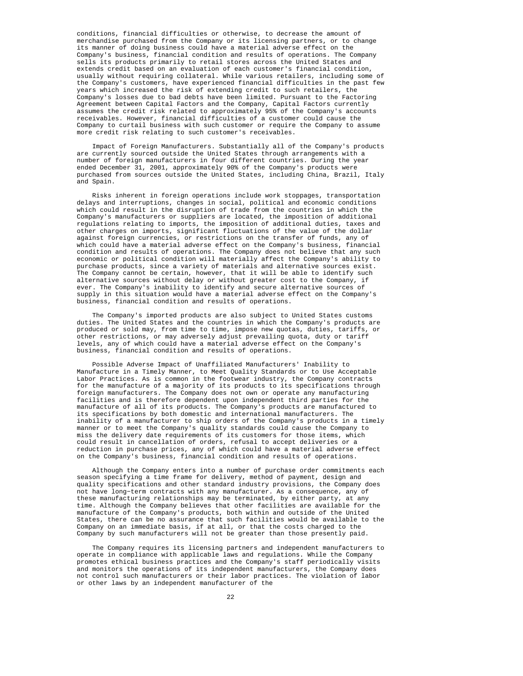conditions, financial difficulties or otherwise, to decrease the amount of merchandise purchased from the Company or its licensing partners, or to change its manner of doing business could have a material adverse effect on the Company's business, financial condition and results of operations. The Company sells its products primarily to retail stores across the United States and extends credit based on an evaluation of each customer's financial condition, usually without requiring collateral. While various retailers, including some of the Company's customers, have experienced financial difficulties in the past few years which increased the risk of extending credit to such retailers, the Company's losses due to bad debts have been limited. Pursuant to the Factoring Agreement between Capital Factors and the Company, Capital Factors currently assumes the credit risk related to approximately 95% of the Company's accounts receivables. However, financial difficulties of a customer could cause the Company to curtail business with such customer or require the Company to assume more credit risk relating to such customer's receivables.

 Impact of Foreign Manufacturers. Substantially all of the Company's products are currently sourced outside the United States through arrangements with a number of foreign manufacturers in four different countries. During the year ended December 31, 2001, approximately 90% of the Company's products were purchased from sources outside the United States, including China, Brazil, Italy and Spain.

 Risks inherent in foreign operations include work stoppages, transportation delays and interruptions, changes in social, political and economic conditions which could result in the disruption of trade from the countries in which the Company's manufacturers or suppliers are located, the imposition of additional regulations relating to imports, the imposition of additional duties, taxes and other charges on imports, significant fluctuations of the value of the dollar against foreign currencies, or restrictions on the transfer of funds, any of which could have a material adverse effect on the Company's business, financial condition and results of operations. The Company does not believe that any such economic or political condition will materially affect the Company's ability to purchase products, since a variety of materials and alternative sources exist. The Company cannot be certain, however, that it will be able to identify such alternative sources without delay or without greater cost to the Company, if ever. The Company's inability to identify and secure alternative sources of supply in this situation would have a material adverse effect on the Company's business, financial condition and results of operations.

 The Company's imported products are also subject to United States customs duties. The United States and the countries in which the Company's products are produced or sold may, from time to time, impose new quotas, duties, tariffs, or other restrictions, or may adversely adjust prevailing quota, duty or tariff levels, any of which could have a material adverse effect on the Company's business, financial condition and results of operations.

 Possible Adverse Impact of Unaffiliated Manufacturers' Inability to Manufacture in a Timely Manner, to Meet Quality Standards or to Use Acceptable Labor Practices. As is common in the footwear industry, the Company contracts for the manufacture of a majority of its products to its specifications through foreign manufacturers. The Company does not own or operate any manufacturing facilities and is therefore dependent upon independent third parties for the manufacture of all of its products. The Company's products are manufactured to its specifications by both domestic and international manufacturers. The inability of a manufacturer to ship orders of the Company's products in a timely manner or to meet the Company's quality standards could cause the Company to miss the delivery date requirements of its customers for those items, which could result in cancellation of orders, refusal to accept deliveries or a reduction in purchase prices, any of which could have a material adverse effect on the Company's business, financial condition and results of operations.

 Although the Company enters into a number of purchase order commitments each season specifying a time frame for delivery, method of payment, design and quality specifications and other standard industry provisions, the Company does not have long−term contracts with any manufacturer. As a consequence, any of these manufacturing relationships may be terminated, by either party, at any time. Although the Company believes that other facilities are available for the manufacture of the Company's products, both within and outside of the United States, there can be no assurance that such facilities would be available to the Company on an immediate basis, if at all, or that the costs charged to the Company by such manufacturers will not be greater than those presently paid.

 The Company requires its licensing partners and independent manufacturers to operate in compliance with applicable laws and regulations. While the Company promotes ethical business practices and the Company's staff periodically visits and monitors the operations of its independent manufacturers, the Company does not control such manufacturers or their labor practices. The violation of labor or other laws by an independent manufacturer of the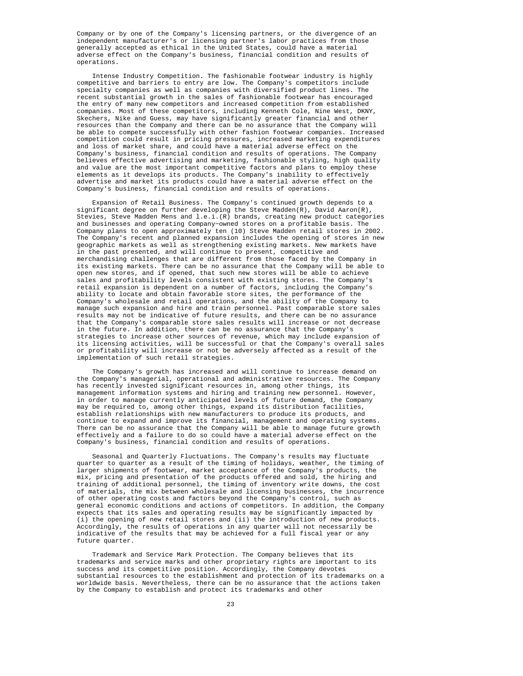Company or by one of the Company's licensing partners, or the divergence of an independent manufacturer's or licensing partner's labor practices from those generally accepted as ethical in the United States, could have a material adverse effect on the Company's business, financial condition and results of operations.

 Intense Industry Competition. The fashionable footwear industry is highly competitive and barriers to entry are low. The Company's competitors include specialty companies as well as companies with diversified product lines. The recent substantial growth in the sales of fashionable footwear has encouraged the entry of many new competitors and increased competition from established companies. Most of these competitors, including Kenneth Cole, Nine West, DKNY, Skechers, Nike and Guess, may have significantly greater financial and other resources than the Company and there can be no assurance that the Company will be able to compete successfully with other fashion footwear companies. Increased competition could result in pricing pressures, increased marketing expenditures and loss of market share, and could have a material adverse effect on the Company's business, financial condition and results of operations. The Company believes effective advertising and marketing, fashionable styling, high quality and value are the most important competitive factors and plans to employ these elements as it develops its products. The Company's inability to effectively advertise and market its products could have a material adverse effect on the Company's business, financial condition and results of operations.

 Expansion of Retail Business. The Company's continued growth depends to a significant degree on further developing the Steve Madden(R), David Aaron(R), Stevies, Steve Madden Mens and l.e.i.(R) brands, creating new product categories and businesses and operating Company−owned stores on a profitable basis. The Company plans to open approximately ten (10) Steve Madden retail stores in 2002. The Company's recent and planned expansion includes the opening of stores in new geographic markets as well as strengthening existing markets. New markets have in the past presented, and will continue to present, competitive and merchandising challenges that are different from those faced by the Company in its existing markets. There can be no assurance that the Company will be able to open new stores, and if opened, that such new stores will be able to achieve sales and profitability levels consistent with existing stores. The Company's retail expansion is dependent on a number of factors, including the Company's ability to locate and obtain favorable store sites, the performance of the Company's wholesale and retail operations, and the ability of the Company to manage such expansion and hire and train personnel. Past comparable store sales results may not be indicative of future results, and there can be no assurance that the Company's comparable store sales results will increase or not decrease in the future. In addition, there can be no assurance that the Company's strategies to increase other sources of revenue, which may include expansion of its licensing activities, will be successful or that the Company's overall sales or profitability will increase or not be adversely affected as a result of the implementation of such retail strategies.

 The Company's growth has increased and will continue to increase demand on the Company's managerial, operational and administrative resources. The Company has recently invested significant resources in, among other things, its management information systems and hiring and training new personnel. However, in order to manage currently anticipated levels of future demand, the Company may be required to, among other things, expand its distribution facilities, establish relationships with new manufacturers to produce its products, and continue to expand and improve its financial, management and operating systems. There can be no assurance that the Company will be able to manage future growth effectively and a failure to do so could have a material adverse effect on the Company's business, financial condition and results of operations.

 Seasonal and Quarterly Fluctuations. The Company's results may fluctuate quarter to quarter as a result of the timing of holidays, weather, the timing of larger shipments of footwear, market acceptance of the Company's products, the mix, pricing and presentation of the products offered and sold, the hiring and training of additional personnel, the timing of inventory write downs, the cost of materials, the mix between wholesale and licensing businesses, the incurrence of other operating costs and factors beyond the Company's control, such as general economic conditions and actions of competitors. In addition, the Company expects that its sales and operating results may be significantly impacted by (i) the opening of new retail stores and (ii) the introduction of new products. Accordingly, the results of operations in any quarter will not necessarily be indicative of the results that may be achieved for a full fiscal year or any future quarter.

 Trademark and Service Mark Protection. The Company believes that its trademarks and service marks and other proprietary rights are important to its success and its competitive position. Accordingly, the Company devotes substantial resources to the establishment and protection of its trademarks on a worldwide basis. Nevertheless, there can be no assurance that the actions taken by the Company to establish and protect its trademarks and other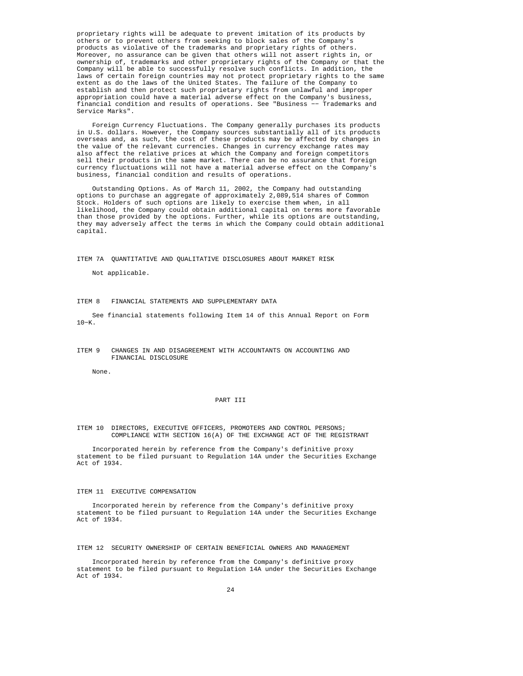proprietary rights will be adequate to prevent imitation of its products by others or to prevent others from seeking to block sales of the Company's products as violative of the trademarks and proprietary rights of others. Moreover, no assurance can be given that others will not assert rights in, or ownership of, trademarks and other proprietary rights of the Company or that the Company will be able to successfully resolve such conflicts. In addition, the laws of certain foreign countries may not protect proprietary rights to the same extent as do the laws of the United States. The failure of the Company to establish and then protect such proprietary rights from unlawful and improper appropriation could have a material adverse effect on the Company's business, financial condition and results of operations. See "Business −− Trademarks and Service Marks".

 Foreign Currency Fluctuations. The Company generally purchases its products in U.S. dollars. However, the Company sources substantially all of its products overseas and, as such, the cost of these products may be affected by changes in the value of the relevant currencies. Changes in currency exchange rates may also affect the relative prices at which the Company and foreign competitors sell their products in the same market. There can be no assurance that foreign currency fluctuations will not have a material adverse effect on the Company's business, financial condition and results of operations.

 Outstanding Options. As of March 11, 2002, the Company had outstanding options to purchase an aggregate of approximately 2,089,514 shares of Common Stock. Holders of such options are likely to exercise them when, in all likelihood, the Company could obtain additional capital on terms more favorable than those provided by the options. Further, while its options are outstanding, they may adversely affect the terms in which the Company could obtain additional capital.

<span id="page-28-0"></span>ITEM 7A QUANTITATIVE AND QUALITATIVE DISCLOSURES ABOUT MARKET RISK

Not applicable.

#### <span id="page-28-1"></span>ITEM 8 FINANCIAL STATEMENTS AND SUPPLEMENTARY DATA

 See financial statements following Item 14 of this Annual Report on Form  $10–K$ .

## <span id="page-28-2"></span>ITEM 9 CHANGES IN AND DISAGREEMENT WITH ACCOUNTANTS ON ACCOUNTING AND FINANCIAL DISCLOSURE

None.

# PART III

<span id="page-28-4"></span><span id="page-28-3"></span>ITEM 10 DIRECTORS, EXECUTIVE OFFICERS, PROMOTERS AND CONTROL PERSONS; COMPLIANCE WITH SECTION 16(A) OF THE EXCHANGE ACT OF THE REGISTRANT

 Incorporated herein by reference from the Company's definitive proxy statement to be filed pursuant to Regulation 14A under the Securities Exchange Act of 1934.

<span id="page-28-5"></span>ITEM 11 EXECUTIVE COMPENSATION

 Incorporated herein by reference from the Company's definitive proxy statement to be filed pursuant to Regulation 14A under the Securities Exchange Act of 1934.

<span id="page-28-6"></span>ITEM 12 SECURITY OWNERSHIP OF CERTAIN BENEFICIAL OWNERS AND MANAGEMENT

 Incorporated herein by reference from the Company's definitive proxy statement to be filed pursuant to Regulation 14A under the Securities Exchange Act of 1934.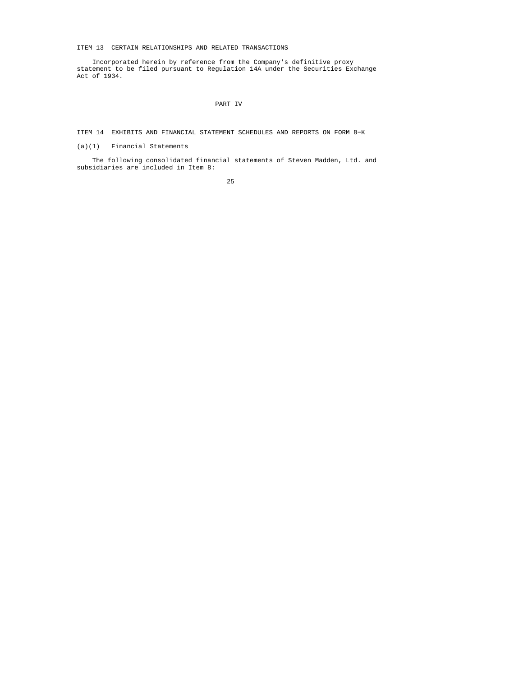<span id="page-29-0"></span>ITEM 13 CERTAIN RELATIONSHIPS AND RELATED TRANSACTIONS

<span id="page-29-1"></span> Incorporated herein by reference from the Company's definitive proxy statement to be filed pursuant to Regulation 14A under the Securities Exchange Act of 1934.

# PART IV

<span id="page-29-2"></span>ITEM 14 EXHIBITS AND FINANCIAL STATEMENT SCHEDULES AND REPORTS ON FORM 8−K

(a)(1) Financial Statements

 The following consolidated financial statements of Steven Madden, Ltd. and subsidiaries are included in Item 8:

<u>25 and 25 and 25 and 25 and 25 and 25 and 25 and 25 and 25 and 25 and 25 and 25 and 25 and 25 and 25 and 25 and 25 and 25 and 25 and 25 and 25 and 25 and 26 and 26 and 26 and 27 and 27 and 27 and 27 and 27 and 27 and 27 a</u>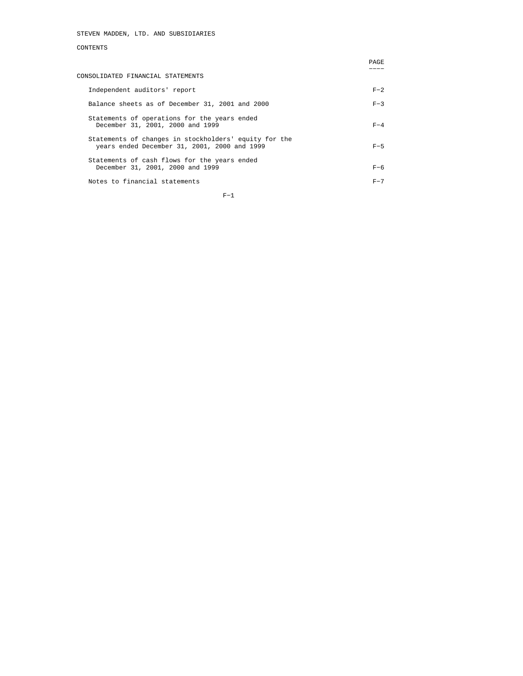# CONTENTS

|                                                                                                       | PAGE    |
|-------------------------------------------------------------------------------------------------------|---------|
| CONSOLIDATED FINANCIAL STATEMENTS                                                                     |         |
| Independent auditors' report                                                                          | $F - 2$ |
| Balance sheets as of December 31, 2001 and 2000                                                       | $F-3$   |
| Statements of operations for the years ended<br>December 31, 2001, 2000 and 1999                      | $F-4$   |
| Statements of changes in stockholders' equity for the<br>years ended December 31, 2001, 2000 and 1999 | $F-5$   |
| Statements of cash flows for the years ended<br>December 31, 2001, 2000 and 1999                      | $F - 6$ |
| Notes to financial statements                                                                         | $F - 7$ |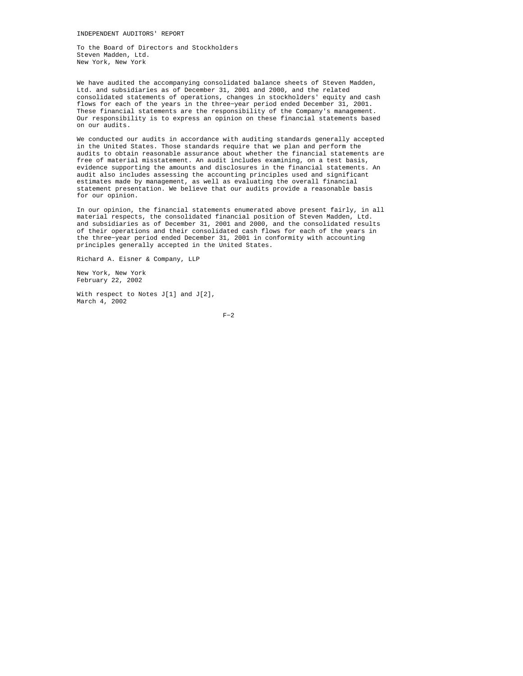To the Board of Directors and Stockholders Steven Madden, Ltd. New York, New York

We have audited the accompanying consolidated balance sheets of Steven Madden, Ltd. and subsidiaries as of December 31, 2001 and 2000, and the related consolidated statements of operations, changes in stockholders' equity and cash flows for each of the years in the three−year period ended December 31, 2001. These financial statements are the responsibility of the Company's management. Our responsibility is to express an opinion on these financial statements based on our audits.

We conducted our audits in accordance with auditing standards generally accepted in the United States. Those standards require that we plan and perform the audits to obtain reasonable assurance about whether the financial statements are free of material misstatement. An audit includes examining, on a test basis, evidence supporting the amounts and disclosures in the financial statements. An audit also includes assessing the accounting principles used and significant estimates made by management, as well as evaluating the overall financial statement presentation. We believe that our audits provide a reasonable basis for our opinion.

In our opinion, the financial statements enumerated above present fairly, in all material respects, the consolidated financial position of Steven Madden, Ltd. and subsidiaries as of December 31, 2001 and 2000, and the consolidated results of their operations and their consolidated cash flows for each of the years in the three−year period ended December 31, 2001 in conformity with accounting principles generally accepted in the United States.

Richard A. Eisner & Company, LLP

New York, New York February 22, 2002

With respect to Notes J[1] and J[2], March 4, 2002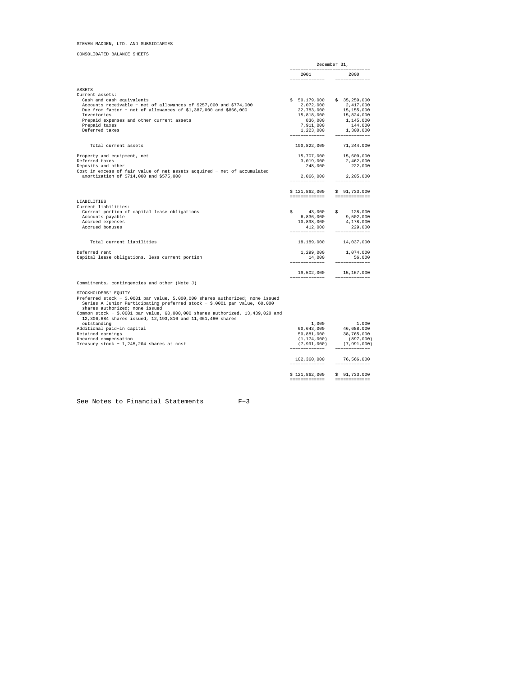#### CONSOLIDATED BALANCE SHEETS

|                                                                                                                                                                                              | December 31,              |                                                      |  |
|----------------------------------------------------------------------------------------------------------------------------------------------------------------------------------------------|---------------------------|------------------------------------------------------|--|
|                                                                                                                                                                                              | 2001                      | ----------------------------------<br>2000           |  |
| ASSETS                                                                                                                                                                                       |                           |                                                      |  |
| Current assets:                                                                                                                                                                              |                           |                                                      |  |
| Cash and cash equivalents                                                                                                                                                                    |                           | $$50,179,000 \t$35,259,000$                          |  |
| Accounts receivable - net of allowances of \$257,000 and \$774,000                                                                                                                           | 2,072,000                 | 2,417,000                                            |  |
| Due from factor - net of allowances of \$1,387,000 and \$866,000                                                                                                                             |                           | 22,783,000<br>15,818,000 15,824,000                  |  |
| Inventories                                                                                                                                                                                  |                           |                                                      |  |
| Prepaid expenses and other current assets                                                                                                                                                    |                           | $836,000$<br>$7,911,000$<br>$1,145,000$<br>$144,000$ |  |
| Prepaid taxes                                                                                                                                                                                |                           |                                                      |  |
| Deferred taxes                                                                                                                                                                               | --------------            | $1,223,000$ $1,300,000$<br>-------------             |  |
|                                                                                                                                                                                              |                           |                                                      |  |
| Total current assets                                                                                                                                                                         | 100,822,000               | 71,244,000                                           |  |
| Property and equipment, net                                                                                                                                                                  |                           | 15,707,000 15,600,000                                |  |
| Deferred taxes                                                                                                                                                                               |                           | 3,019,000 2,462,000                                  |  |
| Deposits and other                                                                                                                                                                           | 248,000                   | 222,000                                              |  |
| Cost in excess of fair value of net assets acquired - net of accumulated                                                                                                                     |                           |                                                      |  |
| amortization of \$714,000 and \$575,000                                                                                                                                                      |                           | 2,066,000 2,205,000<br>-------------                 |  |
|                                                                                                                                                                                              |                           |                                                      |  |
|                                                                                                                                                                                              |                           | $$121,862,000 \t$91,733,000$                         |  |
| LIABILITIES                                                                                                                                                                                  |                           |                                                      |  |
| Current liabilities:                                                                                                                                                                         |                           |                                                      |  |
| Current portion of capital lease obligations                                                                                                                                                 |                           | $$43,000 \t$ 128,000$                                |  |
| Accounts payable                                                                                                                                                                             | 6,836,000                 | 9,502,000                                            |  |
| Accrued expenses                                                                                                                                                                             |                           | 10,898,000 4,178,000                                 |  |
| Accrued bonuses                                                                                                                                                                              | 412,000<br>-------------- | 229,000<br>--------------                            |  |
| Total current liabilities                                                                                                                                                                    |                           |                                                      |  |
|                                                                                                                                                                                              |                           | 18, 189, 000 14, 037, 000                            |  |
| Deferred rent                                                                                                                                                                                |                           | 1,299,000 1,074,000                                  |  |
| Capital lease obligations, less current portion                                                                                                                                              | 14,000<br>______________  | 56,000<br>--------------                             |  |
|                                                                                                                                                                                              |                           |                                                      |  |
|                                                                                                                                                                                              |                           | 19,502,000 15,167,000                                |  |
| Commitments, contingencies and other (Note J)                                                                                                                                                |                           |                                                      |  |
| STOCKHOLDERS' EQUITY                                                                                                                                                                         |                           |                                                      |  |
| Preferred stock - \$.0001 par value, 5,000,000 shares authorized; none issued<br>Series A Junior Participating preferred stock - \$.0001 par value, 60,000<br>shares authorized; none issued |                           |                                                      |  |
| Common stock $=$ \$,0001 par value, 60,000,000 shares authorized, 13,439,020 and                                                                                                             |                           |                                                      |  |

shares authorized; none issued<br>
Common stock - \$.0001 par value, 60,000,000 shares authorized, 13,439,020 and<br>
12,306,684 shares issued, 12,193,816 and 11,061,480 shares<br>
012,306,684 shares<br>
outstanding paid-in capital<br>
Re

|                                           | \$121,862,000 \$91,733,000 |            |
|-------------------------------------------|----------------------------|------------|
|                                           | 102,360,000                | 76,566,000 |
| Treasury stock - 1,245,204 shares at cost | (7, 991, 000)              | (7,991,000 |
|                                           |                            |            |

See Notes to Financial Statements F−3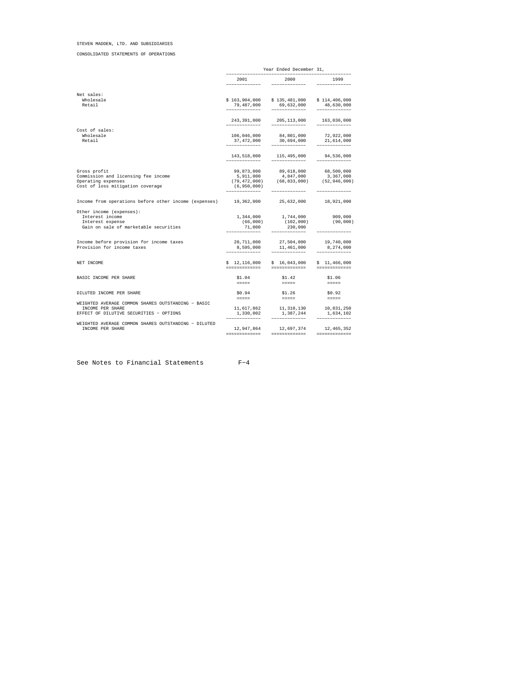# CONSOLIDATED STATEMENTS OF OPERATIONS

|                                                                                                                   | Year Ended December 31,                                                      |                                                                                                                                                                                                                                                                                                                                                                                                                                                                                                                                                      |                                                                                                                                                                                                                                                                                                                                                                                                                                                                                                |  |
|-------------------------------------------------------------------------------------------------------------------|------------------------------------------------------------------------------|------------------------------------------------------------------------------------------------------------------------------------------------------------------------------------------------------------------------------------------------------------------------------------------------------------------------------------------------------------------------------------------------------------------------------------------------------------------------------------------------------------------------------------------------------|------------------------------------------------------------------------------------------------------------------------------------------------------------------------------------------------------------------------------------------------------------------------------------------------------------------------------------------------------------------------------------------------------------------------------------------------------------------------------------------------|--|
|                                                                                                                   | 2001                                                                         | 2000<br>--------------                                                                                                                                                                                                                                                                                                                                                                                                                                                                                                                               | 1999<br>$\begin{array}{cccccccccccccc} \multicolumn{2}{c}{} & \multicolumn{2}{c}{} & \multicolumn{2}{c}{} & \multicolumn{2}{c}{} & \multicolumn{2}{c}{} & \multicolumn{2}{c}{} & \multicolumn{2}{c}{} & \multicolumn{2}{c}{} & \multicolumn{2}{c}{} & \multicolumn{2}{c}{} & \multicolumn{2}{c}{} & \multicolumn{2}{c}{} & \multicolumn{2}{c}{} & \multicolumn{2}{c}{} & \multicolumn{2}{c}{} & \multicolumn{2}{c}{} & \multicolumn{2}{c}{} & \multicolumn{2}{c}{} & \multicolumn{2}{c}{} & \$ |  |
| Net sales:<br>Wholesale<br>Retail                                                                                 | 79,487,000<br>-------------                                                  | $$163,904,000$ $$135,481,000$ $$114,406,000$<br>69,632,000<br>$\begin{array}{cccccccccccccc} \multicolumn{2}{c}{} & \multicolumn{2}{c}{} & \multicolumn{2}{c}{} & \multicolumn{2}{c}{} & \multicolumn{2}{c}{} & \multicolumn{2}{c}{} & \multicolumn{2}{c}{} & \multicolumn{2}{c}{} & \multicolumn{2}{c}{} & \multicolumn{2}{c}{} & \multicolumn{2}{c}{} & \multicolumn{2}{c}{} & \multicolumn{2}{c}{} & \multicolumn{2}{c}{} & \multicolumn{2}{c}{} & \multicolumn{2}{c}{} & \multicolumn{2}{c}{} & \multicolumn{2}{c}{} & \multicolumn{2}{c}{} & \$ | 48,630,000<br>--------------                                                                                                                                                                                                                                                                                                                                                                                                                                                                   |  |
|                                                                                                                   | 243,391,000<br>--------------                                                | 205, 113, 000 163, 036, 000                                                                                                                                                                                                                                                                                                                                                                                                                                                                                                                          | -------------                                                                                                                                                                                                                                                                                                                                                                                                                                                                                  |  |
| Cost of sales:<br>Wholesale<br>Retail                                                                             | 106,046,000<br>37,472,000<br>-------------                                   | 84,801,000<br>30,694,000<br>-------------                                                                                                                                                                                                                                                                                                                                                                                                                                                                                                            | 72,922,000<br>21,614,000<br>-------------                                                                                                                                                                                                                                                                                                                                                                                                                                                      |  |
|                                                                                                                   |                                                                              | 143,518,000 115,495,000                                                                                                                                                                                                                                                                                                                                                                                                                                                                                                                              | 94,536,000<br>-------------                                                                                                                                                                                                                                                                                                                                                                                                                                                                    |  |
| Gross profit<br>Commission and licensing fee income<br>Operating expenses<br>Cost of loss mitigation coverage     | 99,873,000<br>5,911,000<br>(79, 472, 000)<br>(6, 950, 000)<br>-------------- | 89,618,000<br>$(68, 833, 000)$ $(52, 946, 000)$<br>--------------                                                                                                                                                                                                                                                                                                                                                                                                                                                                                    | 68,500,000<br>$4,847,000$ $3,367,000$<br>----------                                                                                                                                                                                                                                                                                                                                                                                                                                            |  |
| Income from operations before other income (expenses) 19,362,000 25,632,000 18,921,000                            |                                                                              |                                                                                                                                                                                                                                                                                                                                                                                                                                                                                                                                                      |                                                                                                                                                                                                                                                                                                                                                                                                                                                                                                |  |
| Other income (expenses):<br>Interest income<br>Interest expense<br>Gain on sale of marketable securities          | (66,000)<br>71,000<br>--------------                                         | 1,344,000 1,744,000<br>(102, 000)<br>230,000<br>-------------                                                                                                                                                                                                                                                                                                                                                                                                                                                                                        | 909,000<br>(90,000)<br>------------                                                                                                                                                                                                                                                                                                                                                                                                                                                            |  |
| Income before provision for income taxes<br>Provision for income taxes                                            | 20,711,000<br>____________                                                   | 27,504,000<br>8,595,000 11,461,000<br>--------------                                                                                                                                                                                                                                                                                                                                                                                                                                                                                                 | 19,740,000<br>8,274,000<br>-------------                                                                                                                                                                                                                                                                                                                                                                                                                                                       |  |
| NET INCOME                                                                                                        |                                                                              | $$12,116,000 \t$16,043,000 \t$11,466,000$                                                                                                                                                                                                                                                                                                                                                                                                                                                                                                            | =============                                                                                                                                                                                                                                                                                                                                                                                                                                                                                  |  |
| BASIC INCOME PER SHARE                                                                                            | \$1.04<br>$=$ $=$ $=$ $=$                                                    | \$1.42<br>$=$ $=$ $=$ $=$                                                                                                                                                                                                                                                                                                                                                                                                                                                                                                                            | \$1.06<br>$= 1.12$                                                                                                                                                                                                                                                                                                                                                                                                                                                                             |  |
| DILUTED INCOME PER SHARE                                                                                          | \$0.94                                                                       | \$1.26                                                                                                                                                                                                                                                                                                                                                                                                                                                                                                                                               | \$0.92<br>$= 1.12$                                                                                                                                                                                                                                                                                                                                                                                                                                                                             |  |
| WEIGHTED AVERAGE COMMON SHARES OUTSTANDING - BASIC<br>INCOME PER SHARE<br>EFFECT OF DILUTIVE SECURITIES - OPTIONS |                                                                              | $\begin{array}{cccc} 11, 617, 862 & \hspace*{1.5cm} 11, 310, 130 & \hspace*{1.5cm} 10, 831, 250 \\ 1, 330, 002 & \hspace*{1.5cm} 1, 387, 244 & \hspace*{1.5cm} 1, 634, 102 \end{array}$<br>--------------                                                                                                                                                                                                                                                                                                                                            | -------------                                                                                                                                                                                                                                                                                                                                                                                                                                                                                  |  |
| WEIGHTED AVERAGE COMMON SHARES OUTSTANDING - DILUTED<br>INCOME PER SHARE                                          | 12,947,864<br>=============                                                  | 12,697,374<br>=============                                                                                                                                                                                                                                                                                                                                                                                                                                                                                                                          | 12,465,352<br>=============                                                                                                                                                                                                                                                                                                                                                                                                                                                                    |  |

See Notes to Financial Statements F−4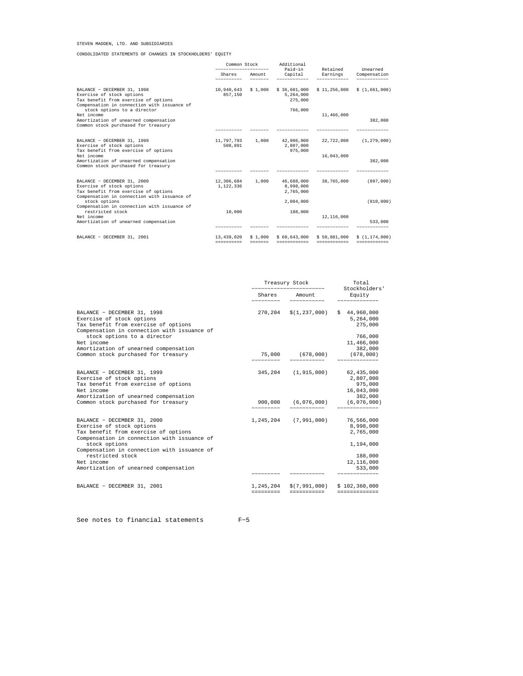CONSOLIDATED STATEMENTS OF CHANGES IN STOCKHOLDERS' EQUITY

|                                                                                                                                                                                | Common Stock                  |                    | Additional<br>Paid-in<br>.                          |                              | Unearned                      |  |
|--------------------------------------------------------------------------------------------------------------------------------------------------------------------------------|-------------------------------|--------------------|-----------------------------------------------------|------------------------------|-------------------------------|--|
|                                                                                                                                                                                | Shares<br>----------          | Amount             | Capital Earnings                                    | Retained                     | Compensation                  |  |
| BALANCE - DECEMBER 31, 1998<br>Exercise of stock options<br>Tax benefit from exercise of options<br>Compensation in connection with issuance of<br>stock options to a director | 10,940,643 \$1,000<br>857,150 |                    | \$36,601,000<br>5,264,000<br>275,000<br>766,000     |                              | $$11,256,000 \t$ (1,661,000)$ |  |
| Net income<br>Amortization of unearned compensation<br>Common stock purchased for treasury                                                                                     |                               |                    |                                                     | 11,466,000                   | 382,000                       |  |
| BALANCE - DECEMBER 31, 1999<br>Exercise of stock options<br>Tax benefit from exercise of options                                                                               | 508,891                       |                    | 11,797,793 1,000 42,906,000<br>2,807,000<br>975,000 | 22,722,000                   | (1, 279, 000)                 |  |
| Net income<br>Amortization of unearned compensation<br>Common stock purchased for treasury                                                                                     |                               |                    |                                                     | 16,043,000                   | 382,000                       |  |
| BALANCE - DECEMBER 31, 2000<br>Exercise of stock options<br>Tax benefit from exercise of options<br>Compensation in connection with issuance of                                | 12,306,684 1,000<br>1,122,336 |                    | 46,688,000<br>8,998,000<br>2,765,000                | 38,765,000                   | (897,000)                     |  |
| stock options<br>Compensation in connection with issuance of<br>restricted stock                                                                                               | 10,000                        |                    | 2,004,000<br>188,000                                |                              | (810,000)                     |  |
| Net income<br>Amortization of unearned compensation                                                                                                                            |                               |                    |                                                     | 12,116,000                   | 533,000                       |  |
| BALANCE - DECEMBER 31, 2001                                                                                                                                                    | 13,439,020<br>==========      | \$1.000<br>======= | \$60.643.000<br>============                        | \$50,881,000<br>============ | \$(1.174.000)<br>============ |  |

|                                                                                     | Treasury Stock |                                            | Total                           |  |
|-------------------------------------------------------------------------------------|----------------|--------------------------------------------|---------------------------------|--|
|                                                                                     |                | Shares Amount<br>------------              | Equity<br>-------------         |  |
| BALANCE - DECEMBER 31, 1998<br>Exercise of stock options                            |                | 270,204 \$(1,237,000) \$44,960,000         | 5,264,000                       |  |
| Tax benefit from exercise of options<br>Compensation in connection with issuance of |                |                                            | 275,000                         |  |
| stock options to a director<br>Net income                                           |                |                                            | 766,000<br>11,466,000           |  |
| Amortization of unearned compensation<br>Common stock purchased for treasury        |                | 75,000 (678,000) (678,000)<br>------------ | 382,000                         |  |
| BALANCE - DECEMBER 31, 1999                                                         |                | 345,204 (1,915,000) 62,435,000             |                                 |  |
| Exercise of stock options                                                           |                |                                            | 2,807,000                       |  |
| Tax benefit from exercise of options<br>Net income                                  |                |                                            | 975,000<br>16,043,000           |  |
| Amortization of unearned compensation                                               |                |                                            | 382,000                         |  |
| Common stock purchased for treasury                                                 | ---------      |                                            | 900,000 (6,076,000) (6,076,000) |  |
| BALANCE - DECEMBER 31, 2000                                                         |                | 1,245,204 (7,991,000) 76,566,000           |                                 |  |
| Exercise of stock options                                                           |                |                                            | 8,998,000                       |  |
| Tax benefit from exercise of options<br>Compensation in connection with issuance of |                |                                            | 2,765,000                       |  |
| stock options<br>Compensation in connection with issuance of                        |                |                                            | 1,194,000                       |  |
| restricted stock                                                                    |                |                                            | 188,000                         |  |
| Net income                                                                          |                |                                            | 12,116,000                      |  |
| Amortization of unearned compensation                                               |                |                                            | 533,000<br>-------------        |  |
| BALANCE - DECEMBER 31, 2001                                                         | 1,245,204      |                                            | $$(7,991,000)$ $$102,360,000$   |  |
|                                                                                     | =========      | ===========                                | =============                   |  |

See notes to financial statements F−5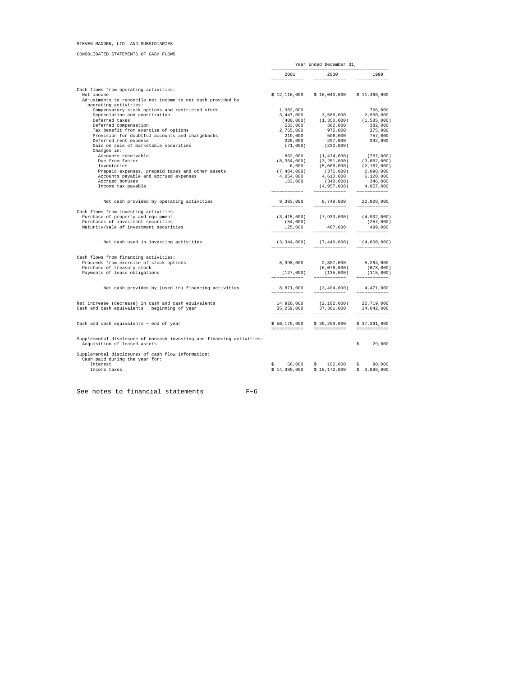# CONSOLIDATED STATEMENTS OF CASH FLOWS

|                                                                                                        | Year Ended December 31, |                                                                                                                                                                                                                                                                                   |                            |
|--------------------------------------------------------------------------------------------------------|-------------------------|-----------------------------------------------------------------------------------------------------------------------------------------------------------------------------------------------------------------------------------------------------------------------------------|----------------------------|
|                                                                                                        |                         | 2001 2000                                                                                                                                                                                                                                                                         | 1999<br>-------------      |
| Cash flows from operating activities:                                                                  |                         |                                                                                                                                                                                                                                                                                   |                            |
| Net income                                                                                             |                         | $$12,116,000 \t$16,043,000 \t$11,466,000$                                                                                                                                                                                                                                         |                            |
| Adjustments to reconcile net income to net cash provided by<br>operating activities:                   |                         |                                                                                                                                                                                                                                                                                   |                            |
| Compensatory stock options and restricted stock                                                        | 1,382,000               |                                                                                                                                                                                                                                                                                   | 766,000                    |
| Depreciation and amortization                                                                          |                         |                                                                                                                                                                                                                                                                                   |                            |
| Deferred taxes                                                                                         |                         |                                                                                                                                                                                                                                                                                   |                            |
| Deferred compensation                                                                                  |                         |                                                                                                                                                                                                                                                                                   |                            |
| Tax benefit from exercise of options                                                                   |                         |                                                                                                                                                                                                                                                                                   |                            |
|                                                                                                        |                         |                                                                                                                                                                                                                                                                                   |                            |
| Provision for doubtful accounts and chargebacks                                                        |                         |                                                                                                                                                                                                                                                                                   |                            |
| Deferred rent expense                                                                                  |                         |                                                                                                                                                                                                                                                                                   |                            |
| Gain on sale of marketable securities<br>Changes in:                                                   |                         | $\begin{array}{cccc} 1,382,000 & 3,586,000 & 766,000 \\ 3,447,000 & 3,586,000 & 2,950,000 \\ (480,000) & (1,350,000) & (1,585,000) \\ 533,000 & 382,000 & 382,000 \\ 2,765,000 & 975,000 & 275,000 \\ 219,000 & 506,000 & 757,000 \\ 225,000 & 297,000 & 392,000 \\ (71,0$        |                            |
| Accounts receivable                                                                                    |                         | $\begin{array}{cccc} 862,000 & (1,474,000) & (767,000) \\ (8,364,000) & (3,251,000) & (3,962,000) \\ 6,000 & (5,666,000) & (2,187,000) \\ (7,484,000) & (375,000) & 2,098,000 \\ 4,64,000 & (470,000) & (470,000) \end{array}$                                                    |                            |
| Due from factor                                                                                        |                         |                                                                                                                                                                                                                                                                                   |                            |
| Inventories                                                                                            |                         |                                                                                                                                                                                                                                                                                   |                            |
| Prepaid expenses, prepaid taxes and other assets                                                       |                         |                                                                                                                                                                                                                                                                                   |                            |
| Accounts payable and accrued expenses                                                                  |                         |                                                                                                                                                                                                                                                                                   |                            |
| Accrued bonuses                                                                                        |                         |                                                                                                                                                                                                                                                                                   |                            |
| Income tax payable                                                                                     |                         |                                                                                                                                                                                                                                                                                   |                            |
|                                                                                                        |                         | $(7,484,000,$<br>$4,654,000,$<br>$183,000,$<br>$(348,000),$<br>$(4,957,000),$<br>$(-1,000,$<br>$(-1,000,$<br>$(-1,000,$<br>$(-1,000,$<br>$(-1,000,$<br>$(-1,000,$<br>$(-1,000,$<br>$(-1,000,$<br>$(-1,000,$<br>$(-1,000,$<br>$(-1,000,$<br>$(-1,000,$<br>$(-1,000,$<br>$(-1,000,$ |                            |
| Net cash provided by operating activities                                                              |                         | 9,393,000 8,748,000 22,908,000                                                                                                                                                                                                                                                    |                            |
| Cash flows from investing activities:                                                                  |                         |                                                                                                                                                                                                                                                                                   |                            |
| Purchase of property and equipment                                                                     |                         | $(3, 415, 000)$ $(7, 933, 000)$ $(4, 902, 000)$                                                                                                                                                                                                                                   |                            |
| Purchases of investment securities                                                                     | (54,000)                |                                                                                                                                                                                                                                                                                   | (257,000)                  |
| Maturity/sale of investment securities                                                                 |                         | $125,000$ 487,000                                                                                                                                                                                                                                                                 | 499,000                    |
|                                                                                                        | _____________           | ______________                                                                                                                                                                                                                                                                    | ------------               |
| Net cash used in investing activities                                                                  |                         | $(3,344,000)$ $(7,446,000)$                                                                                                                                                                                                                                                       | (4,660,000)                |
|                                                                                                        |                         |                                                                                                                                                                                                                                                                                   |                            |
| Cash flows from financing activities:                                                                  |                         |                                                                                                                                                                                                                                                                                   |                            |
| Proceeds from exercise of stock options                                                                |                         | 8,998,000 2,807,000                                                                                                                                                                                                                                                               | 5, 264, 000                |
| Purchase of treasury stock                                                                             |                         | (6,076,000)                                                                                                                                                                                                                                                                       | (678,000)                  |
| Payments of lease obligations                                                                          | -------------           | $(127,000)$ $(135,000)$<br><b>Construction Construction</b>                                                                                                                                                                                                                       | (115,000)<br>------------- |
|                                                                                                        |                         |                                                                                                                                                                                                                                                                                   |                            |
| Net cash provided by (used in) financing activities                                                    | -------------           | 8,871,000 (3,404,000) 4,471,000<br>____________                                                                                                                                                                                                                                   | -------------              |
| Net increase (decrease) in cash and cash equivalents                                                   | 14,920,000              |                                                                                                                                                                                                                                                                                   |                            |
| Cash and cash equivalents - beginning of year                                                          | 35,259,000              | $(2, 102, 000)$ $22, 719, 000$<br>37, 361, 000 $14, 642, 000$                                                                                                                                                                                                                     |                            |
|                                                                                                        | _____________           | <b>Construction of the Construction</b>                                                                                                                                                                                                                                           | _____________              |
| Cash and cash equivalents - end of year                                                                |                         | $$50,179,000 \t$35,259,000 \t$37,361,000$                                                                                                                                                                                                                                         |                            |
|                                                                                                        |                         |                                                                                                                                                                                                                                                                                   |                            |
| Supplemental disclosure of noncash investing and financing activities:<br>Acquisition of leased assets |                         |                                                                                                                                                                                                                                                                                   | \$<br>29,000               |
| Supplemental disclosures of cash flow information:                                                     |                         |                                                                                                                                                                                                                                                                                   |                            |
| Cash paid during the year for:                                                                         |                         |                                                                                                                                                                                                                                                                                   |                            |
| Interest                                                                                               |                         | $$66,000$$ \$ 102,000 \$ 90,000                                                                                                                                                                                                                                                   |                            |
| Income taxes                                                                                           |                         | $$14,389,000 \t$16,172,000 \t$3,886,000$                                                                                                                                                                                                                                          |                            |
|                                                                                                        |                         |                                                                                                                                                                                                                                                                                   |                            |
|                                                                                                        |                         |                                                                                                                                                                                                                                                                                   |                            |

See notes to financial statements F−6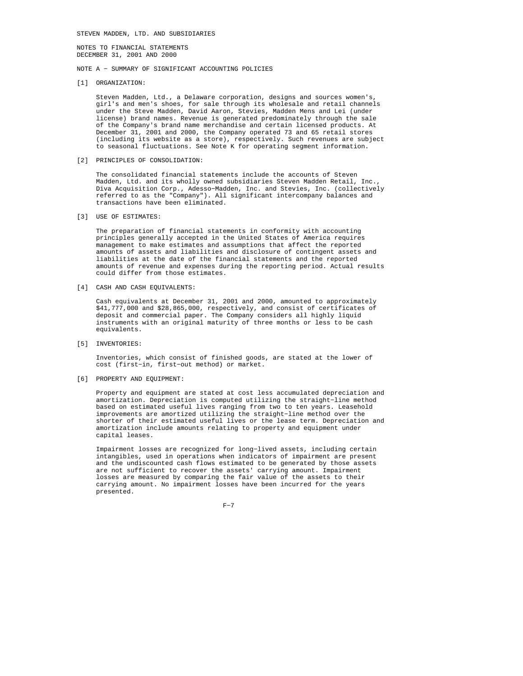## NOTE A − SUMMARY OF SIGNIFICANT ACCOUNTING POLICIES

[1] ORGANIZATION:

 Steven Madden, Ltd., a Delaware corporation, designs and sources women's, girl's and men's shoes, for sale through its wholesale and retail channels under the Steve Madden, David Aaron, Stevies, Madden Mens and Lei (under license) brand names. Revenue is generated predominately through the sale of the Company's brand name merchandise and certain licensed products. At December 31, 2001 and 2000, the Company operated 73 and 65 retail stores (including its website as a store), respectively. Such revenues are subject to seasonal fluctuations. See Note K for operating segment information.

[2] PRINCIPLES OF CONSOLIDATION:

 The consolidated financial statements include the accounts of Steven Madden, Ltd. and its wholly owned subsidiaries Steven Madden Retail, Inc. Diva Acquisition Corp., Adesso−Madden, Inc. and Stevies, Inc. (collectively referred to as the "Company"). All significant intercompany balances and transactions have been eliminated.

[3] USE OF ESTIMATES:

 The preparation of financial statements in conformity with accounting principles generally accepted in the United States of America requires management to make estimates and assumptions that affect the reported amounts of assets and liabilities and disclosure of contingent assets and liabilities at the date of the financial statements and the reported amounts of revenue and expenses during the reporting period. Actual results could differ from those estimates.

[4] CASH AND CASH EQUIVALENTS:

 Cash equivalents at December 31, 2001 and 2000, amounted to approximately \$41,777,000 and \$28,865,000, respectively, and consist of certificates of deposit and commercial paper. The Company considers all highly liquid instruments with an original maturity of three months or less to be cash equivalents.

[5] INVENTORIES:

 Inventories, which consist of finished goods, are stated at the lower of cost (first−in, first−out method) or market.

[6] PROPERTY AND EQUIPMENT:

 Property and equipment are stated at cost less accumulated depreciation and amortization. Depreciation is computed utilizing the straight−line method based on estimated useful lives ranging from two to ten years. Leasehold improvements are amortized utilizing the straight−line method over the shorter of their estimated useful lives or the lease term. Depreciation and amortization include amounts relating to property and equipment under capital leases.

 Impairment losses are recognized for long−lived assets, including certain intangibles, used in operations when indicators of impairment are present and the undiscounted cash flows estimated to be generated by those assets are not sufficient to recover the assets' carrying amount. Impairment losses are measured by comparing the fair value of the assets to their carrying amount. No impairment losses have been incurred for the years presented.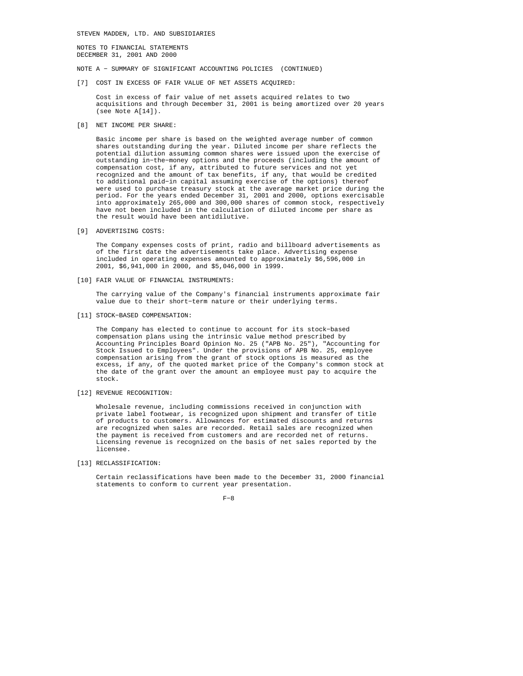NOTE A − SUMMARY OF SIGNIFICANT ACCOUNTING POLICIES (CONTINUED)

[7] COST IN EXCESS OF FAIR VALUE OF NET ASSETS ACQUIRED:

 Cost in excess of fair value of net assets acquired relates to two acquisitions and through December 31, 2001 is being amortized over 20 years (see Note A[14]).

[8] NET INCOME PER SHARE:

 Basic income per share is based on the weighted average number of common shares outstanding during the year. Diluted income per share reflects the potential dilution assuming common shares were issued upon the exercise of outstanding in−the−money options and the proceeds (including the amount of compensation cost, if any, attributed to future services and not yet recognized and the amount of tax benefits, if any, that would be credited to additional paid−in capital assuming exercise of the options) thereof were used to purchase treasury stock at the average market price during the period. For the years ended December 31, 2001 and 2000, options exercisable into approximately 265,000 and 300,000 shares of common stock, respectively have not been included in the calculation of diluted income per share as the result would have been antidilutive.

[9] ADVERTISING COSTS:

 The Company expenses costs of print, radio and billboard advertisements as of the first date the advertisements take place. Advertising expense included in operating expenses amounted to approximately \$6,596,000 in 2001, \$6,941,000 in 2000, and \$5,046,000 in 1999.

[10] FAIR VALUE OF FINANCIAL INSTRUMENTS:

 The carrying value of the Company's financial instruments approximate fair value due to their short−term nature or their underlying terms.

[11] STOCK−BASED COMPENSATION:

 The Company has elected to continue to account for its stock−based compensation plans using the intrinsic value method prescribed by Accounting Principles Board Opinion No. 25 ("APB No. 25"), "Accounting for Stock Issued to Employees". Under the provisions of APB No. 25, employee compensation arising from the grant of stock options is measured as the excess, if any, of the quoted market price of the Company's common stock at the date of the grant over the amount an employee must pay to acquire the stock.

[12] REVENUE RECOGNITION:

 Wholesale revenue, including commissions received in conjunction with private label footwear, is recognized upon shipment and transfer of title of products to customers. Allowances for estimated discounts and returns are recognized when sales are recorded. Retail sales are recognized when the payment is received from customers and are recorded net of returns. Licensing revenue is recognized on the basis of net sales reported by the licensee.

[13] RECLASSIFICATION:

 Certain reclassifications have been made to the December 31, 2000 financial statements to conform to current year presentation.

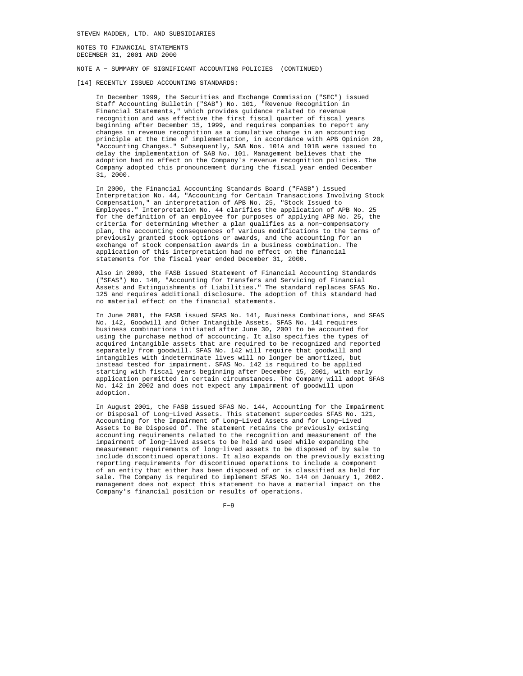NOTE A − SUMMARY OF SIGNIFICANT ACCOUNTING POLICIES (CONTINUED)

[14] RECENTLY ISSUED ACCOUNTING STANDARDS:

 In December 1999, the Securities and Exchange Commission ("SEC") issued Staff Accounting Bulletin ("SAB") No. 101, "Revenue Recognition in Financial Statements," which provides guidance related to revenue recognition and was effective the first fiscal quarter of fiscal years beginning after December 15, 1999, and requires companies to report any changes in revenue recognition as a cumulative change in an accounting principle at the time of implementation, in accordance with APB Opinion 20, "Accounting Changes." Subsequently, SAB Nos. 101A and 101B were issued to delay the implementation of SAB No. 101. Management believes that the adoption had no effect on the Company's revenue recognition policies. The Company adopted this pronouncement during the fiscal year ended December 31, 2000.

 In 2000, the Financial Accounting Standards Board ("FASB") issued Interpretation No. 44, "Accounting for Certain Transactions Involving Stock Compensation," an interpretation of APB No. 25, "Stock Issued to Employees." Interpretation No. 44 clarifies the application of APB No. 25 for the definition of an employee for purposes of applying APB No. 25, the criteria for determining whether a plan qualifies as a non−compensatory plan, the accounting consequences of various modifications to the terms of previously granted stock options or awards, and the accounting for an exchange of stock compensation awards in a business combination. The application of this interpretation had no effect on the financial statements for the fiscal year ended December 31, 2000.

 Also in 2000, the FASB issued Statement of Financial Accounting Standards ("SFAS") No. 140, "Accounting for Transfers and Servicing of Financial Assets and Extinguishments of Liabilities." The standard replaces SFAS No. 125 and requires additional disclosure. The adoption of this standard had no material effect on the financial statements.

 In June 2001, the FASB issued SFAS No. 141, Business Combinations, and SFAS No. 142, Goodwill and Other Intangible Assets. SFAS No. 141 requires business combinations initiated after June 30, 2001 to be accounted for using the purchase method of accounting. It also specifies the types of acquired intangible assets that are required to be recognized and reported separately from goodwill. SFAS No. 142 will require that goodwill and intangibles with indeterminate lives will no longer be amortized, but instead tested for impairment. SFAS No. 142 is required to be applied starting with fiscal years beginning after December 15, 2001, with early application permitted in certain circumstances. The Company will adopt SFAS No. 142 in 2002 and does not expect any impairment of goodwill upon adoption.

 In August 2001, the FASB issued SFAS No. 144, Accounting for the Impairment or Disposal of Long−Lived Assets. This statement supercedes SFAS No. 121, Accounting for the Impairment of Long−Lived Assets and for Long−Lived Assets to Be Disposed Of. The statement retains the previously existing accounting requirements related to the recognition and measurement of the impairment of long−lived assets to be held and used while expanding the measurement requirements of long−lived assets to be disposed of by sale to include discontinued operations. It also expands on the previously existing reporting requirements for discontinued operations to include a component of an entity that either has been disposed of or is classified as held for sale. The Company is required to implement SFAS No. 144 on January 1, 2002. management does not expect this statement to have a material impact on the Company's financial position or results of operations.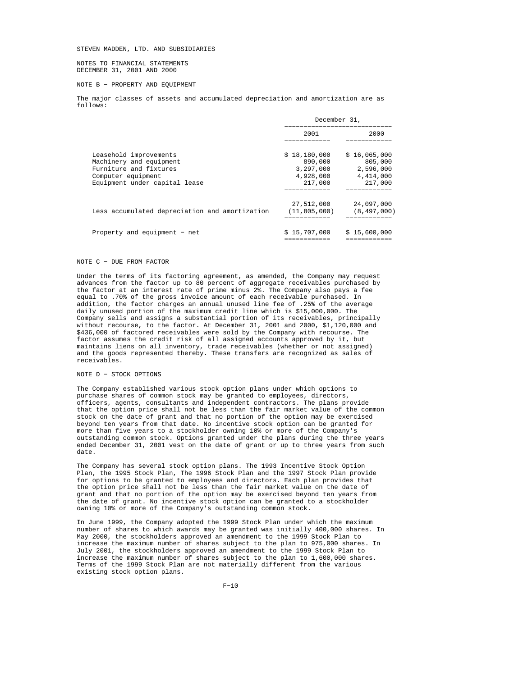NOTES TO FINANCIAL STATEMENTS DECEMBER 31, 2001 AND 2000

NOTE B − PROPERTY AND EQUIPMENT

The major classes of assets and accumulated depreciation and amortization are as follows:

|                                                | December 31,   |               |  |
|------------------------------------------------|----------------|---------------|--|
|                                                | 2001           | 2000          |  |
|                                                |                |               |  |
| Leasehold improvements                         | \$18,180,000   | \$16,065,000  |  |
| Machinery and equipment                        | 890,000        | 805,000       |  |
| Furniture and fixtures                         | 3,297,000      | 2,596,000     |  |
| Computer equipment                             | 4,928,000      | 4,414,000     |  |
| Equipment under capital lease                  | 217,000        | 217,000       |  |
|                                                |                |               |  |
|                                                | 27,512,000     | 24,097,000    |  |
| Less accumulated depreciation and amortization | (11, 805, 000) | (8, 497, 000) |  |
|                                                |                | ----------    |  |
| Property and equipment - net                   | \$15,707,000   | \$15,600,000  |  |
|                                                |                |               |  |

# NOTE C − DUE FROM FACTOR

Under the terms of its factoring agreement, as amended, the Company may request advances from the factor up to 80 percent of aggregate receivables purchased by the factor at an interest rate of prime minus 2%. The Company also pays a fee equal to .70% of the gross invoice amount of each receivable purchased. In addition, the factor charges an annual unused line fee of .25% of the average daily unused portion of the maximum credit line which is \$15,000,000. The Company sells and assigns a substantial portion of its receivables, principally without recourse, to the factor. At December 31, 2001 and 2000, \$1,120,000 and \$436,000 of factored receivables were sold by the Company with recourse. The factor assumes the credit risk of all assigned accounts approved by it, but maintains liens on all inventory, trade receivables (whether or not assigned) and the goods represented thereby. These transfers are recognized as sales of receivables.

# NOTE D − STOCK OPTIONS

The Company established various stock option plans under which options to purchase shares of common stock may be granted to employees, directors, officers, agents, consultants and independent contractors. The plans provide that the option price shall not be less than the fair market value of the common stock on the date of grant and that no portion of the option may be exercised beyond ten years from that date. No incentive stock option can be granted for more than five years to a stockholder owning 10% or more of the Company's outstanding common stock. Options granted under the plans during the three years ended December 31, 2001 vest on the date of grant or up to three years from such date.

The Company has several stock option plans. The 1993 Incentive Stock Option Plan, the 1995 Stock Plan, The 1996 Stock Plan and the 1997 Stock Plan provide for options to be granted to employees and directors. Each plan provides that the option price shall not be less than the fair market value on the date of grant and that no portion of the option may be exercised beyond ten years from the date of grant. No incentive stock option can be granted to a stockholder owning 10% or more of the Company's outstanding common stock.

In June 1999, the Company adopted the 1999 Stock Plan under which the maximum number of shares to which awards may be granted was initially 400,000 shares. In May 2000, the stockholders approved an amendment to the 1999 Stock Plan to increase the maximum number of shares subject to the plan to 975,000 shares. In July 2001, the stockholders approved an amendment to the 1999 Stock Plan to increase the maximum number of shares subject to the plan to 1,600,000 shares. Terms of the 1999 Stock Plan are not materially different from the various existing stock option plans.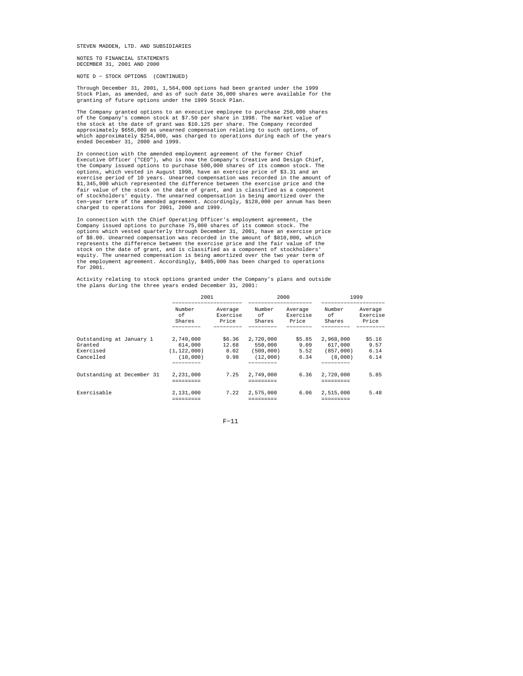NOTES TO FINANCIAL STATEMENTS DECEMBER 31, 2001 AND 2000

NOTE D − STOCK OPTIONS (CONTINUED)

Through December 31, 2001, 1,564,000 options had been granted under the 1999 Stock Plan, as amended, and as of such date 36,000 shares were available for the granting of future options under the 1999 Stock Plan.

The Company granted options to an executive employee to purchase 250,000 shares of the Company's common stock at \$7.50 per share in 1998. The market value of the stock at the date of grant was \$10.125 per share. The Company recorded approximately \$656,000 as unearned compensation relating to such options, of which approximately \$254,000, was charged to operations during each of the years ended December 31, 2000 and 1999.

In connection with the amended employment agreement of the former Chief Executive Officer ("CEO"), who is now the Company's Creative and Design Chief,<br>the Company issued options to purchase 500,000 shares of its common stock. The<br>options, which vested in August 1998, have an exercise price of exercise period of 10 years. Unearned compensation was recorded in the amount of \$1,345,000 which represented the difference between the exercise price and the fair value of the stock on the date of grant, and is classified as a component of stockholders' equity. The unearned compensation is being amortized over the ten−year term of the amended agreement. Accordingly, \$128,000 per annum has been charged to operations for 2001, 2000 and 1999.

In connection with the Chief Operating Officer's employment agreement, the Company issued options to purchase 75,000 shares of its common stock. The options which vested quarterly through December 31, 2001, have an exercise price of \$8.00. Unearned compensation was recorded in the amount of \$810,000, which represents the difference between the exercise price and the fair value of the stock on the date of grant, and is classified as a component of stockholders' equity. The unearned compensation is being amortized over the two year term of the employment agreement. Accordingly, \$405,000 has been charged to operations for 2001.

Activity relating to stock options granted under the Company's plans and outside the plans during the three years ended December 31, 2001:

|                                                               | 2001                                                        |                                 | 2000                                          |                                | 1999                                         |                                |
|---------------------------------------------------------------|-------------------------------------------------------------|---------------------------------|-----------------------------------------------|--------------------------------|----------------------------------------------|--------------------------------|
|                                                               | Number<br>of<br>Shares                                      | Average<br>Exercise<br>Price    | Number<br>of<br>Shares                        | Average<br>Exercise<br>Price   | Number<br>of<br>Shares                       | Average<br>Exercise<br>Price   |
| Outstanding at January 1<br>Granted<br>Exercised<br>Cancelled | 2,749,000<br>614,000<br>(1.122.000)<br>(10.000)<br>-------- | \$6.36<br>12.68<br>8.02<br>9.98 | 2,720,000<br>550,000<br>(509,000)<br>(12,000) | \$5.85<br>9.09<br>5.52<br>6.34 | 2,968,000<br>617,000<br>(857,000)<br>(8.000) | \$5.16<br>9.57<br>6.14<br>6.14 |
| Outstanding at December 31                                    | 2,231,000<br>----------                                     | 7.25                            | 2,749,000<br>----------                       | 6.36                           | 2,720,000<br>---------                       | 5.85                           |
| Exercisable                                                   | 2,131,000<br>--------                                       | 7.22                            | 2,575,000                                     | 6.06                           | 2,515,000                                    | 5.48                           |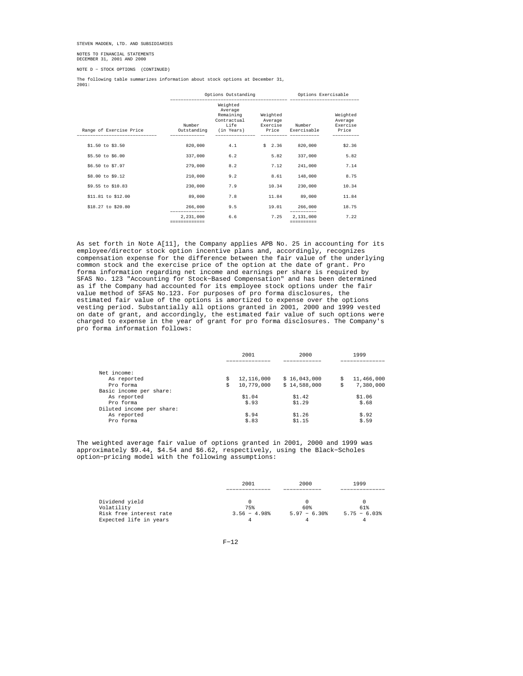NOTES TO FINANCIAL STATEMENTS DECEMBER 31, 2001 AND 2000

NOTE D − STOCK OPTIONS (CONTINUED)

The following table summarizes information about stock options at December 31, 2001:

|                         | Options Outstanding The Options Exercisable |                                                                                         |                                 |                         |                                          |
|-------------------------|---------------------------------------------|-----------------------------------------------------------------------------------------|---------------------------------|-------------------------|------------------------------------------|
| Range of Exercise Price | Number                                      | Weighted<br>Average<br>Remaining<br>Contractual<br>Life<br>Outstanding (in Years) Price | Weighted<br>Average<br>Exercise | Number<br>Exercisable   | Weighted<br>Average<br>Exercise<br>Price |
| \$1.50 to \$3.50        | 820,000                                     | 4.1                                                                                     | \$2.36                          | 820,000                 | \$2.36                                   |
| \$5.50 to \$6.00        | 337,000                                     | 6.2                                                                                     | 5.82                            | 337,000                 | 5.82                                     |
| \$6.50 to \$7.97        | 279,000                                     | 8.2                                                                                     | 7.12                            | 241,000                 | 7.14                                     |
| \$8.00 to \$9.12        | 210,000                                     | 9.2                                                                                     | 8.61                            | 148,000                 | 8.75                                     |
| \$9.55 to \$10.83       | 230,000                                     | 7.9                                                                                     | 10.34                           | 230,000                 | 10.34                                    |
| \$11.81 to \$12.00      | 89,000                                      | 7.8                                                                                     | 11.84                           | 89,000                  | 11.84                                    |
| \$18.27 to \$20.80      | 266,000                                     | 9.5                                                                                     | 19.01                           | 266,000                 | 18.75                                    |
|                         | 2,231,000<br>==============                 | 6.6                                                                                     | 7.25                            | 2,131,000<br>========== | 7.22                                     |

As set forth in Note A[11], the Company applies APB No. 25 in accounting for its employee/director stock option incentive plans and, accordingly, recognizes compensation expense for the difference between the fair value of the underlying common stock and the exercise price of the option at the date of grant. Pro forma information regarding net income and earnings per share is required by SFAS No. 123 "Accounting for Stock−Based Compensation" and has been determined as if the Company had accounted for its employee stock options under the fair value method of SFAS No.123. For purposes of pro forma disclosures, the estimated fair value of the options is amortized to expense over the options vesting period. Substantially all options granted in 2001, 2000 and 1999 vested on date of grant, and accordingly, the estimated fair value of such options were charged to expense in the year of grant for pro forma disclosures. The Company's pro forma information follows:

|                           | 2001 |            | 2000         | 1999 |            |
|---------------------------|------|------------|--------------|------|------------|
|                           |      |            |              |      |            |
| Net income:               |      |            |              |      |            |
| As reported               | \$   | 12,116,000 | \$16,043,000 | \$   | 11,466,000 |
| Pro forma                 | Ś    | 10,779,000 | \$14,588,000 | \$   | 7,380,000  |
| Basic income per share:   |      |            |              |      |            |
| As reported               |      | \$1.04     | \$1.42       |      | \$1.06     |
| Pro forma                 |      | \$.93      | \$1.29       |      | \$.68      |
| Diluted income per share: |      |            |              |      |            |
| As reported               |      | \$.94      | \$1.26       |      | \$.92      |
| Pro forma                 |      | \$.83      | \$1.15       |      | \$.59      |
|                           |      |            |              |      |            |

The weighted average fair value of options granted in 2001, 2000 and 1999 was approximately \$9.44, \$4.54 and \$6.62, respectively, using the Black−Scholes option−pricing model with the following assumptions:

|                         | 2001           | 2000           | 1999           |
|-------------------------|----------------|----------------|----------------|
|                         |                |                |                |
| Dividend yield          |                |                | 0              |
| Volatility              | 75%            | 60%            | 61%            |
| Risk free interest rate | $3.56 - 4.98%$ | $5.97 - 6.30%$ | $5.75 - 6.03%$ |
| Expected life in years  |                |                |                |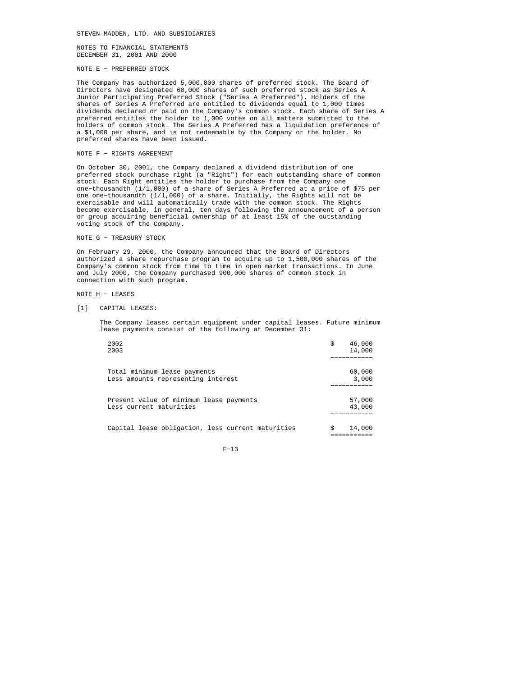NOTE E − PREFERRED STOCK

The Company has authorized 5,000,000 shares of preferred stock. The Board of Directors have designated 60,000 shares of such preferred stock as Series A Junior Participating Preferred Stock ("Series A Preferred"). Holders of the shares of Series A Preferred are entitled to dividends equal to 1,000 times dividends declared or paid on the Company's common stock. Each share of Series A preferred entitles the holder to 1,000 votes on all matters submitted to the holders of common stock. The Series A Preferred has a liquidation preference of a \$1,000 per share, and is not redeemable by the Company or the holder. No preferred shares have been issued.

# NOTE F − RIGHTS AGREEMENT

On October 30, 2001, the Company declared a dividend distribution of one preferred stock purchase right (a "Right") for each outstanding share of common stock. Each Right entitles the holder to purchase from the Company one one−thousandth (1/1,000) of a share of Series A Preferred at a price of \$75 per one one−thousandth (1/1,000) of a share. Initially, the Rights will not be exercisable and will automatically trade with the common stock. The Rights become exercisable, in general, ten days following the announcement of a person or group acquiring beneficial ownership of at least 15% of the outstanding voting stock of the Company.

# NOTE G − TREASURY STOCK

On February 29, 2000, the Company announced that the Board of Directors authorized a share repurchase program to acquire up to 1,500,000 shares of the Company's common stock from time to time in open market transactions. In June and July 2000, the Company purchased 900,000 shares of common stock in connection with such program.

#### NOTE H − LEASES

# [1] CAPITAL LEASES:

 The Company leases certain equipment under capital leases. Future minimum lease payments consist of the following at December 31:

| 2002<br>2003                                      | \$<br>46,000<br>14,000 |
|---------------------------------------------------|------------------------|
| Total minimum lease payments                      | 60,000                 |
| Less amounts representing interest                | 3,000                  |
| Present value of minimum lease payments           | 57,000                 |
| Less current maturities                           | 43,000                 |
| Capital lease obligation, less current maturities | \$<br>14,000           |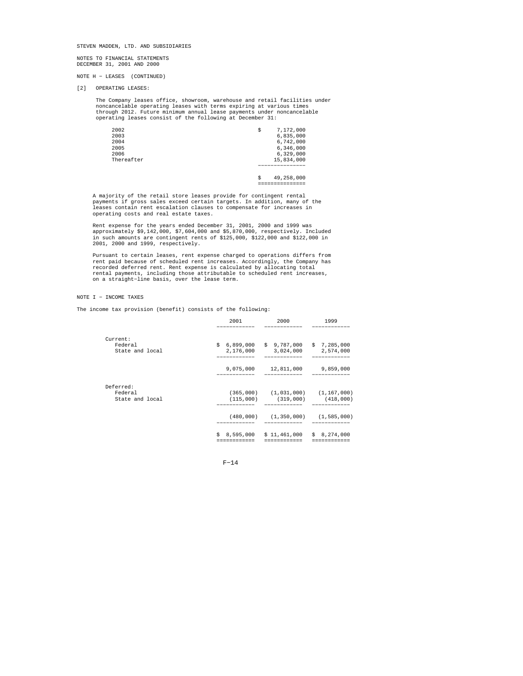#### NOTES TO FINANCIAL STATEMENTS DECEMBER 31, 2001 AND 2000

#### NOTE H − LEASES (CONTINUED)

[2] OPERATING LEASES:

 The Company leases office, showroom, warehouse and retail facilities under noncancelable operating leases with terms expiring at various times through 2012. Future minimum annual lease payments under noncancelable operating leases consist of the following at December 31:

| 2002<br>2003<br>2004<br>2005<br>2006<br>Thereafter | \$<br>7,172,000<br>6,835,000<br>6,742,000<br>6,346,000<br>6,329,000<br>15,834,000 |
|----------------------------------------------------|-----------------------------------------------------------------------------------|
|                                                    | 49,258,000<br>Ś                                                                   |

 A majority of the retail store leases provide for contingent rental payments if gross sales exceed certain targets. In addition, many of the leases contain rent escalation clauses to compensate for increases in operating costs and real estate taxes.

 Rent expense for the years ended December 31, 2001, 2000 and 1999 was approximately \$9,142,000, \$7,604,000 and \$5,870,000, respectively. Included in such amounts are contingent rents of \$125,000, \$122,000 and \$122,000 in 2001, 2000 and 1999, respectively.

 Pursuant to certain leases, rent expense charged to operations differs from rent paid because of scheduled rent increases. Accordingly, the Company has recorded deferred rent. Rent expense is calculated by allocating total rental payments, including those attributable to scheduled rent increases, on a straight−line basis, over the lease term.

#### NOTE I − INCOME TAXES

The income tax provision (benefit) consists of the following:

|                                        | 2001                          | 2000                                             | 1999                        |
|----------------------------------------|-------------------------------|--------------------------------------------------|-----------------------------|
| Current:<br>Federal<br>State and local | Ŝ.<br>2,176,000               | 6,899,000 \$ 9,787,000 \$ 7,285,000<br>3,024,000 | 2,574,000                   |
|                                        |                               |                                                  |                             |
|                                        | 9,075,000                     | 12,811,000                                       | 9,859,000                   |
| Deferred:                              |                               |                                                  |                             |
| Federal                                |                               | $(365,000)$ $(1,031,000)$ $(1,167,000)$          |                             |
| State and local                        |                               | $(115,000)$ $(319,000)$                          | (418,000)                   |
|                                        |                               |                                                  |                             |
|                                        |                               | $(480,000)$ $(1,350,000)$ $(1,585,000)$          |                             |
|                                        | 8,595,000<br>Ŝ.<br>========== | \$11,461,000<br>==========                       | \$8,274,000<br>:=========== |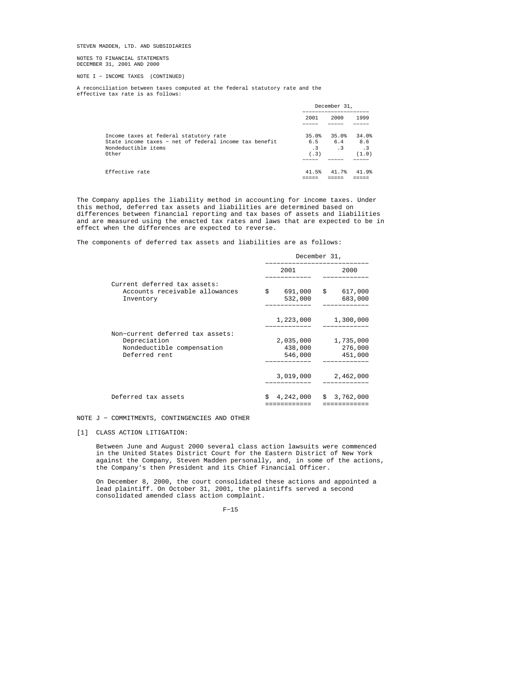NOTES TO FINANCIAL STATEMENTS DECEMBER 31, 2001 AND 2000

NOTE I − INCOME TAXES (CONTINUED)

A reconciliation between taxes computed at the federal statutory rate and the effective tax rate is as follows:

|                                                                                                  | December 31.      |              |              |
|--------------------------------------------------------------------------------------------------|-------------------|--------------|--------------|
|                                                                                                  | 2001              | 2000         | 1999         |
| Income taxes at federal statutory rate<br>State income taxes - net of federal income tax benefit | 35.0%<br>$6.5 -$  | 35.0%<br>6.4 | 34.0%<br>8.6 |
| Nondeductible items<br>Other                                                                     | $\cdot$ 3<br>(.3) | $\cdot$ 3    | . 3<br>(1.0) |
| Effective rate                                                                                   | 41.5%             | 41.7%        | 41.9%        |
|                                                                                                  |                   |              |              |

The Company applies the liability method in accounting for income taxes. Under this method, deferred tax assets and liabilities are determined based on differences between financial reporting and tax bases of assets and liabilities and are measured using the enacted tax rates and laws that are expected to be in effect when the differences are expected to reverse.

The components of deferred tax assets and liabilities are as follows:

|                                                                                                 | December 31,                    |                                            |  |
|-------------------------------------------------------------------------------------------------|---------------------------------|--------------------------------------------|--|
|                                                                                                 | 2001                            | 2000                                       |  |
| Current deferred tax assets:<br>Accounts receivable allowances<br>Inventory                     | 532,000                         | $$691,000 \$617,000$<br>683,000            |  |
|                                                                                                 | 1,223,000                       | 1,300,000                                  |  |
| Non-current deferred tax assets:<br>Depreciation<br>Nondeductible compensation<br>Deferred rent | 2,035,000<br>438,000<br>546,000 | 1,735,000<br>276,000<br>451,000<br>------- |  |
|                                                                                                 | 3,019,000                       | 2,462,000                                  |  |
| Deferred tax assets                                                                             | \$4,242,000                     | \$3,762,000                                |  |

#### NOTE J − COMMITMENTS, CONTINGENCIES AND OTHER

[1] CLASS ACTION LITIGATION:

 Between June and August 2000 several class action lawsuits were commenced in the United States District Court for the Eastern District of New York against the Company, Steven Madden personally, and, in some of the actions, the Company's then President and its Chief Financial Officer.

 On December 8, 2000, the court consolidated these actions and appointed a lead plaintiff. On October 31, 2001, the plaintiffs served a second consolidated amended class action complaint.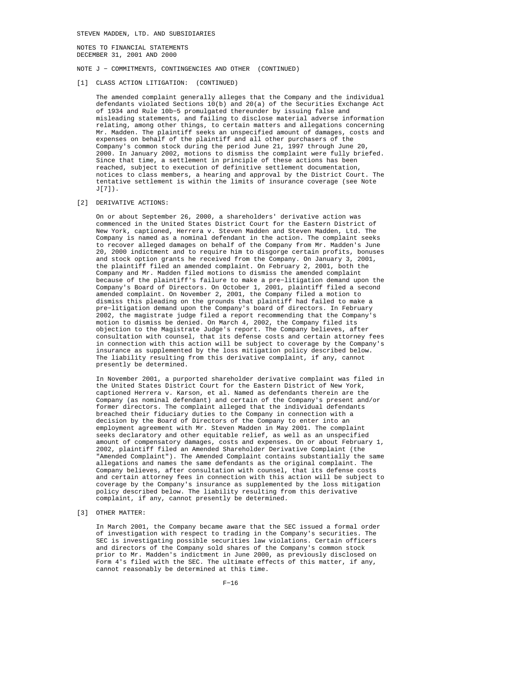NOTE J − COMMITMENTS, CONTINGENCIES AND OTHER (CONTINUED)

[1] CLASS ACTION LITIGATION: (CONTINUED)

 The amended complaint generally alleges that the Company and the individual defendants violated Sections 10(b) and 20(a) of the Securities Exchange Act of 1934 and Rule 10b−5 promulgated thereunder by issuing false and misleading statements, and failing to disclose material adverse information relating, among other things, to certain matters and allegations concerning Mr. Madden. The plaintiff seeks an unspecified amount of damages, costs and expenses on behalf of the plaintiff and all other purchasers of the Company's common stock during the period June 21, 1997 through June 20, 2000. In January 2002, motions to dismiss the complaint were fully briefed. Since that time, a settlement in principle of these actions has been reached, subject to execution of definitive settlement documentation, notices to class members, a hearing and approval by the District Court. The tentative settlement is within the limits of insurance coverage (see Note J[7]).

#### [2] DERIVATIVE ACTIONS:

 On or about September 26, 2000, a shareholders' derivative action was commenced in the United States District Court for the Eastern District of New York, captioned, Herrera v. Steven Madden and Steven Madden, Ltd. The Company is named as a nominal defendant in the action. The complaint seeks to recover alleged damages on behalf of the Company from Mr. Madden's June 20, 2000 indictment and to require him to disgorge certain profits, bonuses and stock option grants he received from the Company. On January 3, 2001, the plaintiff filed an amended complaint. On February 2, 2001, both the Company and Mr. Madden filed motions to dismiss the amended complaint because of the plaintiff's failure to make a pre−litigation demand upon the Company's Board of Directors. On October 1, 2001, plaintiff filed a second amended complaint. On November 2, 2001, the Company filed a motion to dismiss this pleading on the grounds that plaintiff had failed to make a pre−litigation demand upon the Company's board of directors. In February 2002, the magistrate judge filed a report recommending that the Company's motion to dismiss be denied. On March 4, 2002, the Company filed its objection to the Magistrate Judge's report. The Company believes, after consultation with counsel, that its defense costs and certain attorney fees in connection with this action will be subject to coverage by the Company's insurance as supplemented by the loss mitigation policy described below. The liability resulting from this derivative complaint, if any, cannot presently be determined.

 In November 2001, a purported shareholder derivative complaint was filed in the United States District Court for the Eastern District of New York, captioned Herrera v. Karson, et al. Named as defendants therein are the Company (as nominal defendant) and certain of the Company's present and/or former directors. The complaint alleged that the individual defendants breached their fiduciary duties to the Company in connection with a decision by the Board of Directors of the Company to enter into an employment agreement with Mr. Steven Madden in May 2001. The complaint seeks declaratory and other equitable relief, as well as an unspecified amount of compensatory damages, costs and expenses. On or about February 1, 2002, plaintiff filed an Amended Shareholder Derivative Complaint (the "Amended Complaint"). The Amended Complaint contains substantially the same allegations and names the same defendants as the original complaint. The Company believes, after consultation with counsel, that its defense costs and certain attorney fees in connection with this action will be subject to coverage by the Company's insurance as supplemented by the loss mitigation policy described below. The liability resulting from this derivative complaint, if any, cannot presently be determined.

[3] OTHER MATTER:

 In March 2001, the Company became aware that the SEC issued a formal order of investigation with respect to trading in the Company's securities. The SEC is investigating possible securities law violations. Certain officers and directors of the Company sold shares of the Company's common stock prior to Mr. Madden's indictment in June 2000, as previously disclosed on Filed with the SEC. The ultimate effects of this matter, if any, cannot reasonably be determined at this time.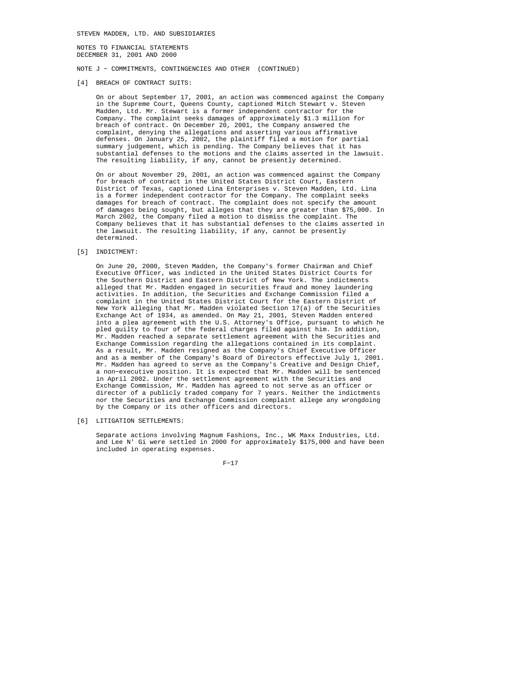## NOTE J − COMMITMENTS, CONTINGENCIES AND OTHER (CONTINUED)

[4] BREACH OF CONTRACT SUITS:

 On or about September 17, 2001, an action was commenced against the Company in the Supreme Court, Queens County, captioned Mitch Stewart v. Steven Madden, Ltd. Mr. Stewart is a former independent contractor for the Company. The complaint seeks damages of approximately \$1.3 million for breach of contract. On December 20, 2001, the Company answered the complaint, denying the allegations and asserting various affirmative defenses. On January 25, 2002, the plaintiff filed a motion for partial summary judgement, which is pending. The Company believes that it has substantial defenses to the motions and the claims asserted in the lawsuit. The resulting liability, if any, cannot be presently determined.

 On or about November 29, 2001, an action was commenced against the Company for breach of contract in the United States District Court, Eastern District of Texas, captioned Lina Enterprises v. Steven Madden, Ltd. Lina is a former independent contractor for the Company. The complaint seeks damages for breach of contract. The complaint does not specify the amount of damages being sought, but alleges that they are greater than \$75,000. In March 2002, the Company filed a motion to dismiss the complaint. The Company believes that it has substantial defenses to the claims asserted in the lawsuit. The resulting liability, if any, cannot be presently determined.

# [5] INDICTMENT:

 On June 20, 2000, Steven Madden, the Company's former Chairman and Chief Executive Officer, was indicted in the United States District Courts for the Southern District and Eastern District of New York. The indictments alleged that Mr. Madden engaged in securities fraud and money laundering activities. In addition, the Securities and Exchange Commission filed a complaint in the United States District Court for the Eastern District of New York alleging that Mr. Madden violated Section 17(a) of the Securities Exchange Act of 1934, as amended. On May 21, 2001, Steven Madden entered into a plea agreement with the U.S. Attorney's Office, pursuant to which he pled guilty to four of the federal charges filed against him. In addition, Mr. Madden reached a separate settlement agreement with the Securities and Exchange Commission regarding the allegations contained in its complaint. As a result, Mr. Madden resigned as the Company's Chief Executive Officer and as a member of the Company's Board of Directors effective July 1, 2001. Mr. Madden has agreed to serve as the Company's Creative and Design Chief, a non−executive position. It is expected that Mr. Madden will be sentenced in April 2002. Under the settlement agreement with the Securities and Exchange Commission, Mr. Madden has agreed to not serve as an officer or director of a publicly traded company for 7 years. Neither the indictments nor the Securities and Exchange Commission complaint allege any wrongdoing by the Company or its other officers and directors.

[6] LITIGATION SETTLEMENTS:

 Separate actions involving Magnum Fashions, Inc., WK Maxx Industries, Ltd. and Lee N' Gi were settled in 2000 for approximately \$175,000 and have been included in operating expenses.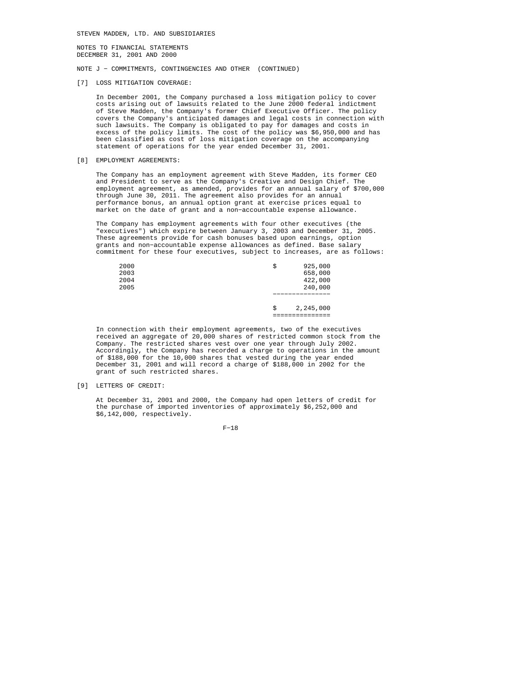NOTE J − COMMITMENTS, CONTINGENCIES AND OTHER (CONTINUED)

[7] LOSS MITIGATION COVERAGE:

 In December 2001, the Company purchased a loss mitigation policy to cover costs arising out of lawsuits related to the June 2000 federal indictment of Steve Madden, the Company's former Chief Executive Officer. The policy covers the Company's anticipated damages and legal costs in connection with such lawsuits. The Company is obligated to pay for damages and costs in excess of the policy limits. The cost of the policy was \$6,950,000 and has been classified as cost of loss mitigation coverage on the accompanying statement of operations for the year ended December 31, 2001.

[8] EMPLOYMENT AGREEMENTS:

 The Company has an employment agreement with Steve Madden, its former CEO and President to serve as the Company's Creative and Design Chief. The employment agreement, as amended, provides for an annual salary of \$700,000 through June 30, 2011. The agreement also provides for an annual performance bonus, an annual option grant at exercise prices equal to market on the date of grant and a non−accountable expense allowance.

 The Company has employment agreements with four other executives (the "executives") which expire between January 3, 2003 and December 31, 2005. These agreements provide for cash bonuses based upon earnings, option grants and non−accountable expense allowances as defined. Base salary commitment for these four executives, subject to increases, are as follows:

| 2000<br>2003<br>2004<br>2005 | 925,000<br>S<br>658,000<br>422,000<br>240,000 |
|------------------------------|-----------------------------------------------|
|                              |                                               |

 $$ 2,245,000$ ===============

 In connection with their employment agreements, two of the executives received an aggregate of 20,000 shares of restricted common stock from the Company. The restricted shares vest over one year through July 2002. Accordingly, the Company has recorded a charge to operations in the amount of \$188,000 for the 10,000 shares that vested during the year ended December 31, 2001 and will record a charge of \$188,000 in 2002 for the grant of such restricted shares.

[9] LETTERS OF CREDIT:

 At December 31, 2001 and 2000, the Company had open letters of credit for the purchase of imported inventories of approximately \$6,252,000 and \$6,142,000, respectively.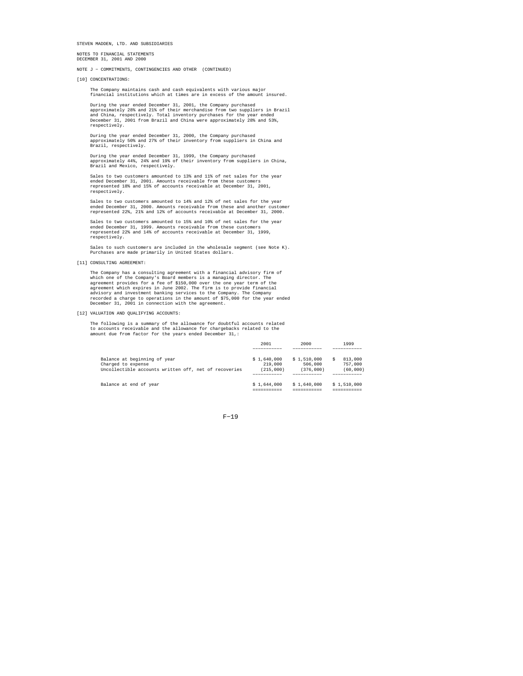NOTES TO FINANCIAL STATEMENTS DECEMBER 31, 2001 AND 2000

NOTE J − COMMITMENTS, CONTINGENCIES AND OTHER (CONTINUED)

# [10] CONCENTRATIONS:

The Company maintains cash and cash equivalents with various major financial institutions which at times are in excess of the amount insured.

During the year ended December 31, 2001, the Company purchased<br>approximately 28% and 21% of their merchandise from two suppliers in Brazil<br>and China, respectively. Total inventory purchases for the year ended<br>December 31, respectively.

 During the year ended December 31, 2000, the Company purchased approximately 50% and 27% of their inventory from suppliers in China and Brazil, respectively.

During the year ended December 31, 1999, the Company purchased approximately 44%, 24% and 19% of their inventory from suppliers in China, Brazil and Mexico, respectively.

 Sales to two customers amounted to 13% and 11% of net sales for the year ended December 31, 2001. Amounts receivable from these customers represented 18% and 15% of accounts receivable at December 31, 2001, represenced 1

Sales to two customers amounted to 14% and 12% of net sales for the year ended December 31, 2000. Amounts receivable from these and another customer represented 22%, 21% and 12% of accounts receivable at December 31, 2000.

 Sales to two customers amounted to 15% and 10% of net sales for the year ended December 31, 1999. Amounts receivable from these customers represented 22% and 14% of accounts receivable at December 31, 1999, respectively.

Sales to such customers are included in the wholesale segment (see Note K). Purchases are made primarily in United States dollars.

#### [11] CONSULTING AGREEMENT:

The Company has a consulting agreement with a financial advisory firm of<br>which one of the Company's Board members is a managing director. The<br>agreement provides for a fee of \$150,000 over the one year term of the<br>agreemen

### [12] VALUATION AND QUALIFYING ACCOUNTS:

The following is a summary of the allowance for doubtful accounts related<br>to accounts receivable and the allowance for chargebacks related to the<br>amount due from factor for the years ended December 31,:

| 813,000<br>\$1.510.000<br>s |
|-----------------------------|
| 757,000<br>506,000          |
| (60, 000)<br>(376,000)      |
|                             |
| \$1.640.000<br>\$1.510.000  |
|                             |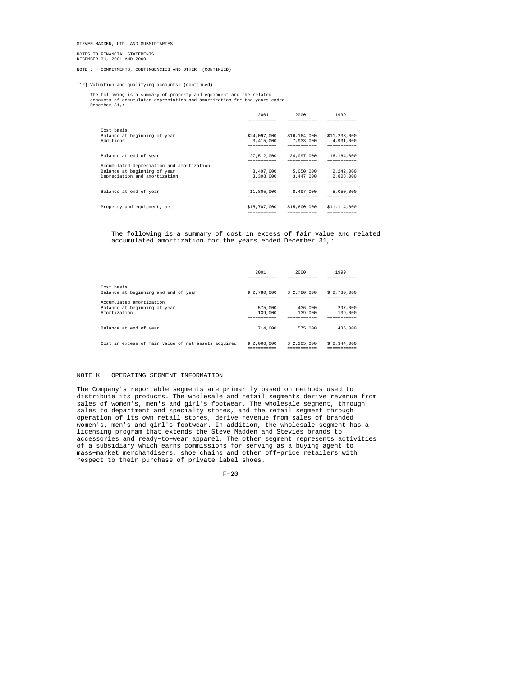NOTES TO FINANCIAL STATEMENTS DECEMBER 31, 2001 AND 2000

NOTE J − COMMITMENTS, CONTINGENCIES AND OTHER (CONTINUED)

[12] Valuation and qualifying accounts: (continued)

The following is a summary of property and equipment and the related<br>accounts of accumulated depreciation and amortization for the years ended<br>December 31,:

|                                           | 2001                        | 2000                          | 1999         |
|-------------------------------------------|-----------------------------|-------------------------------|--------------|
| Cost basis                                |                             |                               |              |
| Balance at beginning of year              |                             | \$24,097,000 \$16,164,000     | \$11.233.000 |
| Additions                                 |                             | 3.415.000 7.933.000 4.931.000 |              |
| Balance at end of year                    |                             | 27.512.000 24.097.000         | 16,164,000   |
| Accumulated depreciation and amortization |                             |                               |              |
| Balance at beginning of year              |                             | 8,497,000 5,050,000           | 2.242.000    |
| Depreciation and amortization             |                             | 3,308,000 3,447,000           | 2,808,000    |
| Balance at end of year                    |                             | 11,805,000 8,497,000          | 5,050,000    |
| Property and equipment, net               | \$15,707,000<br>:========== | \$15,600,000<br>==========    | \$11,114,000 |

## The following is a summary of cost in excess of fair value and related accumulated amortization for the years ended December 31,:

|                                                                          | 2001               | 2000               | 1999               |
|--------------------------------------------------------------------------|--------------------|--------------------|--------------------|
| Cost basis<br>Balance at beginning and end of year                       | \$2.780.000        | \$2.780.000        | \$2.780.000        |
| Accumulated amortization<br>Balance at beginning of year<br>Amortization | 575,000<br>139,000 | 436,000<br>139,000 | 297,000<br>139,000 |
| Balance at end of year                                                   | 714,000            | 575,000            | 436,000            |
| Cost in excess of fair value of net assets acquired                      | \$2.066.000        | \$2.205.000        | \$2.344.000        |

# NOTE K − OPERATING SEGMENT INFORMATION

The Company's reportable segments are primarily based on methods used to distribute its products. The wholesale and retail segments derive revenue from sales of women's, men's and girl's footwear. The wholesale segment, through sales to department and specialty stores, and the retail segment through operation of its own retail stores, derive revenue from sales of branded women's, men's and girl's footwear. In addition, the wholesale segment has a licensing program that extends the Steve Madden and Stevies brands to accessories and ready−to−wear apparel. The other segment represents activities of a subsidiary which earns commissions for serving as a buying agent to mass−market merchandisers, shoe chains and other off−price retailers with respect to their purchase of private label shoes.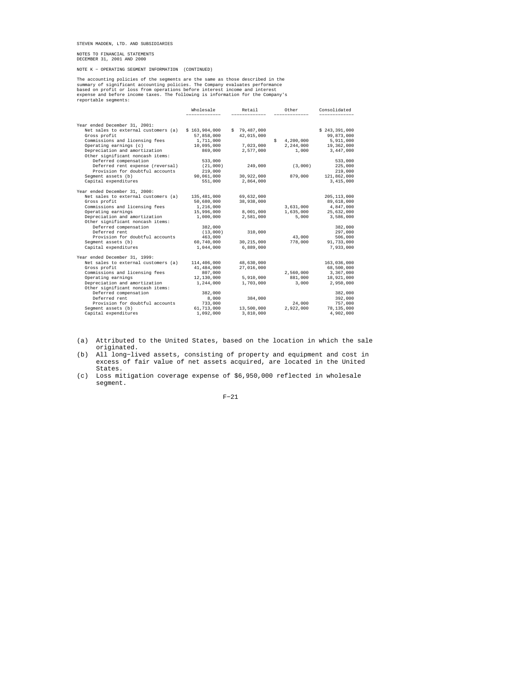NOTES TO FINANCIAL STATEMENTS DECEMBER 31, 2001 AND 2000

NOTE K − OPERATING SEGMENT INFORMATION (CONTINUED)

The accounting policies of the segments are the same as those described in the summary of significant accounting policies. The Company evaluates performance based on profit or loss from operations before interest income an

|                                     | Wholesale     | Retail       | Other           | Consolidated  |
|-------------------------------------|---------------|--------------|-----------------|---------------|
|                                     |               |              |                 |               |
| Year ended December 31, 2001:       |               |              |                 |               |
| Net sales to external customers (a) | \$163,904,000 | \$79,487,000 |                 | \$243,391,000 |
| Gross profit                        | 57,858,000    | 42,015,000   |                 | 99,873,000    |
| Commissions and licensing fees      | 1,711,000     |              | 4,200,000<br>Ŝ. | 5,911,000     |
| Operating earnings (c)              | 10,095,000    | 7,023,000    | 2,244,000       | 19,362,000    |
| Depreciation and amortization       | 869,000       | 2,577,000    | 1,000           | 3,447,000     |
| Other significant noncash items:    |               |              |                 |               |
| Deferred compensation               | 533,000       |              |                 | 533,000       |
| Deferred rent expense (reversal)    | (21,000)      | 249,000      | (3,000)         | 225,000       |
| Provision for doubtful accounts     | 219,000       |              |                 | 219,000       |
| Segment assets (b)                  | 90,061,000    | 30,922,000   | 879,000         | 121,862,000   |
| Capital expenditures                | 551,000       | 2,864,000    |                 | 3,415,000     |
| Year ended December 31, 2000:       |               |              |                 |               |
| Net sales to external customers (a) | 135, 481, 000 | 69,632,000   |                 | 205, 113, 000 |
| Gross profit                        | 50,680,000    | 38,938,000   |                 | 89,618,000    |
| Commissions and licensing fees      | 1,216,000     |              | 3,631,000       | 4,847,000     |
| Operating earnings                  | 15,996,000    | 8,001,000    | 1,635,000       | 25,632,000    |
| Depreciation and amortization       | 1,000,000     | 2,581,000    | 5,000           | 3,586,000     |
| Other significant noncash items:    |               |              |                 |               |
| Deferred compensation               | 382,000       |              |                 | 382,000       |
| Deferred rent                       | (13,000)      | 310,000      |                 | 297,000       |
| Provision for doubtful accounts     | 463,000       |              | 43,000          | 506,000       |
| Seqment assets (b)                  | 60.740.000    | 30, 215, 000 | 778,000         | 91,733,000    |
| Capital expenditures                | 1,044,000     | 6,889,000    |                 | 7.933.000     |
| Year ended December 31, 1999:       |               |              |                 |               |
| Net sales to external customers (a) | 114,406,000   | 48,630,000   |                 | 163,036,000   |
| Gross profit                        | 41,484,000    | 27.016.000   |                 | 68,500,000    |
| Commissions and licensing fees      | 807,000       |              | 2,560,000       | 3,367,000     |
| Operating earnings                  | 12,130,000    | 5,910,000    | 881,000         | 18,921,000    |
| Depreciation and amortization       | 1,244,000     | 1,703,000    | 3,000           | 2,950,000     |
| Other significant noncash items:    |               |              |                 |               |
| Deferred compensation               | 382,000       |              |                 | 382,000       |
| Deferred rent                       | 8,000         | 384,000      |                 | 392,000       |
| Provision for doubtful accounts     | 733,000       |              | 24,000          | 757,000       |
| Seqment assets (b)                  | 61,713,000    | 13,500,000   | 2,922,000       | 78,135,000    |
| Capital expenditures                | 1.092.000     | 3,810,000    |                 | 4,902,000     |

(a) Attributed to the United States, based on the location in which the sale originated.

(b) All long−lived assets, consisting of property and equipment and cost in excess of fair value of net assets acquired, are located in the United States.

(c) Loss mitigation coverage expense of \$6,950,000 reflected in wholesale segment.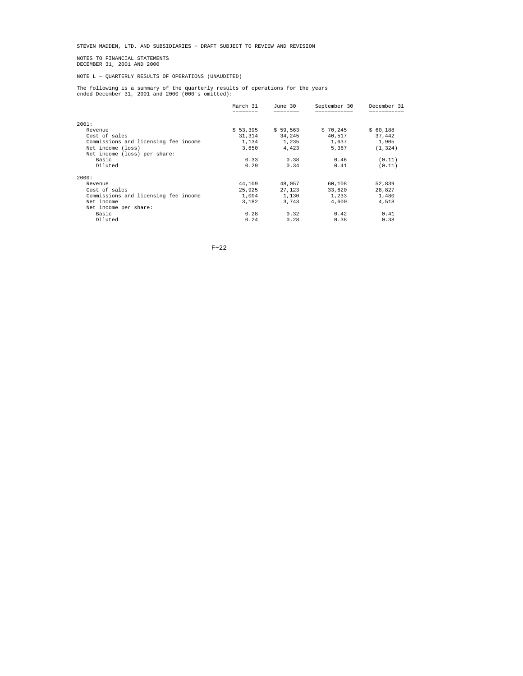STEVEN MADDEN, LTD. AND SUBSIDIARIES − DRAFT SUBJECT TO REVIEW AND REVISION

NOTES TO FINANCIAL STATEMENTS DECEMBER 31, 2001 AND 2000

NOTE L − QUARTERLY RESULTS OF OPERATIONS (UNAUDITED)

The following is a summary of the quarterly results of operations for the years ended December 31, 2001 and 2000 (000's omitted):

|                                      | March 31     | June 30  | September 30 | December 31 |
|--------------------------------------|--------------|----------|--------------|-------------|
|                                      |              |          |              |             |
| 2001:                                |              |          |              |             |
| Revenue                              | \$5, 53, 395 | \$59,563 | \$70,245     | \$60,188    |
| Cost of sales                        | 31,314       | 34,245   | 40,517       | 37,442      |
| Commissions and licensing fee income | 1,134        | 1,235    | 1,637        | 1,905       |
| Net income (loss)                    | 3,650        | 4.423    | 5.367        | (1, 324)    |
| Net income (loss) per share:         |              |          |              |             |
| Basic                                | 0.33         | 0.38     | 0.46         | (0.11)      |
| Diluted                              | 0.29         | 0.34     | 0.41         | (0.11)      |
| 2000:                                |              |          |              |             |
| Revenue                              | 44,109       | 48,057   | 60,108       | 52,839      |
| Cost of sales                        | 25,925       | 27,123   | 33,620       | 28,827      |
| Commissions and licensing fee income | 1,004        | 1,130    | 1,233        | 1,480       |
| Net income                           | 3.182        | 3.743    | 4,600        | 4,518       |
| Net income per share:                |              |          |              |             |
| Basic                                | 0.28         | 0.32     | 0.42         | 0.41        |
| Diluted                              | 0.24         | 0.28     | 0.38         | 0.38        |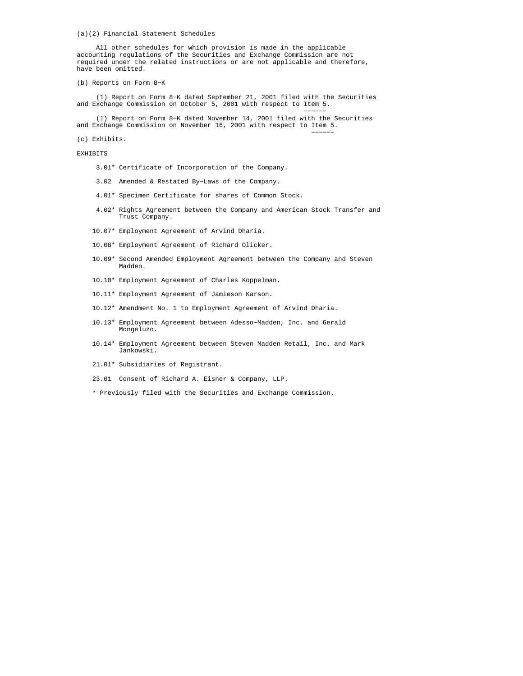(a)(2) Financial Statement Schedules

 All other schedules for which provision is made in the applicable accounting regulations of the Securities and Exchange Commission are not required under the related instructions or are not applicable and therefore, have been omitted.

(b) Reports on Form 8−K

 (1) Report on Form 8−K dated September 21, 2001 filed with the Securities and Exchange Commission on October 5, 2001 with respect to Item 5.

 (1) Report on Form 8−K dated November 14, 2001 filed with the Securities and Exchange Commission on November 16, 2001 with respect to Item 5.

(c) Exhibits.

EXHIBITS

- 3.01\* Certificate of Incorporation of the Company.
- 3.02 Amended & Restated By−Laws of the Company.
- 4.01\* Specimen Certificate for shares of Common Stock.

−−−−−−

−−−−−−

- 4.02\* Rights Agreement between the Company and American Stock Transfer and Trust Company.
- 10.07\* Employment Agreement of Arvind Dharia.
- 10.08\* Employment Agreement of Richard Olicker.
- 10.09\* Second Amended Employment Agreement between the Company and Steven Madden.
- 10.10\* Employment Agreement of Charles Koppelman.
- 10.11\* Employment Agreement of Jamieson Karson.
- 10.12\* Amendment No. 1 to Employment Agreement of Arvind Dharia.
- 10.13\* Employment Agreement between Adesso−Madden, Inc. and Gerald Mongeluzo.
- 10.14\* Employment Agreement between Steven Madden Retail, Inc. and Mark Jankowski.
- 21.01\* Subsidiaries of Registrant.
- 23.01 Consent of Richard A. Eisner & Company, LLP.
- \* Previously filed with the Securities and Exchange Commission.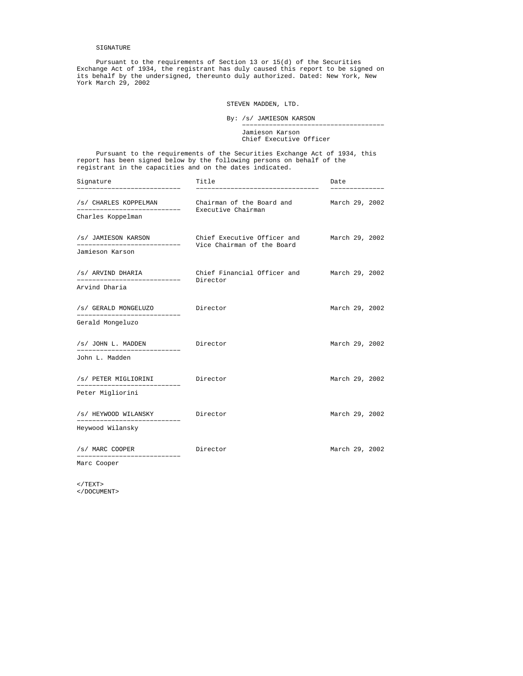# SIGNATURE

<span id="page-53-0"></span> Pursuant to the requirements of Section 13 or 15(d) of the Securities Exchange Act of 1934, the registrant has duly caused this report to be signed on its behalf by the undersigned, thereunto duly authorized. Dated: New York, New York March 29, 2002

STEVEN MADDEN, LTD.

 By: /s/ JAMIESON KARSON −−−−−−−−−−−−−−−−−−−−−−−−−−−−−−−−−−−−−

 Jamieson Karson Chief Executive Officer

 Pursuant to the requirements of the Securities Exchange Act of 1934, this report has been signed below by the following persons on behalf of the registrant in the capacities and on the dates indicated.

| Signature<br>-------------------------                                                       | Title<br>_______________________________                       | Date           |
|----------------------------------------------------------------------------------------------|----------------------------------------------------------------|----------------|
| /s/ CHARLES KOPPELMAN<br>--------------------------- Executive Chairman<br>Charles Koppelman | Chairman of the Board and March 29, 2002                       |                |
| Jamieson Karson                                                                              | /s/ JAMIESON KARSON Chief Executive Officer and March 29, 2002 |                |
| --------------------------- Director<br>Arvind Dharia                                        | /s/ ARVIND DHARIA (Chief Financial Officer and March 29, 2002) |                |
| /s/ GERALD MONGELUZO Director<br>Gerald Mongeluzo                                            |                                                                | March 29, 2002 |
| /s/ JOHN L. MADDEN Director<br>----------------------------<br>John L. Madden                |                                                                | March 29, 2002 |
| /s/ PETER MIGLIORINI Director<br>----------------------------<br>Peter Migliorini            |                                                                | March 29, 2002 |
| /s/ HEYWOOD WILANSKY Director<br>----------------------------<br>Heywood Wilansky            |                                                                | March 29, 2002 |
| /s/ MARC COOPER<br>Marc Cooper                                                               | Director                                                       | March 29, 2002 |

 $<$  /  $\mathrm{TEXT}$   $>$ </DOCUMENT>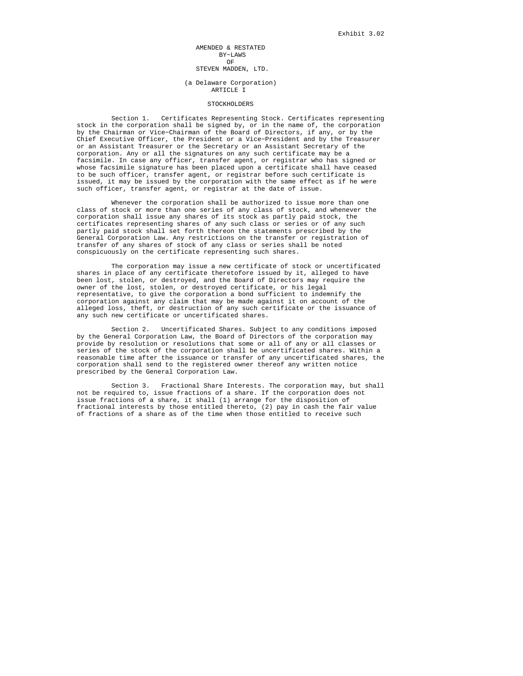<span id="page-54-0"></span> AMENDED & RESTATED BY−LAWS OF STEVEN MADDEN, LTD.

#### (a Delaware Corporation) ARTICLE I

# STOCKHOLDERS

 Section 1. Certificates Representing Stock. Certificates representing stock in the corporation shall be signed by, or in the name of, the corporation by the Chairman or Vice−Chairman of the Board of Directors, if any, or by the Chief Executive Officer, the President or a Vice−President and by the Treasurer or an Assistant Treasurer or the Secretary or an Assistant Secretary of the corporation. Any or all the signatures on any such certificate may be a facsimile. In case any officer, transfer agent, or registrar who has signed or whose facsimile signature has been placed upon a certificate shall have ceased to be such officer, transfer agent, or registrar before such certificate is issued, it may be issued by the corporation with the same effect as if he were such officer, transfer agent, or registrar at the date of issue.

 Whenever the corporation shall be authorized to issue more than one class of stock or more than one series of any class of stock, and whenever the corporation shall issue any shares of its stock as partly paid stock, the certificates representing shares of any such class or series or of any such partly paid stock shall set forth thereon the statements prescribed by the General Corporation Law. Any restrictions on the transfer or registration of transfer of any shares of stock of any class or series shall be noted conspicuously on the certificate representing such shares.

 The corporation may issue a new certificate of stock or uncertificated shares in place of any certificate theretofore issued by it, alleged to have been lost, stolen, or destroyed, and the Board of Directors may require the owner of the lost, stolen, or destroyed certificate, or his legal representative, to give the corporation a bond sufficient to indemnify the corporation against any claim that may be made against it on account of the alleged loss, theft, or destruction of any such certificate or the issuance of any such new certificate or uncertificated shares.

 Section 2. Uncertificated Shares. Subject to any conditions imposed by the General Corporation Law, the Board of Directors of the corporation may provide by resolution or resolutions that some or all of any or all classes or series of the stock of the corporation shall be uncertificated shares. Within a reasonable time after the issuance or transfer of any uncertificated shares, the corporation shall send to the registered owner thereof any written notice prescribed by the General Corporation Law.

 Section 3. Fractional Share Interests. The corporation may, but shall not be required to, issue fractions of a share. If the corporation does not issue fractions of a share, it shall (1) arrange for the disposition of fractional interests by those entitled thereto, (2) pay in cash the fair value of fractions of a share as of the time when those entitled to receive such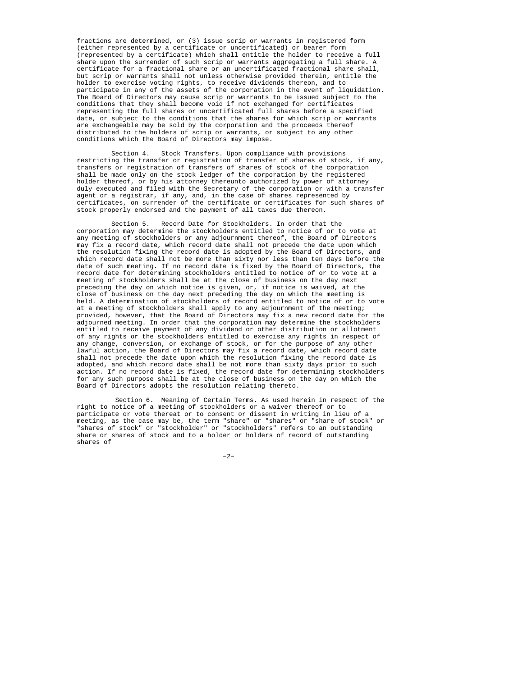fractions are determined, or (3) issue scrip or warrants in registered form (either represented by a certificate or uncertificated) or bearer form (represented by a certificate) which shall entitle the holder to receive a full share upon the surrender of such scrip or warrants aggregating a full share. A certificate for a fractional share or an uncertificated fractional share shall, but scrip or warrants shall not unless otherwise provided therein, entitle the holder to exercise voting rights, to receive dividends thereon, and to participate in any of the assets of the corporation in the event of liquidation. The Board of Directors may cause scrip or warrants to be issued subject to the conditions that they shall become void if not exchanged for certificates representing the full shares or uncertificated full shares before a specified date, or subject to the conditions that the shares for which scrip or warrants are exchangeable may be sold by the corporation and the proceeds thereof distributed to the holders of scrip or warrants, or subject to any other conditions which the Board of Directors may impose.

 Section 4. Stock Transfers. Upon compliance with provisions restricting the transfer or registration of transfer of shares of stock, if any, transfers or registration of transfers of shares of stock of the corporation shall be made only on the stock ledger of the corporation by the registered holder thereof, or by his attorney thereunto authorized by power of attorney duly executed and filed with the Secretary of the corporation or with a transfer agent or a registrar, if any, and, in the case of shares represented by certificates, on surrender of the certificate or certificates for such shares of stock properly endorsed and the payment of all taxes due thereon.

 Section 5. Record Date for Stockholders. In order that the corporation may determine the stockholders entitled to notice of or to vote at any meeting of stockholders or any adjournment thereof, the Board of Directors may fix a record date, which record date shall not precede the date upon which the resolution fixing the record date is adopted by the Board of Directors, and which record date shall not be more than sixty nor less than ten days before the date of such meeting. If no record date is fixed by the Board of Directors, the record date for determining stockholders entitled to notice of or to vote at a meeting of stockholders shall be at the close of business on the day next preceding the day on which notice is given, or, if notice is waived, at the close of business on the day next preceding the day on which the meeting is held. A determination of stockholders of record entitled to notice of or to vote at a meeting of stockholders shall apply to any adjournment of the meeting; provided, however, that the Board of Directors may fix a new record date for the adjourned meeting. In order that the corporation may determine the stockholders entitled to receive payment of any dividend or other distribution or allotment of any rights or the stockholders entitled to exercise any rights in respect of any change, conversion, or exchange of stock, or for the purpose of any other lawful action, the Board of Directors may fix a record date, which record date shall not precede the date upon which the resolution fixing the record date is adopted, and which record date shall be not more than sixty days prior to such action. If no record date is fixed, the record date for determining stockholders for any such purpose shall be at the close of business on the day on which the Board of Directors adopts the resolution relating thereto.

 Section 6. Meaning of Certain Terms. As used herein in respect of the right to notice of a meeting of stockholders or a waiver thereof or to participate or vote thereat or to consent or dissent in writing in lieu of a meeting, as the case may be, the term "share" or "shares" or "share of stock" or "shares of stock" or "stockholder" or "stockholders" refers to an outstanding share or shares of stock and to a holder or holders of record of outstanding shares of

−2−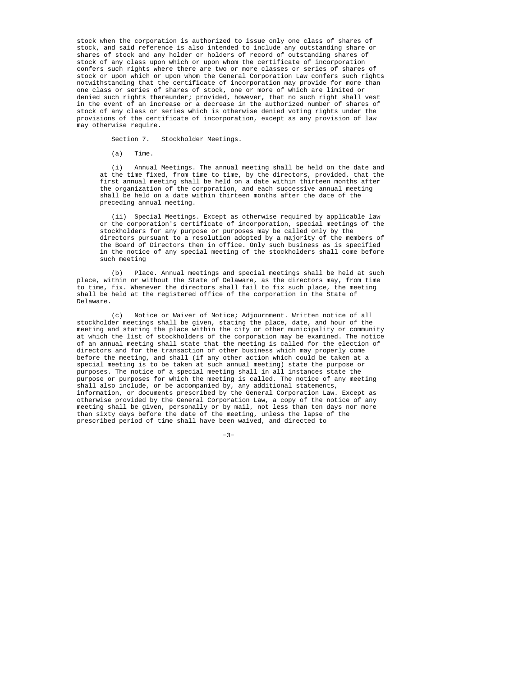stock when the corporation is authorized to issue only one class of shares of stock, and said reference is also intended to include any outstanding share or shares of stock and any holder or holders of record of outstanding shares of stock of any class upon which or upon whom the certificate of incorporation confers such rights where there are two or more classes or series of shares of stock or upon which or upon whom the General Corporation Law confers such rights notwithstanding that the certificate of incorporation may provide for more than one class or series of shares of stock, one or more of which are limited or denied such rights thereunder; provided, however, that no such right shall vest in the event of an increase or a decrease in the authorized number of shares of stock of any class or series which is otherwise denied voting rights under the provisions of the certificate of incorporation, except as any provision of law may otherwise require.

Section 7. Stockholder Meetings.

−3−

(a) Time.

 (i) Annual Meetings. The annual meeting shall be held on the date and at the time fixed, from time to time, by the directors, provided, that the first annual meeting shall be held on a date within thirteen months after the organization of the corporation, and each successive annual meeting shall be held on a date within thirteen months after the date of the preceding annual meeting.

 (ii) Special Meetings. Except as otherwise required by applicable law or the corporation's certificate of incorporation, special meetings of the stockholders for any purpose or purposes may be called only by the directors pursuant to a resolution adopted by a majority of the members of the Board of Directors then in office. Only such business as is specified in the notice of any special meeting of the stockholders shall come before such meeting

 (b) Place. Annual meetings and special meetings shall be held at such place, within or without the State of Delaware, as the directors may, from time to time, fix. Whenever the directors shall fail to fix such place, the meeting shall be held at the registered office of the corporation in the State of Delaware.

 (c) Notice or Waiver of Notice; Adjournment. Written notice of all stockholder meetings shall be given, stating the place, date, and hour of the meeting and stating the place within the city or other municipality or community at which the list of stockholders of the corporation may be examined. The notice of an annual meeting shall state that the meeting is called for the election of directors and for the transaction of other business which may properly come before the meeting, and shall (if any other action which could be taken at a special meeting is to be taken at such annual meeting) state the purpose or purposes. The notice of a special meeting shall in all instances state the purpose or purposes for which the meeting is called. The notice of any meeting shall also include, or be accompanied by, any additional statements, information, or documents prescribed by the General Corporation Law. Except as otherwise provided by the General Corporation Law, a copy of the notice of any meeting shall be given, personally or by mail, not less than ten days nor more than sixty days before the date of the meeting, unless the lapse of the prescribed period of time shall have been waived, and directed to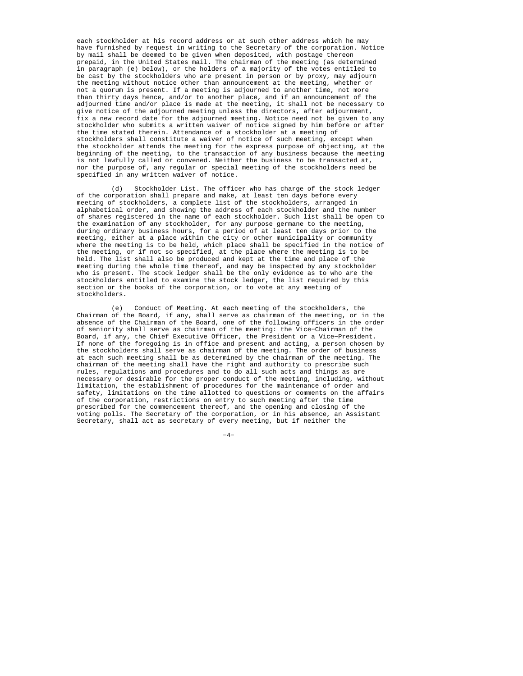each stockholder at his record address or at such other address which he may have furnished by request in writing to the Secretary of the corporation. Notice by mail shall be deemed to be given when deposited, with postage thereon prepaid, in the United States mail. The chairman of the meeting (as determined in paragraph (e) below), or the holders of a majority of the votes entitled to be cast by the stockholders who are present in person or by proxy, may adjourn the meeting without notice other than announcement at the meeting, whether or not a quorum is present. If a meeting is adjourned to another time, not more than thirty days hence, and/or to another place, and if an announcement of the adjourned time and/or place is made at the meeting, it shall not be necessary to give notice of the adjourned meeting unless the directors, after adjournment, fix a new record date for the adjourned meeting. Notice need not be given to any stockholder who submits a written waiver of notice signed by him before or after the time stated therein. Attendance of a stockholder at a meeting of stockholders shall constitute a waiver of notice of such meeting, except when the stockholder attends the meeting for the express purpose of objecting, at the beginning of the meeting, to the transaction of any business because the meeting is not lawfully called or convened. Neither the business to be transacted at, nor the purpose of, any regular or special meeting of the stockholders need be specified in any written waiver of notice.

 (d) Stockholder List. The officer who has charge of the stock ledger of the corporation shall prepare and make, at least ten days before every meeting of stockholders, a complete list of the stockholders, arranged in alphabetical order, and showing the address of each stockholder and the number of shares registered in the name of each stockholder. Such list shall be open to the examination of any stockholder, for any purpose germane to the meeting, during ordinary business hours, for a period of at least ten days prior to the meeting, either at a place within the city or other municipality or community where the meeting is to be held, which place shall be specified in the notice of the meeting, or if not so specified, at the place where the meeting is to be held. The list shall also be produced and kept at the time and place of the meeting during the whole time thereof, and may be inspected by any stockholder who is present. The stock ledger shall be the only evidence as to who are the stockholders entitled to examine the stock ledger, the list required by this section or the books of the corporation, or to vote at any meeting of stockholders.

 (e) Conduct of Meeting. At each meeting of the stockholders, the Chairman of the Board, if any, shall serve as chairman of the meeting, or in the absence of the Chairman of the Board, one of the following officers in the order of seniority shall serve as chairman of the meeting: the Vice−Chairman of the Board, if any, the Chief Executive Officer, the President or a Vice−President. If none of the foregoing is in office and present and acting, a person chosen by the stockholders shall serve as chairman of the meeting. The order of business at each such meeting shall be as determined by the chairman of the meeting. The chairman of the meeting shall have the right and authority to prescribe such rules, regulations and procedures and to do all such acts and things as are necessary or desirable for the proper conduct of the meeting, including, without limitation, the establishment of procedures for the maintenance of order and safety, limitations on the time allotted to questions or comments on the affairs of the corporation, restrictions on entry to such meeting after the time prescribed for the commencement thereof, and the opening and closing of the voting polls. The Secretary of the corporation, or in his absence, an Assistant Secretary, shall act as secretary of every meeting, but if neither the

−4−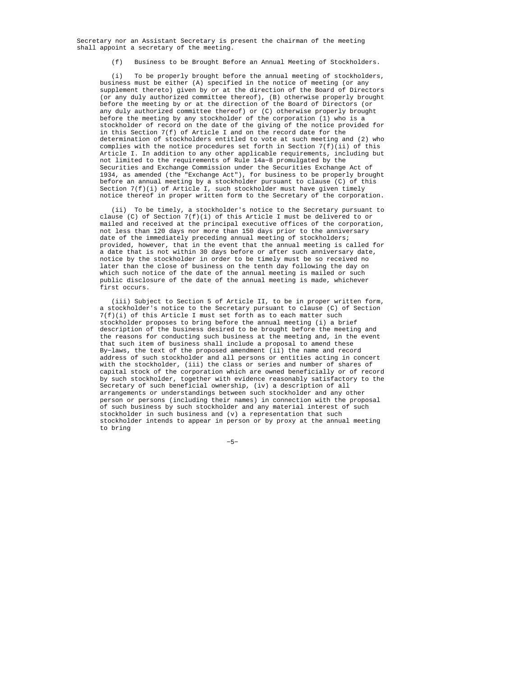Secretary nor an Assistant Secretary is present the chairman of the meeting shall appoint a secretary of the meeting.

(f) Business to be Brought Before an Annual Meeting of Stockholders.

 (i) To be properly brought before the annual meeting of stockholders, business must be either (A) specified in the notice of meeting (or any supplement thereto) given by or at the direction of the Board of Directors (or any duly authorized committee thereof), (B) otherwise properly brought before the meeting by or at the direction of the Board of Directors (or any duly authorized committee thereof) or (C) otherwise properly brought before the meeting by any stockholder of the corporation (1) who is a stockholder of record on the date of the giving of the notice provided for in this Section 7(f) of Article I and on the record date for the determination of stockholders entitled to vote at such meeting and (2) who complies with the notice procedures set forth in Section  $7(f)(ii)$  of this Article I. In addition to any other applicable requirements, including but not limited to the requirements of Rule 14a−8 promulgated by the Securities and Exchange Commission under the Securities Exchange Act of 1934, as amended (the "Exchange Act"), for business to be properly brought before an annual meeting by a stockholder pursuant to clause (C) of this Section  $7(f)(i)$  of Article I, such stockholder must have given timely notice thereof in proper written form to the Secretary of the corporation.

 (ii) To be timely, a stockholder's notice to the Secretary pursuant to clause (C) of Section  $7(f)(i)$  of this Article I must be delivered to or mailed and received at the principal executive offices of the corporation, not less than 120 days nor more than 150 days prior to the anniversary date of the immediately preceding annual meeting of stockholders; provided, however, that in the event that the annual meeting is called for a date that is not within 30 days before or after such anniversary date, notice by the stockholder in order to be timely must be so received no later than the close of business on the tenth day following the day on which such notice of the date of the annual meeting is mailed or such public disclosure of the date of the annual meeting is made, whichever first occurs.

 (iii) Subject to Section 5 of Article II, to be in proper written form, a stockholder's notice to the Secretary pursuant to clause (C) of Section 7(f)(i) of this Article I must set forth as to each matter such stockholder proposes to bring before the annual meeting (i) a brief description of the business desired to be brought before the meeting and the reasons for conducting such business at the meeting and, in the event that such item of business shall include a proposal to amend these By−laws, the text of the proposed amendment (ii) the name and record address of such stockholder and all persons or entities acting in concert with the stockholder, (iii) the class or series and number of shares of capital stock of the corporation which are owned beneficially or of record by such stockholder, together with evidence reasonably satisfactory to the Secretary of such beneficial ownership, (iv) a description of all arrangements or understandings between such stockholder and any other person or persons (including their names) in connection with the proposal of such business by such stockholder and any material interest of such stockholder in such business and (v) a representation that such stockholder intends to appear in person or by proxy at the annual meeting to bring

−5−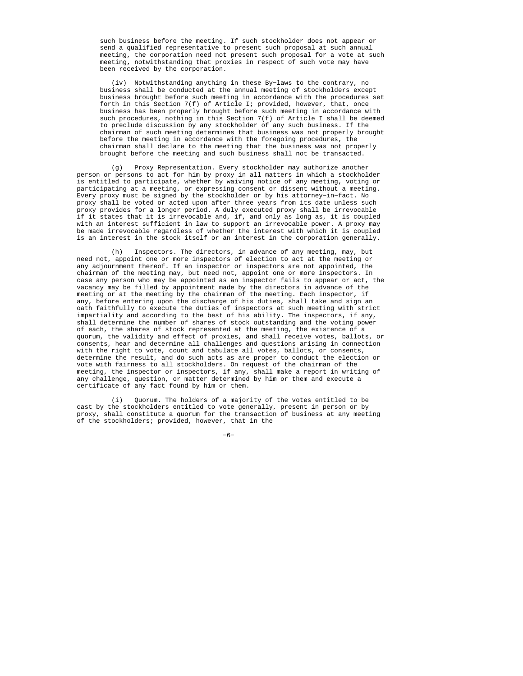such business before the meeting. If such stockholder does not appear or send a qualified representative to present such proposal at such annual meeting, the corporation need not present such proposal for a vote at such meeting, notwithstanding that proxies in respect of such vote may have been received by the corporation.

 (iv) Notwithstanding anything in these By−laws to the contrary, no business shall be conducted at the annual meeting of stockholders except business brought before such meeting in accordance with the procedures set forth in this Section 7(f) of Article I; provided, however, that, once business has been properly brought before such meeting in accordance with such procedures, nothing in this Section 7(f) of Article I shall be deemed to preclude discussion by any stockholder of any such business. If the chairman of such meeting determines that business was not properly brought before the meeting in accordance with the foregoing procedures, the chairman shall declare to the meeting that the business was not properly brought before the meeting and such business shall not be transacted.

 (g) Proxy Representation. Every stockholder may authorize another person or persons to act for him by proxy in all matters in which a stockholder is entitled to participate, whether by waiving notice of any meeting, voting or participating at a meeting, or expressing consent or dissent without a meeting. Every proxy must be signed by the stockholder or by his attorney−in−fact. No proxy shall be voted or acted upon after three years from its date unless such proxy provides for a longer period. A duly executed proxy shall be irrevocable if it states that it is irrevocable and, if, and only as long as, it is coupled with an interest sufficient in law to support an irrevocable power. A proxy may be made irrevocable regardless of whether the interest with which it is coupled is an interest in the stock itself or an interest in the corporation generally.

 (h) Inspectors. The directors, in advance of any meeting, may, but need not, appoint one or more inspectors of election to act at the meeting or any adjournment thereof. If an inspector or inspectors are not appointed, the chairman of the meeting may, but need not, appoint one or more inspectors. In case any person who may be appointed as an inspector fails to appear or act, the vacancy may be filled by appointment made by the directors in advance of the meeting or at the meeting by the chairman of the meeting. Each inspector, if any, before entering upon the discharge of his duties, shall take and sign an oath faithfully to execute the duties of inspectors at such meeting with strict impartiality and according to the best of his ability. The inspectors, if any, shall determine the number of shares of stock outstanding and the voting power of each, the shares of stock represented at the meeting, the existence of a quorum, the validity and effect of proxies, and shall receive votes, ballots, or consents, hear and determine all challenges and questions arising in connection with the right to vote, count and tabulate all votes, ballots, or consents, determine the result, and do such acts as are proper to conduct the election or vote with fairness to all stockholders. On request of the chairman of the meeting, the inspector or inspectors, if any, shall make a report in writing of any challenge, question, or matter determined by him or them and execute a certificate of any fact found by him or them.

 (i) Quorum. The holders of a majority of the votes entitled to be cast by the stockholders entitled to vote generally, present in person or by proxy, shall constitute a quorum for the transaction of business at any meeting of the stockholders; provided, however, that in the

−6−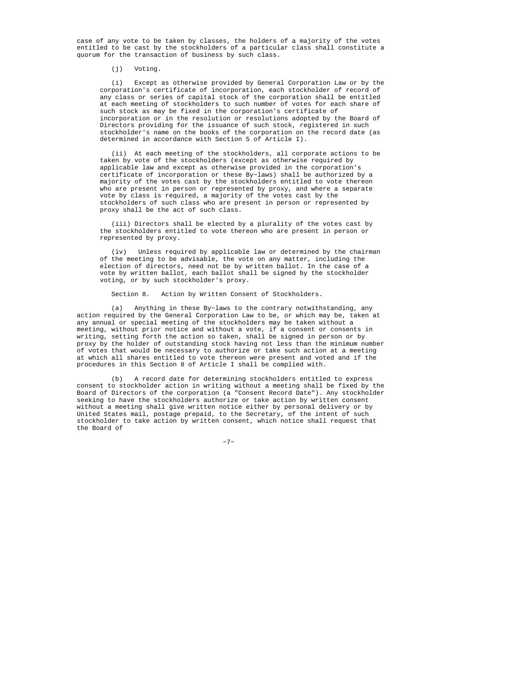case of any vote to be taken by classes, the holders of a majority of the votes entitled to be cast by the stockholders of a particular class shall constitute a quorum for the transaction of business by such class.

(i) Voting.

 (i) Except as otherwise provided by General Corporation Law or by the corporation's certificate of incorporation, each stockholder of record of any class or series of capital stock of the corporation shall be entitled at each meeting of stockholders to such number of votes for each share of such stock as may be fixed in the corporation's certificate of incorporation or in the resolution or resolutions adopted by the Board of Directors providing for the issuance of such stock, registered in such stockholder's name on the books of the corporation on the record date (as determined in accordance with Section 5 of Article I).

 (ii) At each meeting of the stockholders, all corporate actions to be taken by vote of the stockholders (except as otherwise required by applicable law and except as otherwise provided in the corporation's certificate of incorporation or these By−laws) shall be authorized by a majority of the votes cast by the stockholders entitled to vote thereon who are present in person or represented by proxy, and where a separate vote by class is required, a majority of the votes cast by the stockholders of such class who are present in person or represented by proxy shall be the act of such class.

 (iii) Directors shall be elected by a plurality of the votes cast by the stockholders entitled to vote thereon who are present in person or represented by proxy.

Unless required by applicable law or determined by the chairman of the meeting to be advisable, the vote on any matter, including the election of directors, need not be by written ballot. In the case of a vote by written ballot, each ballot shall be signed by the stockholder voting, or by such stockholder's proxy.

Section 8. Action by Written Consent of Stockholders.

 (a) Anything in these By−laws to the contrary notwithstanding, any action required by the General Corporation Law to be, or which may be, taken at any annual or special meeting of the stockholders may be taken without a meeting, without prior notice and without a vote, if a consent or consents in writing, setting forth the action so taken, shall be signed in person or by proxy by the holder of outstanding stock having not less than the minimum number of votes that would be necessary to authorize or take such action at a meeting at which all shares entitled to vote thereon were present and voted and if the procedures in this Section 8 of Article I shall be complied with.

 (b) A record date for determining stockholders entitled to express consent to stockholder action in writing without a meeting shall be fixed by the Board of Directors of the corporation (a "Consent Record Date"). Any stockholder seeking to have the stockholders authorize or take action by written consent without a meeting shall give written notice either by personal delivery or by United States mail, postage prepaid, to the Secretary, of the intent of such stockholder to take action by written consent, which notice shall request that the Board of

−7−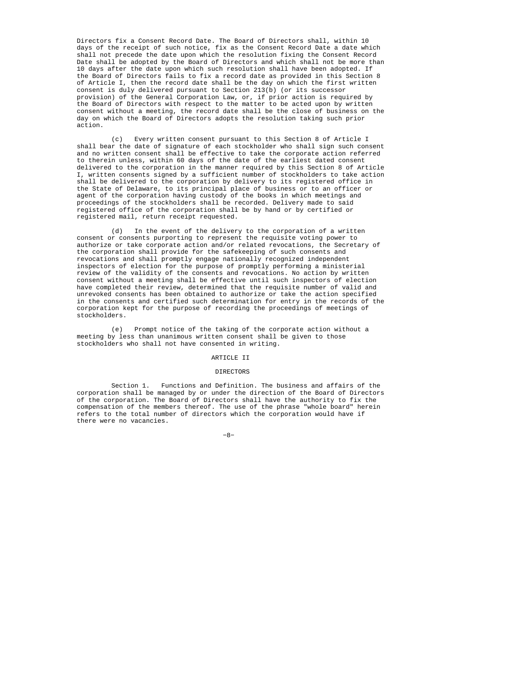Directors fix a Consent Record Date. The Board of Directors shall, within 10 days of the receipt of such notice, fix as the Consent Record Date a date which shall not precede the date upon which the resolution fixing the Consent Record Date shall be adopted by the Board of Directors and which shall not be more than 10 days after the date upon which such resolution shall have been adopted. If the Board of Directors fails to fix a record date as provided in this Section 8 of Article I, then the record date shall be the day on which the first written consent is duly delivered pursuant to Section 213(b) (or its successor provision) of the General Corporation Law, or, if prior action is required by the Board of Directors with respect to the matter to be acted upon by written consent without a meeting, the record date shall be the close of business on the day on which the Board of Directors adopts the resolution taking such prior action.

 (c) Every written consent pursuant to this Section 8 of Article I shall bear the date of signature of each stockholder who shall sign such consent and no written consent shall be effective to take the corporate action referred to therein unless, within 60 days of the date of the earliest dated consent delivered to the corporation in the manner required by this Section 8 of Article I, written consents signed by a sufficient number of stockholders to take action shall be delivered to the corporation by delivery to its registered office in the State of Delaware, to its principal place of business or to an officer or agent of the corporation having custody of the books in which meetings and proceedings of the stockholders shall be recorded. Delivery made to said registered office of the corporation shall be by hand or by certified or registered mail, return receipt requested.

 (d) In the event of the delivery to the corporation of a written consent or consents purporting to represent the requisite voting power to authorize or take corporate action and/or related revocations, the Secretary of the corporation shall provide for the safekeeping of such consents and revocations and shall promptly engage nationally recognized independent inspectors of election for the purpose of promptly performing a ministerial review of the validity of the consents and revocations. No action by written consent without a meeting shall be effective until such inspectors of election have completed their review, determined that the requisite number of valid and unrevoked consents has been obtained to authorize or take the action specified in the consents and certified such determination for entry in the records of the corporation kept for the purpose of recording the proceedings of meetings of stockholders.

 (e) Prompt notice of the taking of the corporate action without a meeting by less than unanimous written consent shall be given to those stockholders who shall not have consented in writing.

## ARTICLE II

# DIRECTORS

 Section 1. Functions and Definition. The business and affairs of the corporation shall be managed by or under the direction of the Board of Directors of the corporation. The Board of Directors shall have the authority to fix the compensation of the members thereof. The use of the phrase "whole board" herein refers to the total number of directors which the corporation would have if there were no vacancies.

−8−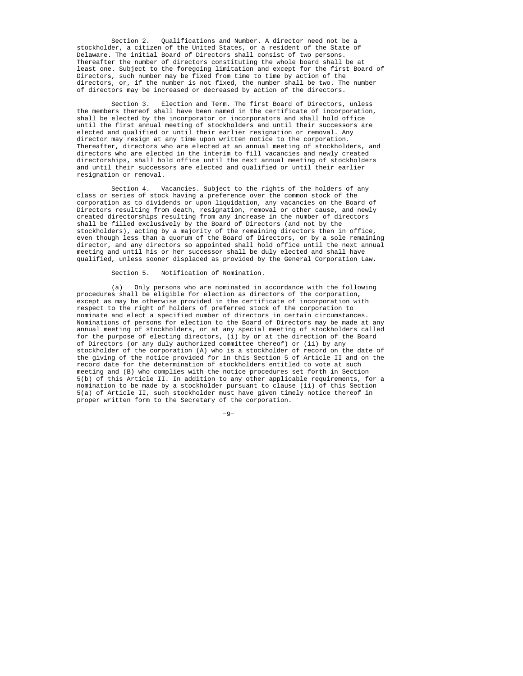Section 2. Qualifications and Number. A director need not be a stockholder, a citizen of the United States, or a resident of the State of Delaware. The initial Board of Directors shall consist of two persons. Thereafter the number of directors constituting the whole board shall be at least one. Subject to the foregoing limitation and except for the first Board of Directors, such number may be fixed from time to time by action of the directors, or, if the number is not fixed, the number shall be two. The number of directors may be increased or decreased by action of the directors.

 Section 3. Election and Term. The first Board of Directors, unless the members thereof shall have been named in the certificate of incorporation, shall be elected by the incorporator or incorporators and shall hold office until the first annual meeting of stockholders and until their successors are elected and qualified or until their earlier resignation or removal. Any director may resign at any time upon written notice to the corporation. Thereafter, directors who are elected at an annual meeting of stockholders, and directors who are elected in the interim to fill vacancies and newly created directorships, shall hold office until the next annual meeting of stockholders and until their successors are elected and qualified or until their earlier resignation or removal.

 Section 4. Vacancies. Subject to the rights of the holders of any class or series of stock having a preference over the common stock of the corporation as to dividends or upon liquidation, any vacancies on the Board of Directors resulting from death, resignation, removal or other cause, and newly created directorships resulting from any increase in the number of directors shall be filled exclusively by the Board of Directors (and not by the stockholders), acting by a majority of the remaining directors then in office, even though less than a quorum of the Board of Directors, or by a sole remaining director, and any directors so appointed shall hold office until the next annual meeting and until his or her successor shall be duly elected and shall have qualified, unless sooner displaced as provided by the General Corporation Law.

Section 5. Notification of Nomination.

 (a) Only persons who are nominated in accordance with the following procedures shall be eligible for election as directors of the corporation, except as may be otherwise provided in the certificate of incorporation with respect to the right of holders of preferred stock of the corporation to nominate and elect a specified number of directors in certain circumstances. Nominations of persons for election to the Board of Directors may be made at any annual meeting of stockholders, or at any special meeting of stockholders called for the purpose of electing directors, (i) by or at the direction of the Board of Directors (or any duly authorized committee thereof) or (ii) by any stockholder of the corporation (A) who is a stockholder of record on the date of the giving of the notice provided for in this Section 5 of Article II and on the record date for the determination of stockholders entitled to vote at such meeting and (B) who complies with the notice procedures set forth in Section 5(b) of this Article II. In addition to any other applicable requirements, for a nomination to be made by a stockholder pursuant to clause (ii) of this Section 5(a) of Article II, such stockholder must have given timely notice thereof in proper written form to the Secretary of the corporation.

−9−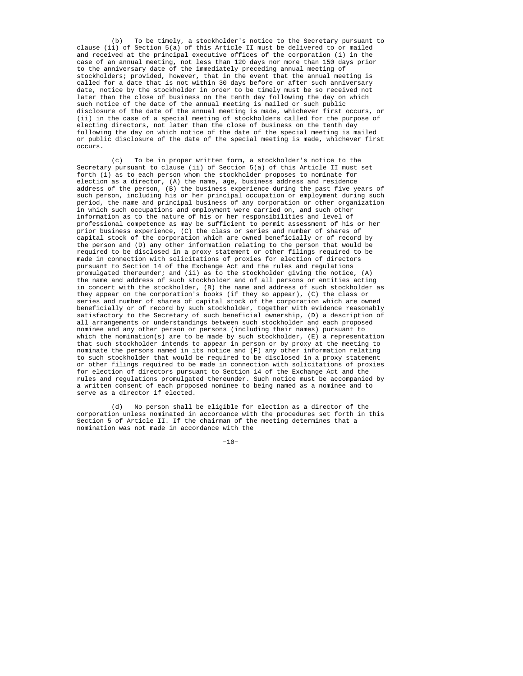(b) To be timely, a stockholder's notice to the Secretary pursuant to clause (ii) of Section 5(a) of this Article II must be delivered to or mailed and received at the principal executive offices of the corporation (i) in the case of an annual meeting, not less than 120 days nor more than 150 days prior to the anniversary date of the immediately preceding annual meeting of stockholders; provided, however, that in the event that the annual meeting is called for a date that is not within 30 days before or after such anniversary date, notice by the stockholder in order to be timely must be so received not later than the close of business on the tenth day following the day on which such notice of the date of the annual meeting is mailed or such public disclosure of the date of the annual meeting is made, whichever first occurs, or (ii) in the case of a special meeting of stockholders called for the purpose of electing directors, not later than the close of business on the tenth day following the day on which notice of the date of the special meeting is mailed or public disclosure of the date of the special meeting is made, whichever first occurs.

 (c) To be in proper written form, a stockholder's notice to the Secretary pursuant to clause (ii) of Section 5(a) of this Article II must set forth (i) as to each person whom the stockholder proposes to nominate for election as a director, (A) the name, age, business address and residence address of the person, (B) the business experience during the past five years of such person, including his or her principal occupation or employment during such period, the name and principal business of any corporation or other organization in which such occupations and employment were carried on, and such other information as to the nature of his or her responsibilities and level of professional competence as may be sufficient to permit assessment of his or her prior business experience, (C) the class or series and number of shares of capital stock of the corporation which are owned beneficially or of record by the person and (D) any other information relating to the person that would be required to be disclosed in a proxy statement or other filings required to be made in connection with solicitations of proxies for election of directors pursuant to Section 14 of the Exchange Act and the rules and regulations promulgated thereunder; and (ii) as to the stockholder giving the notice, (A) the name and address of such stockholder and of all persons or entities acting in concert with the stockholder, (B) the name and address of such stockholder as they appear on the corporation's books (if they so appear), (C) the class or series and number of shares of capital stock of the corporation which are owned beneficially or of record by such stockholder, together with evidence reasonably satisfactory to the Secretary of such beneficial ownership, (D) a description of all arrangements or understandings between such stockholder and each proposed nominee and any other person or persons (including their names) pursuant to which the nomination(s) are to be made by such stockholder,  $(E)$  a representation that such stockholder intends to appear in person or by proxy at the meeting to nominate the persons named in its notice and (F) any other information relating to such stockholder that would be required to be disclosed in a proxy statement or other filings required to be made in connection with solicitations of proxies for election of directors pursuant to Section 14 of the Exchange Act and the rules and regulations promulgated thereunder. Such notice must be accompanied by a written consent of each proposed nominee to being named as a nominee and to serve as a director if elected.

 (d) No person shall be eligible for election as a director of the corporation unless nominated in accordance with the procedures set forth in this Section 5 of Article II. If the chairman of the meeting determines that a nomination was not made in accordance with the

−10−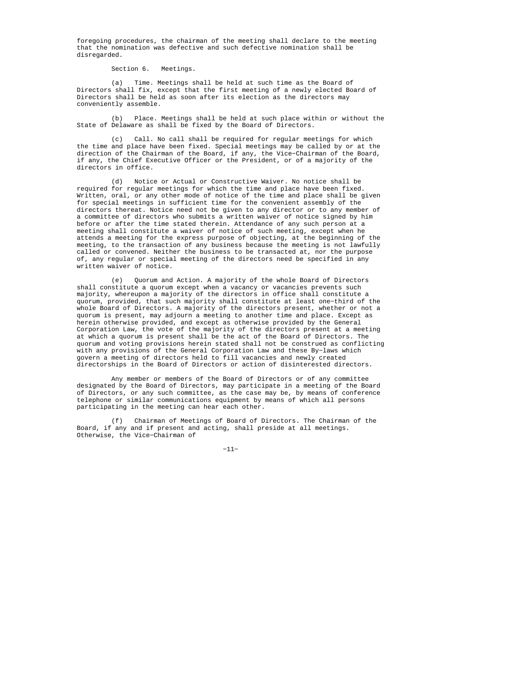foregoing procedures, the chairman of the meeting shall declare to the meeting that the nomination was defective and such defective nomination shall be disregarded.

Section 6. Meetings.

Time. Meetings shall be held at such time as the Board of Directors shall fix, except that the first meeting of a newly elected Board of Directors shall be held as soon after its election as the directors may conveniently assemble.

 (b) Place. Meetings shall be held at such place within or without the State of Delaware as shall be fixed by the Board of Directors.

 (c) Call. No call shall be required for regular meetings for which the time and place have been fixed. Special meetings may be called by or at the direction of the Chairman of the Board, if any, the Vice−Chairman of the Board, if any, the Chief Executive Officer or the President, or of a majority of the directors in office.

 (d) Notice or Actual or Constructive Waiver. No notice shall be required for regular meetings for which the time and place have been fixed. Written, oral, or any other mode of notice of the time and place shall be given for special meetings in sufficient time for the convenient assembly of the directors thereat. Notice need not be given to any director or to any member of a committee of directors who submits a written waiver of notice signed by him before or after the time stated therein. Attendance of any such person at a meeting shall constitute a waiver of notice of such meeting, except when he attends a meeting for the express purpose of objecting, at the beginning of the meeting, to the transaction of any business because the meeting is not lawfully called or convened. Neither the business to be transacted at, nor the purpose of, any regular or special meeting of the directors need be specified in any written waiver of notice.

 (e) Quorum and Action. A majority of the whole Board of Directors shall constitute a quorum except when a vacancy or vacancies prevents such majority, whereupon a majority of the directors in office shall constitute a quorum, provided, that such majority shall constitute at least one−third of the whole Board of Directors. A majority of the directors present, whether or not a quorum is present, may adjourn a meeting to another time and place. Except as herein otherwise provided, and except as otherwise provided by the General Corporation Law, the vote of the majority of the directors present at a meeting at which a quorum is present shall be the act of the Board of Directors. The quorum and voting provisions herein stated shall not be construed as conflicting with any provisions of the General Corporation Law and these By−laws which govern a meeting of directors held to fill vacancies and newly created directorships in the Board of Directors or action of disinterested directors.

 Any member or members of the Board of Directors or of any committee designated by the Board of Directors, may participate in a meeting of the Board of Directors, or any such committee, as the case may be, by means of conference telephone or similar communications equipment by means of which all persons participating in the meeting can hear each other.

 (f) Chairman of Meetings of Board of Directors. The Chairman of the Board, if any and if present and acting, shall preside at all meetings. Otherwise, the Vice−Chairman of

−11−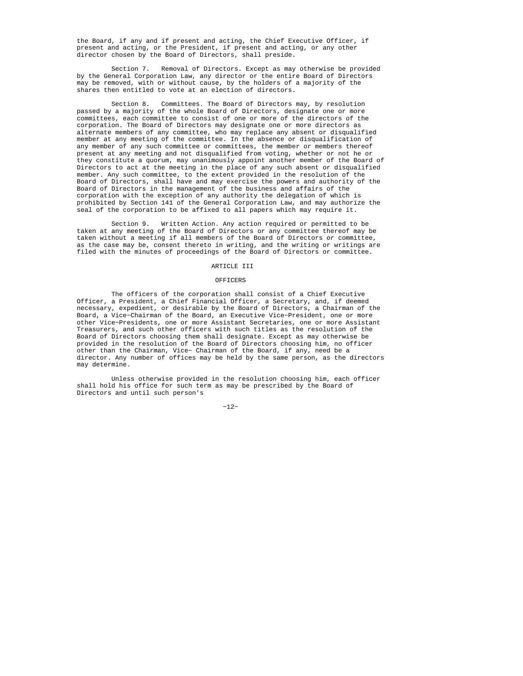the Board, if any and if present and acting, the Chief Executive Officer, if present and acting, or the President, if present and acting, or any other director chosen by the Board of Directors, shall preside.

 Section 7. Removal of Directors. Except as may otherwise be provided by the General Corporation Law, any director or the entire Board of Directors may be removed, with or without cause, by the holders of a majority of the shares then entitled to vote at an election of directors.

 Section 8. Committees. The Board of Directors may, by resolution passed by a majority of the whole Board of Directors, designate one or more committees, each committee to consist of one or more of the directors of the corporation. The Board of Directors may designate one or more directors as alternate members of any committee, who may replace any absent or disqualified member at any meeting of the committee. In the absence or disqualification of any member of any such committee or committees, the member or members thereof present at any meeting and not disqualified from voting, whether or not he or they constitute a quorum, may unanimously appoint another member of the Board of Directors to act at the meeting in the place of any such absent or disqualified member. Any such committee, to the extent provided in the resolution of the Board of Directors, shall have and may exercise the powers and authority of the Board of Directors in the management of the business and affairs of the corporation with the exception of any authority the delegation of which is prohibited by Section 141 of the General Corporation Law, and may authorize the seal of the corporation to be affixed to all papers which may require it.

 Section 9. Written Action. Any action required or permitted to be taken at any meeting of the Board of Directors or any committee thereof may be taken without a meeting if all members of the Board of Directors or committee, as the case may be, consent thereto in writing, and the writing or writings are filed with the minutes of proceedings of the Board of Directors or committee.

# ARTICLE III

# OFFICERS

 The officers of the corporation shall consist of a Chief Executive Officer, a President, a Chief Financial Officer, a Secretary, and, if deemed necessary, expedient, or desirable by the Board of Directors, a Chairman of the Board, a Vice−Chairman of the Board, an Executive Vice−President, one or more other Vice−Presidents, one or more Assistant Secretaries, one or more Assistant Treasurers, and such other officers with such titles as the resolution of the Board of Directors choosing them shall designate. Except as may otherwise be provided in the resolution of the Board of Directors choosing him, no officer other than the Chairman, Vice− Chairman of the Board, if any, need be a director. Any number of offices may be held by the same person, as the directors may determine.

 Unless otherwise provided in the resolution choosing him, each officer shall hold his office for such term as may be prescribed by the Board of Directors and until such person's

−12−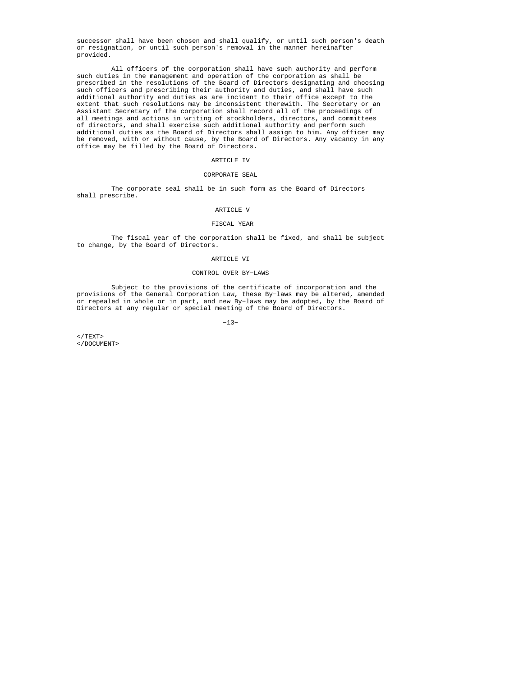successor shall have been chosen and shall qualify, or until such person's death or resignation, or until such person's removal in the manner hereinafter provided.

 All officers of the corporation shall have such authority and perform such duties in the management and operation of the corporation as shall be prescribed in the resolutions of the Board of Directors designating and choosing such officers and prescribing their authority and duties, and shall have such additional authority and duties as are incident to their office except to the extent that such resolutions may be inconsistent therewith. The Secretary or an Assistant Secretary of the corporation shall record all of the proceedings of all meetings and actions in writing of stockholders, directors, and committees of directors, and shall exercise such additional authority and perform such additional duties as the Board of Directors shall assign to him. Any officer may be removed, with or without cause, by the Board of Directors. Any vacancy in any office may be filled by the Board of Directors.

# ARTICLE IV

# CORPORATE SEAL

 The corporate seal shall be in such form as the Board of Directors shall prescribe.

# ARTICLE V

#### FISCAL YEAR

 The fiscal year of the corporation shall be fixed, and shall be subject to change, by the Board of Directors.

# ARTICLE VI

# CONTROL OVER BY−LAWS

 Subject to the provisions of the certificate of incorporation and the provisions of the General Corporation Law, these By−laws may be altered, amended or repealed in whole or in part, and new By−laws may be adopted, by the Board of Directors at any regular or special meeting of the Board of Directors.

−13−

 $<$ /TEXT> </DOCUMENT>